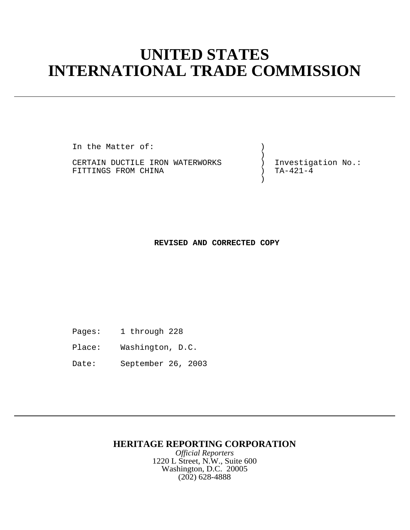# **UNITED STATES INTERNATIONAL TRADE COMMISSION**

In the Matter of:  $)$ 

) and the contract of  $\mathcal{L}$ CERTAIN DUCTILE IRON WATERWORKS ) Investigation No.:<br>FITTINGS FROM CHINA (FITTING) TA-421-4 FITTINGS FROM CHINA

) and the contract of  $\mathcal{L}$ 

**REVISED AND CORRECTED COPY**

- Pages: 1 through 228
- Place: Washington, D.C.
- Date: September 26, 2003

# **HERITAGE REPORTING CORPORATION**

*Official Reporters* 1220 L Street, N.W., Suite 600 Washington, D.C. 20005 (202) 628-4888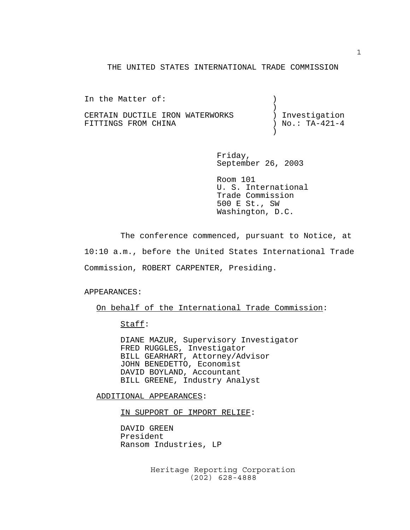#### THE UNITED STATES INTERNATIONAL TRADE COMMISSION

| In the Matter of:               |                   |
|---------------------------------|-------------------|
|                                 |                   |
| CERTAIN DUCTILE IRON WATERWORKS | ) Investigation   |
| FITTINGS FROM CHINA             | ) No.: $TA-421-4$ |
|                                 |                   |

Friday, September 26, 2003

 Room 101 U. S. International Trade Commission 500 E St., SW Washington, D.C.

The conference commenced, pursuant to Notice, at 10:10 a.m., before the United States International Trade Commission, ROBERT CARPENTER, Presiding.

#### APPEARANCES:

#### On behalf of the International Trade Commission:

### Staff:

DIANE MAZUR, Supervisory Investigator FRED RUGGLES, Investigator BILL GEARHART, Attorney/Advisor JOHN BENEDETTO, Economist DAVID BOYLAND, Accountant BILL GREENE, Industry Analyst

#### ADDITIONAL APPEARANCES:

IN SUPPORT OF IMPORT RELIEF:

DAVID GREEN President Ransom Industries, LP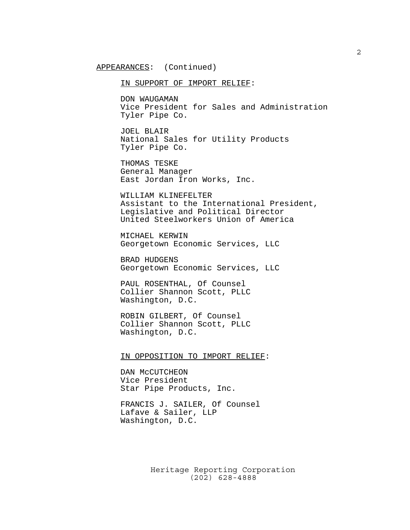APPEARANCES: (Continued)

IN SUPPORT OF IMPORT RELIEF:

DON WAUGAMAN Vice President for Sales and Administration Tyler Pipe Co.

JOEL BLAIR National Sales for Utility Products Tyler Pipe Co.

THOMAS TESKE General Manager East Jordan Iron Works, Inc.

WILLIAM KLINEFELTER Assistant to the International President, Legislative and Political Director United Steelworkers Union of America

MICHAEL KERWIN Georgetown Economic Services, LLC

BRAD HUDGENS Georgetown Economic Services, LLC

PAUL ROSENTHAL, Of Counsel Collier Shannon Scott, PLLC Washington, D.C.

ROBIN GILBERT, Of Counsel Collier Shannon Scott, PLLC Washington, D.C.

IN OPPOSITION TO IMPORT RELIEF:

DAN McCUTCHEON Vice President Star Pipe Products, Inc.

FRANCIS J. SAILER, Of Counsel Lafave & Sailer, LLP Washington, D.C.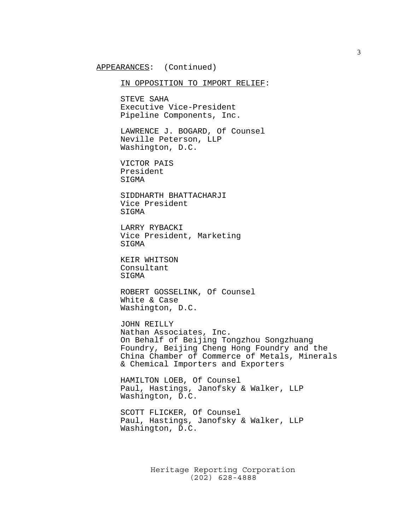IN OPPOSITION TO IMPORT RELIEF:

STEVE SAHA Executive Vice-President Pipeline Components, Inc.

LAWRENCE J. BOGARD, Of Counsel Neville Peterson, LLP Washington, D.C.

VICTOR PAIS President SIGMA

SIDDHARTH BHATTACHARJI Vice President SIGMA

LARRY RYBACKI Vice President, Marketing SIGMA

KEIR WHITSON Consultant SIGMA

ROBERT GOSSELINK, Of Counsel White & Case Washington, D.C.

JOHN REILLY Nathan Associates, Inc. On Behalf of Beijing Tongzhou Songzhuang Foundry, Beijing Cheng Hong Foundry and the China Chamber of Commerce of Metals, Minerals & Chemical Importers and Exporters

HAMILTON LOEB, Of Counsel Paul, Hastings, Janofsky & Walker, LLP Washington, D.C.

SCOTT FLICKER, Of Counsel Paul, Hastings, Janofsky & Walker, LLP Washington, D.C.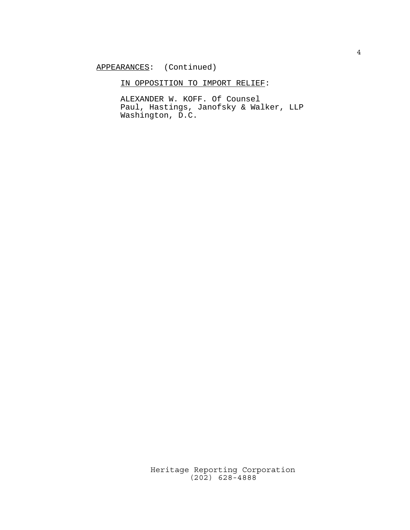## IN OPPOSITION TO IMPORT RELIEF:

ALEXANDER W. KOFF. Of Counsel Paul, Hastings, Janofsky & Walker, LLP Washington, D.C.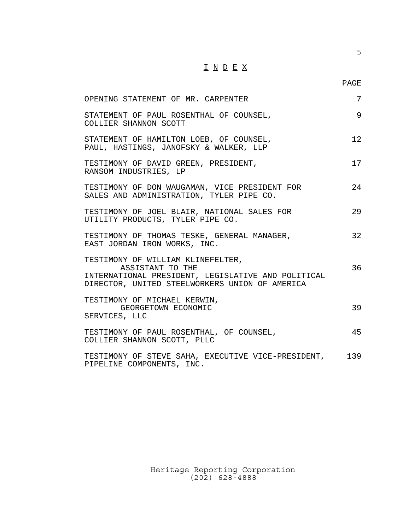## I N D E X

| OPENING STATEMENT OF MR. CARPENTER                                                                                                                            | 7  |
|---------------------------------------------------------------------------------------------------------------------------------------------------------------|----|
| STATEMENT OF PAUL ROSENTHAL OF COUNSEL,<br>COLLIER SHANNON SCOTT                                                                                              | 9  |
| STATEMENT OF HAMILTON LOEB, OF COUNSEL,<br>PAUL, HASTINGS, JANOFSKY & WALKER, LLP                                                                             | 12 |
| TESTIMONY OF DAVID GREEN, PRESIDENT,<br>RANSOM INDUSTRIES, LP                                                                                                 | 17 |
| TESTIMONY OF DON WAUGAMAN, VICE PRESIDENT FOR<br>SALES AND ADMINISTRATION, TYLER PIPE CO.                                                                     | 24 |
| TESTIMONY OF JOEL BLAIR, NATIONAL SALES FOR<br>UTILITY PRODUCTS, TYLER PIPE CO.                                                                               | 29 |
| TESTIMONY OF THOMAS TESKE, GENERAL MANAGER,<br>EAST JORDAN IRON WORKS, INC.                                                                                   | 32 |
| TESTIMONY OF WILLIAM KLINEFELTER,<br>ASSISTANT TO THE<br>INTERNATIONAL PRESIDENT, LEGISLATIVE AND POLITICAL<br>DIRECTOR, UNITED STEELWORKERS UNION OF AMERICA | 36 |
| TESTIMONY OF MICHAEL KERWIN,<br>GEORGETOWN ECONOMIC<br>SERVICES, LLC                                                                                          | 39 |
| TESTIMONY OF PAUL ROSENTHAL, OF COUNSEL,<br>COLLIER SHANNON SCOTT, PLLC                                                                                       | 45 |
| TESTIMONY OF STEVE SAHA, EXECUTIVE VICE-PRESIDENT, 139<br>PIPELINE COMPONENTS, INC.                                                                           |    |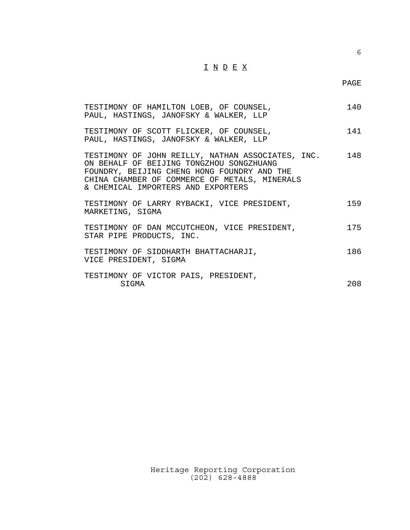## I N D E X

| TESTIMONY OF HAMILTON LOEB, OF COUNSEL,<br>PAUL, HASTINGS, JANOFSKY & WALKER, LLP                                                                                                                                                       | 140 |
|-----------------------------------------------------------------------------------------------------------------------------------------------------------------------------------------------------------------------------------------|-----|
| TESTIMONY OF SCOTT FLICKER, OF COUNSEL,<br>PAUL, HASTINGS, JANOFSKY & WALKER, LLP                                                                                                                                                       | 141 |
| TESTIMONY OF JOHN REILLY, NATHAN ASSOCIATES, INC. 148<br>ON BEHALF OF BEIJING TONGZHOU SONGZHUANG<br>FOUNDRY, BEIJING CHENG HONG FOUNDRY AND THE<br>CHINA CHAMBER OF COMMERCE OF METALS, MINERALS<br>& CHEMICAL IMPORTERS AND EXPORTERS |     |
| TESTIMONY OF LARRY RYBACKI, VICE PRESIDENT,<br>MARKETING, SIGMA                                                                                                                                                                         | 159 |
| TESTIMONY OF DAN MCCUTCHEON, VICE PRESIDENT,<br>STAR PIPE PRODUCTS, INC.                                                                                                                                                                | 175 |
| TESTIMONY OF SIDDHARTH BHATTACHARJI,<br>VICE PRESIDENT, SIGMA                                                                                                                                                                           | 186 |
| TESTIMONY OF VICTOR PAIS, PRESIDENT,<br>SIGMA                                                                                                                                                                                           | 208 |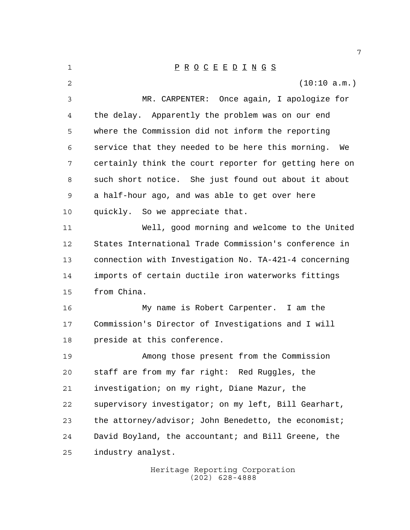Heritage Reporting Corporation P R O C E E D I N G S (10:10 a.m.) MR. CARPENTER: Once again, I apologize for the delay. Apparently the problem was on our end where the Commission did not inform the reporting service that they needed to be here this morning. We certainly think the court reporter for getting here on such short notice. She just found out about it about a half-hour ago, and was able to get over here quickly. So we appreciate that. Well, good morning and welcome to the United States International Trade Commission's conference in connection with Investigation No. TA-421-4 concerning imports of certain ductile iron waterworks fittings from China. My name is Robert Carpenter. I am the Commission's Director of Investigations and I will preside at this conference. Among those present from the Commission staff are from my far right: Red Ruggles, the investigation; on my right, Diane Mazur, the supervisory investigator; on my left, Bill Gearhart, 23 the attorney/advisor; John Benedetto, the economist; David Boyland, the accountant; and Bill Greene, the industry analyst.

(202) 628-4888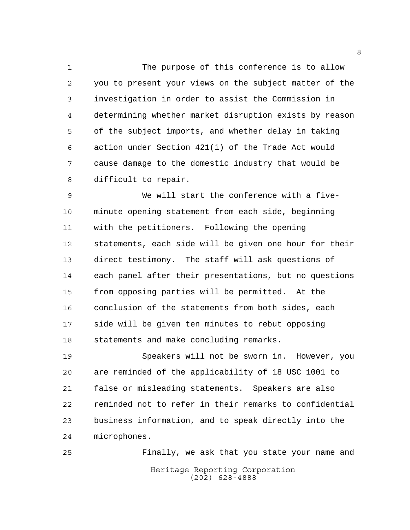The purpose of this conference is to allow you to present your views on the subject matter of the investigation in order to assist the Commission in determining whether market disruption exists by reason of the subject imports, and whether delay in taking action under Section 421(i) of the Trade Act would cause damage to the domestic industry that would be difficult to repair.

 We will start the conference with a five- minute opening statement from each side, beginning with the petitioners. Following the opening statements, each side will be given one hour for their direct testimony. The staff will ask questions of each panel after their presentations, but no questions from opposing parties will be permitted. At the conclusion of the statements from both sides, each side will be given ten minutes to rebut opposing statements and make concluding remarks.

 Speakers will not be sworn in. However, you are reminded of the applicability of 18 USC 1001 to false or misleading statements. Speakers are also reminded not to refer in their remarks to confidential business information, and to speak directly into the microphones.

Heritage Reporting Corporation (202) 628-4888 Finally, we ask that you state your name and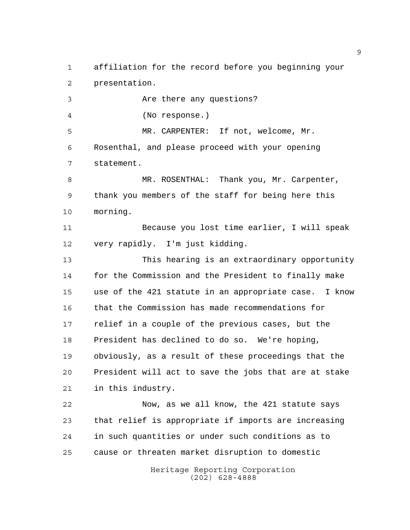affiliation for the record before you beginning your presentation.

 Are there any questions? (No response.) MR. CARPENTER: If not, welcome, Mr. Rosenthal, and please proceed with your opening statement. MR. ROSENTHAL: Thank you, Mr. Carpenter, thank you members of the staff for being here this morning. Because you lost time earlier, I will speak very rapidly. I'm just kidding. This hearing is an extraordinary opportunity for the Commission and the President to finally make use of the 421 statute in an appropriate case. I know that the Commission has made recommendations for relief in a couple of the previous cases, but the President has declined to do so. We're hoping, obviously, as a result of these proceedings that the President will act to save the jobs that are at stake

in this industry.

 Now, as we all know, the 421 statute says that relief is appropriate if imports are increasing in such quantities or under such conditions as to cause or threaten market disruption to domestic

> Heritage Reporting Corporation (202) 628-4888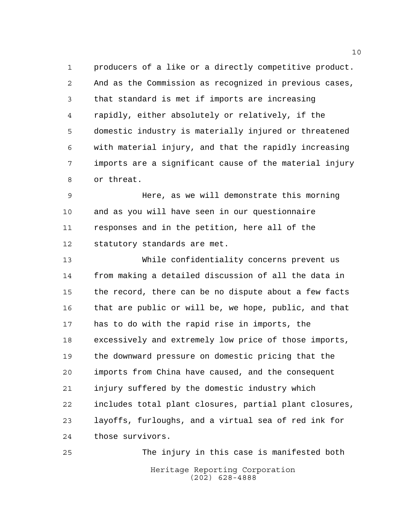producers of a like or a directly competitive product. And as the Commission as recognized in previous cases, that standard is met if imports are increasing rapidly, either absolutely or relatively, if the domestic industry is materially injured or threatened with material injury, and that the rapidly increasing imports are a significant cause of the material injury or threat.

 Here, as we will demonstrate this morning and as you will have seen in our questionnaire responses and in the petition, here all of the statutory standards are met.

 While confidentiality concerns prevent us from making a detailed discussion of all the data in the record, there can be no dispute about a few facts that are public or will be, we hope, public, and that has to do with the rapid rise in imports, the excessively and extremely low price of those imports, the downward pressure on domestic pricing that the imports from China have caused, and the consequent injury suffered by the domestic industry which includes total plant closures, partial plant closures, layoffs, furloughs, and a virtual sea of red ink for those survivors.

Heritage Reporting Corporation (202) 628-4888 The injury in this case is manifested both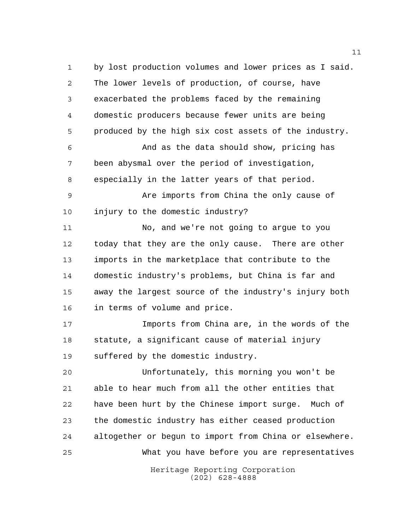Heritage Reporting Corporation by lost production volumes and lower prices as I said. The lower levels of production, of course, have exacerbated the problems faced by the remaining domestic producers because fewer units are being produced by the high six cost assets of the industry. And as the data should show, pricing has been abysmal over the period of investigation, especially in the latter years of that period. Are imports from China the only cause of injury to the domestic industry? No, and we're not going to argue to you today that they are the only cause. There are other imports in the marketplace that contribute to the domestic industry's problems, but China is far and away the largest source of the industry's injury both in terms of volume and price. Imports from China are, in the words of the statute, a significant cause of material injury suffered by the domestic industry. Unfortunately, this morning you won't be able to hear much from all the other entities that have been hurt by the Chinese import surge. Much of the domestic industry has either ceased production altogether or begun to import from China or elsewhere. What you have before you are representatives

(202) 628-4888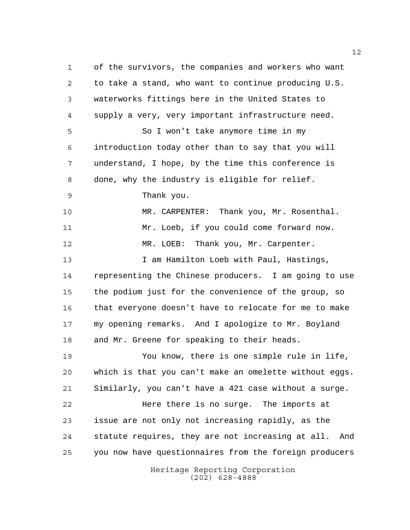Heritage Reporting Corporation (202) 628-4888 of the survivors, the companies and workers who want to take a stand, who want to continue producing U.S. waterworks fittings here in the United States to supply a very, very important infrastructure need. So I won't take anymore time in my introduction today other than to say that you will understand, I hope, by the time this conference is done, why the industry is eligible for relief. Thank you. MR. CARPENTER: Thank you, Mr. Rosenthal. Mr. Loeb, if you could come forward now. 12 MR. LOEB: Thank you, Mr. Carpenter. I am Hamilton Loeb with Paul, Hastings, representing the Chinese producers. I am going to use the podium just for the convenience of the group, so that everyone doesn't have to relocate for me to make my opening remarks. And I apologize to Mr. Boyland and Mr. Greene for speaking to their heads. You know, there is one simple rule in life, which is that you can't make an omelette without eggs. Similarly, you can't have a 421 case without a surge. **Here there is no surge.** The imports at issue are not only not increasing rapidly, as the statute requires, they are not increasing at all. And you now have questionnaires from the foreign producers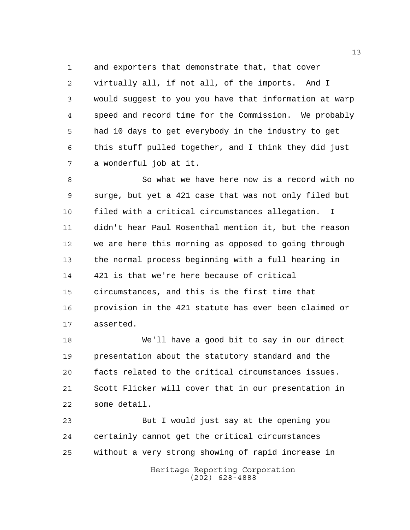and exporters that demonstrate that, that cover virtually all, if not all, of the imports. And I would suggest to you you have that information at warp speed and record time for the Commission. We probably had 10 days to get everybody in the industry to get this stuff pulled together, and I think they did just a wonderful job at it.

8 So what we have here now is a record with no surge, but yet a 421 case that was not only filed but filed with a critical circumstances allegation. I didn't hear Paul Rosenthal mention it, but the reason we are here this morning as opposed to going through the normal process beginning with a full hearing in 421 is that we're here because of critical circumstances, and this is the first time that provision in the 421 statute has ever been claimed or asserted.

 We'll have a good bit to say in our direct presentation about the statutory standard and the facts related to the critical circumstances issues. Scott Flicker will cover that in our presentation in some detail.

 But I would just say at the opening you certainly cannot get the critical circumstances without a very strong showing of rapid increase in

> Heritage Reporting Corporation (202) 628-4888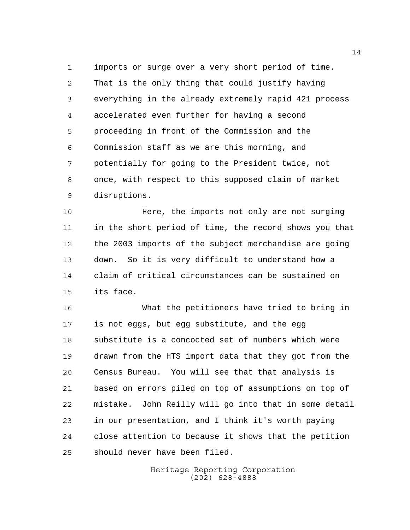imports or surge over a very short period of time. That is the only thing that could justify having everything in the already extremely rapid 421 process accelerated even further for having a second proceeding in front of the Commission and the Commission staff as we are this morning, and potentially for going to the President twice, not once, with respect to this supposed claim of market disruptions.

**Here, the imports not only are not surging**  in the short period of time, the record shows you that the 2003 imports of the subject merchandise are going down. So it is very difficult to understand how a claim of critical circumstances can be sustained on its face.

 What the petitioners have tried to bring in is not eggs, but egg substitute, and the egg substitute is a concocted set of numbers which were drawn from the HTS import data that they got from the Census Bureau. You will see that that analysis is based on errors piled on top of assumptions on top of mistake. John Reilly will go into that in some detail in our presentation, and I think it's worth paying close attention to because it shows that the petition should never have been filed.

> Heritage Reporting Corporation (202) 628-4888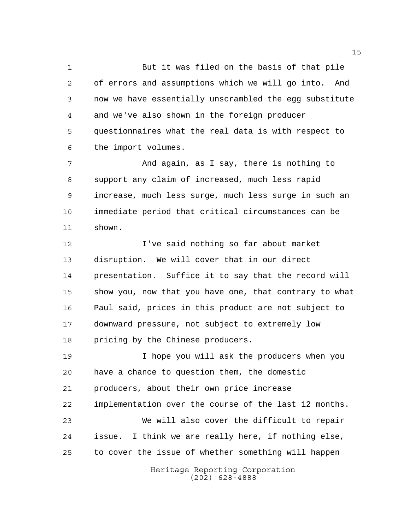But it was filed on the basis of that pile of errors and assumptions which we will go into. And now we have essentially unscrambled the egg substitute and we've also shown in the foreign producer questionnaires what the real data is with respect to the import volumes.

 And again, as I say, there is nothing to support any claim of increased, much less rapid increase, much less surge, much less surge in such an immediate period that critical circumstances can be shown.

 I've said nothing so far about market disruption. We will cover that in our direct presentation. Suffice it to say that the record will show you, now that you have one, that contrary to what Paul said, prices in this product are not subject to downward pressure, not subject to extremely low pricing by the Chinese producers.

 I hope you will ask the producers when you have a chance to question them, the domestic producers, about their own price increase implementation over the course of the last 12 months. We will also cover the difficult to repair issue. I think we are really here, if nothing else, to cover the issue of whether something will happen

> Heritage Reporting Corporation (202) 628-4888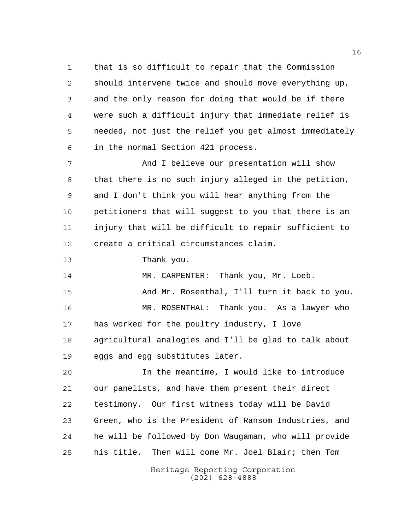that is so difficult to repair that the Commission should intervene twice and should move everything up, and the only reason for doing that would be if there were such a difficult injury that immediate relief is needed, not just the relief you get almost immediately in the normal Section 421 process.

 And I believe our presentation will show that there is no such injury alleged in the petition, and I don't think you will hear anything from the petitioners that will suggest to you that there is an injury that will be difficult to repair sufficient to create a critical circumstances claim.

Thank you.

14 MR. CARPENTER: Thank you, Mr. Loeb.

 And Mr. Rosenthal, I'll turn it back to you. MR. ROSENTHAL: Thank you. As a lawyer who

 has worked for the poultry industry, I love agricultural analogies and I'll be glad to talk about eggs and egg substitutes later.

 In the meantime, I would like to introduce our panelists, and have them present their direct testimony. Our first witness today will be David Green, who is the President of Ransom Industries, and he will be followed by Don Waugaman, who will provide his title. Then will come Mr. Joel Blair; then Tom

> Heritage Reporting Corporation (202) 628-4888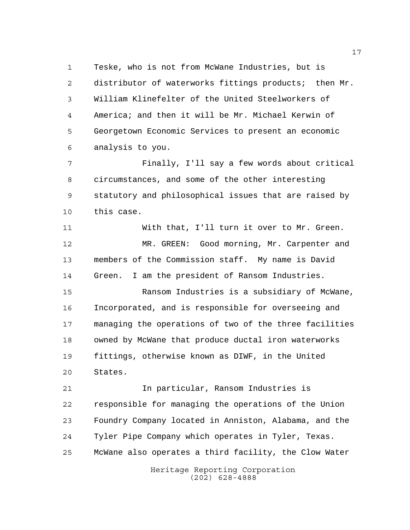Teske, who is not from McWane Industries, but is 2 distributor of waterworks fittings products; then Mr. William Klinefelter of the United Steelworkers of America; and then it will be Mr. Michael Kerwin of Georgetown Economic Services to present an economic analysis to you.

 Finally, I'll say a few words about critical circumstances, and some of the other interesting statutory and philosophical issues that are raised by this case.

 With that, I'll turn it over to Mr. Green. MR. GREEN: Good morning, Mr. Carpenter and members of the Commission staff. My name is David Green. I am the president of Ransom Industries.

 Ransom Industries is a subsidiary of McWane, Incorporated, and is responsible for overseeing and managing the operations of two of the three facilities owned by McWane that produce ductal iron waterworks fittings, otherwise known as DIWF, in the United States.

 In particular, Ransom Industries is responsible for managing the operations of the Union Foundry Company located in Anniston, Alabama, and the Tyler Pipe Company which operates in Tyler, Texas. McWane also operates a third facility, the Clow Water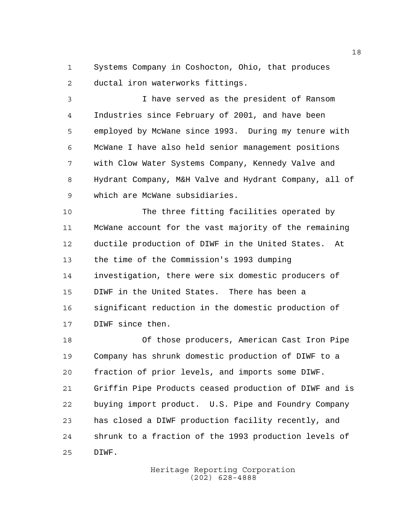Systems Company in Coshocton, Ohio, that produces ductal iron waterworks fittings.

 I have served as the president of Ransom Industries since February of 2001, and have been employed by McWane since 1993. During my tenure with McWane I have also held senior management positions with Clow Water Systems Company, Kennedy Valve and Hydrant Company, M&H Valve and Hydrant Company, all of which are McWane subsidiaries.

 The three fitting facilities operated by McWane account for the vast majority of the remaining ductile production of DIWF in the United States. At the time of the Commission's 1993 dumping investigation, there were six domestic producers of DIWF in the United States. There has been a significant reduction in the domestic production of DIWF since then.

 Of those producers, American Cast Iron Pipe Company has shrunk domestic production of DIWF to a fraction of prior levels, and imports some DIWF. Griffin Pipe Products ceased production of DIWF and is buying import product. U.S. Pipe and Foundry Company has closed a DIWF production facility recently, and shrunk to a fraction of the 1993 production levels of DIWF.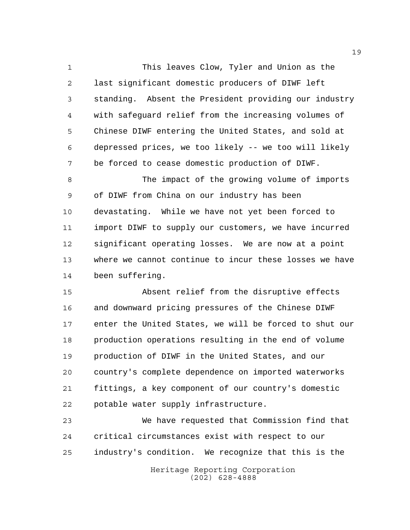This leaves Clow, Tyler and Union as the last significant domestic producers of DIWF left standing. Absent the President providing our industry with safeguard relief from the increasing volumes of Chinese DIWF entering the United States, and sold at depressed prices, we too likely -- we too will likely be forced to cease domestic production of DIWF.

 The impact of the growing volume of imports of DIWF from China on our industry has been devastating. While we have not yet been forced to import DIWF to supply our customers, we have incurred significant operating losses. We are now at a point where we cannot continue to incur these losses we have been suffering.

 Absent relief from the disruptive effects and downward pricing pressures of the Chinese DIWF enter the United States, we will be forced to shut our production operations resulting in the end of volume production of DIWF in the United States, and our country's complete dependence on imported waterworks fittings, a key component of our country's domestic potable water supply infrastructure.

 We have requested that Commission find that critical circumstances exist with respect to our industry's condition. We recognize that this is the

Heritage Reporting Corporation (202) 628-4888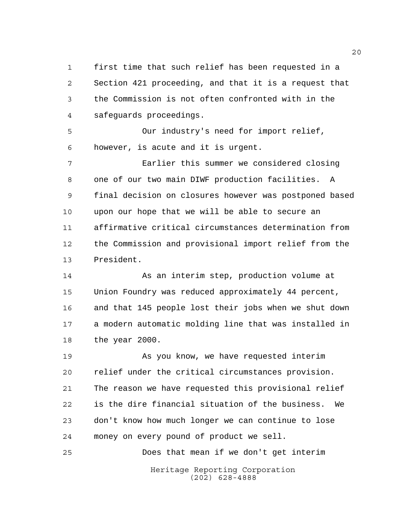first time that such relief has been requested in a Section 421 proceeding, and that it is a request that the Commission is not often confronted with in the safeguards proceedings.

 Our industry's need for import relief, however, is acute and it is urgent.

 Earlier this summer we considered closing one of our two main DIWF production facilities. A final decision on closures however was postponed based upon our hope that we will be able to secure an affirmative critical circumstances determination from the Commission and provisional import relief from the President.

 As an interim step, production volume at Union Foundry was reduced approximately 44 percent, and that 145 people lost their jobs when we shut down a modern automatic molding line that was installed in the year 2000.

 As you know, we have requested interim relief under the critical circumstances provision. The reason we have requested this provisional relief is the dire financial situation of the business. We don't know how much longer we can continue to lose money on every pound of product we sell.

Heritage Reporting Corporation (202) 628-4888 Does that mean if we don't get interim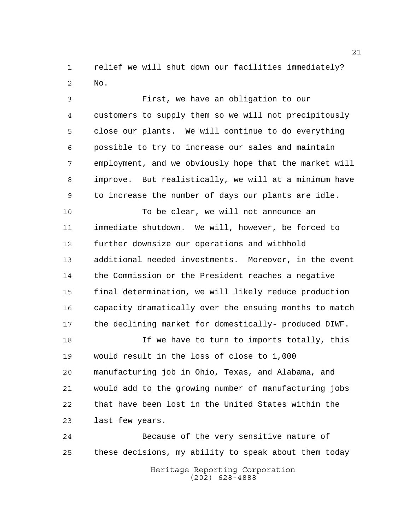relief we will shut down our facilities immediately? No.

 First, we have an obligation to our customers to supply them so we will not precipitously close our plants. We will continue to do everything possible to try to increase our sales and maintain employment, and we obviously hope that the market will improve. But realistically, we will at a minimum have to increase the number of days our plants are idle.

 To be clear, we will not announce an immediate shutdown. We will, however, be forced to further downsize our operations and withhold additional needed investments. Moreover, in the event the Commission or the President reaches a negative final determination, we will likely reduce production capacity dramatically over the ensuing months to match the declining market for domestically- produced DIWF.

18 18 If we have to turn to imports totally, this would result in the loss of close to 1,000 manufacturing job in Ohio, Texas, and Alabama, and would add to the growing number of manufacturing jobs that have been lost in the United States within the last few years.

 Because of the very sensitive nature of these decisions, my ability to speak about them today

Heritage Reporting Corporation (202) 628-4888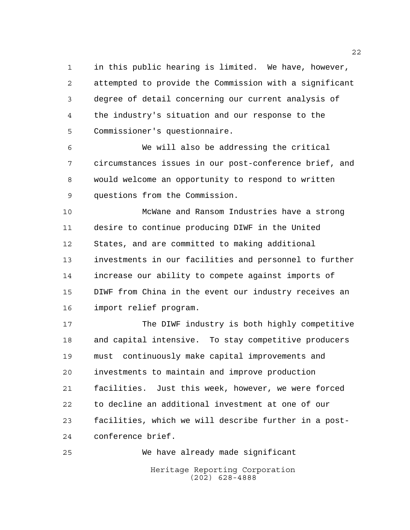in this public hearing is limited. We have, however, attempted to provide the Commission with a significant degree of detail concerning our current analysis of the industry's situation and our response to the Commissioner's questionnaire.

 We will also be addressing the critical circumstances issues in our post-conference brief, and would welcome an opportunity to respond to written questions from the Commission.

 McWane and Ransom Industries have a strong desire to continue producing DIWF in the United States, and are committed to making additional investments in our facilities and personnel to further increase our ability to compete against imports of DIWF from China in the event our industry receives an import relief program.

 The DIWF industry is both highly competitive and capital intensive. To stay competitive producers must continuously make capital improvements and investments to maintain and improve production facilities. Just this week, however, we were forced to decline an additional investment at one of our facilities, which we will describe further in a post-conference brief.

Heritage Reporting Corporation (202) 628-4888 We have already made significant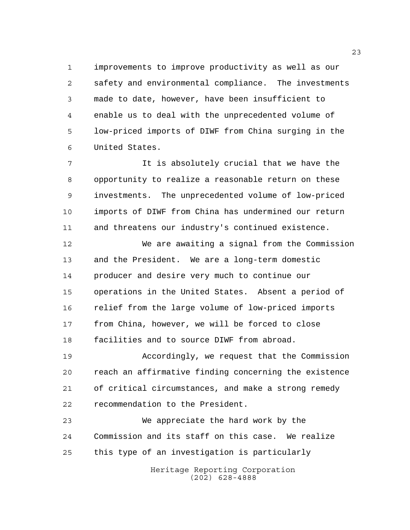improvements to improve productivity as well as our safety and environmental compliance. The investments made to date, however, have been insufficient to enable us to deal with the unprecedented volume of low-priced imports of DIWF from China surging in the United States.

 It is absolutely crucial that we have the opportunity to realize a reasonable return on these investments. The unprecedented volume of low-priced imports of DIWF from China has undermined our return and threatens our industry's continued existence.

 We are awaiting a signal from the Commission and the President. We are a long-term domestic producer and desire very much to continue our operations in the United States. Absent a period of relief from the large volume of low-priced imports from China, however, we will be forced to close facilities and to source DIWF from abroad.

 Accordingly, we request that the Commission reach an affirmative finding concerning the existence of critical circumstances, and make a strong remedy recommendation to the President.

 We appreciate the hard work by the Commission and its staff on this case. We realize this type of an investigation is particularly

> Heritage Reporting Corporation (202) 628-4888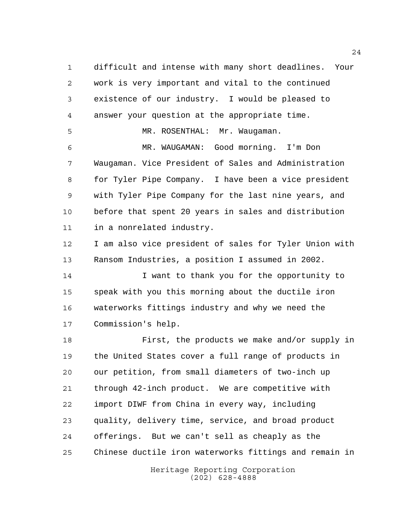difficult and intense with many short deadlines. Your work is very important and vital to the continued existence of our industry. I would be pleased to answer your question at the appropriate time.

MR. ROSENTHAL: Mr. Waugaman.

 MR. WAUGAMAN: Good morning. I'm Don Waugaman. Vice President of Sales and Administration for Tyler Pipe Company. I have been a vice president with Tyler Pipe Company for the last nine years, and before that spent 20 years in sales and distribution in a nonrelated industry.

 I am also vice president of sales for Tyler Union with Ransom Industries, a position I assumed in 2002.

14 I want to thank you for the opportunity to speak with you this morning about the ductile iron waterworks fittings industry and why we need the Commission's help.

 First, the products we make and/or supply in the United States cover a full range of products in our petition, from small diameters of two-inch up through 42-inch product. We are competitive with import DIWF from China in every way, including quality, delivery time, service, and broad product offerings. But we can't sell as cheaply as the Chinese ductile iron waterworks fittings and remain in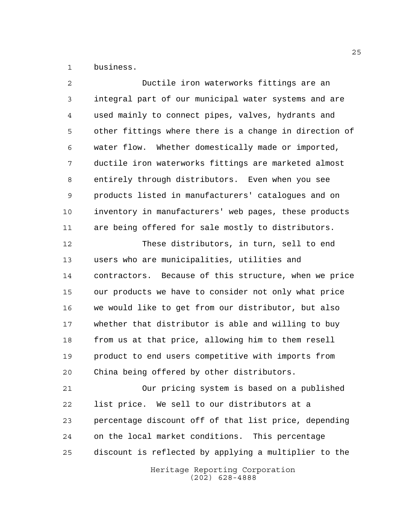business.

| 2  | Ductile iron waterworks fittings are an                |
|----|--------------------------------------------------------|
| 3  | integral part of our municipal water systems and are   |
| 4  | used mainly to connect pipes, valves, hydrants and     |
| 5  | other fittings where there is a change in direction of |
| 6  | water flow. Whether domestically made or imported,     |
| 7  | ductile iron waterworks fittings are marketed almost   |
| 8  | entirely through distributors. Even when you see       |
| 9  | products listed in manufacturers' catalogues and on    |
| 10 | inventory in manufacturers' web pages, these products  |
| 11 | are being offered for sale mostly to distributors.     |
| 12 | These distributors, in turn, sell to end               |
| 13 | users who are municipalities, utilities and            |
| 14 | contractors. Because of this structure, when we price  |
| 15 | our products we have to consider not only what price   |
| 16 | we would like to get from our distributor, but also    |
| 17 | whether that distributor is able and willing to buy    |
| 18 | from us at that price, allowing him to them resell     |
| 19 | product to end users competitive with imports from     |
| 20 | China being offered by other distributors.             |
| 21 | Our pricing system is based on a published             |
| 22 | list price. We sell to our distributors at a           |
| 23 | percentage discount off of that list price, depending  |
| 24 | on the local market conditions. This percentage        |
| 25 | discount is reflected by applying a multiplier to the  |
|    | Heritage Reporting Corporation<br>$(202)$ 628-4888     |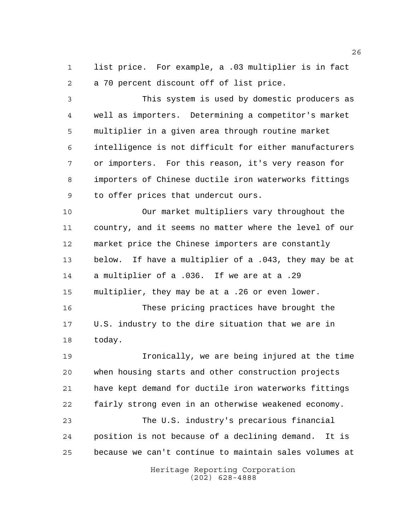list price. For example, a .03 multiplier is in fact a 70 percent discount off of list price.

 This system is used by domestic producers as well as importers. Determining a competitor's market multiplier in a given area through routine market intelligence is not difficult for either manufacturers or importers. For this reason, it's very reason for importers of Chinese ductile iron waterworks fittings to offer prices that undercut ours.

 Our market multipliers vary throughout the country, and it seems no matter where the level of our market price the Chinese importers are constantly below. If have a multiplier of a .043, they may be at a multiplier of a .036. If we are at a .29 multiplier, they may be at a .26 or even lower.

 These pricing practices have brought the U.S. industry to the dire situation that we are in today.

 Ironically, we are being injured at the time when housing starts and other construction projects have kept demand for ductile iron waterworks fittings fairly strong even in an otherwise weakened economy. The U.S. industry's precarious financial position is not because of a declining demand. It is because we can't continue to maintain sales volumes at

> Heritage Reporting Corporation (202) 628-4888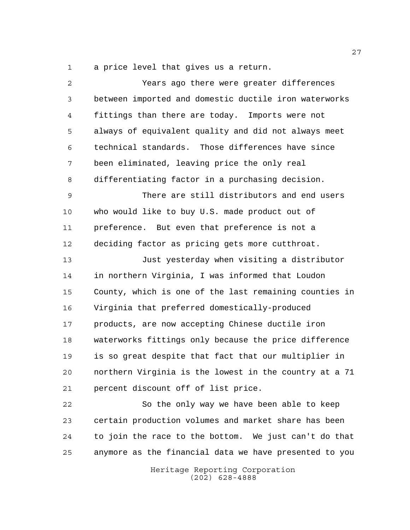a price level that gives us a return.

| 2  | Years ago there were greater differences               |
|----|--------------------------------------------------------|
| 3  | between imported and domestic ductile iron waterworks  |
| 4  | fittings than there are today. Imports were not        |
| 5  | always of equivalent quality and did not always meet   |
| 6  | technical standards. Those differences have since      |
| 7  | been eliminated, leaving price the only real           |
| 8  | differentiating factor in a purchasing decision.       |
| 9  | There are still distributors and end users             |
| 10 | who would like to buy U.S. made product out of         |
| 11 | preference. But even that preference is not a          |
| 12 | deciding factor as pricing gets more cutthroat.        |
| 13 | Just yesterday when visiting a distributor             |
| 14 | in northern Virginia, I was informed that Loudon       |
| 15 | County, which is one of the last remaining counties in |
| 16 | Virginia that preferred domestically-produced          |
| 17 | products, are now accepting Chinese ductile iron       |
| 18 | waterworks fittings only because the price difference  |
| 19 | is so great despite that fact that our multiplier in   |
| 20 | northern Virginia is the lowest in the country at a 71 |
| 21 | percent discount off of list price.                    |
| 22 | So the only way we have been able to keep              |
| 23 | certain production volumes and market share has been   |
| 24 | to join the race to the bottom. We just can't do that  |
| 25 | anymore as the financial data we have presented to you |
|    |                                                        |

Heritage Reporting Corporation (202) 628-4888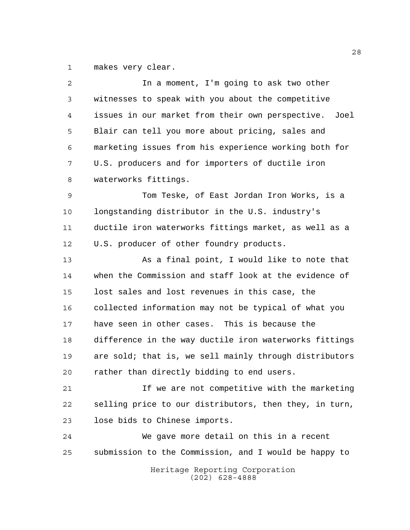makes very clear.

| 2  | In a moment, I'm going to ask two other                |
|----|--------------------------------------------------------|
| 3  | witnesses to speak with you about the competitive      |
| 4  | issues in our market from their own perspective. Joel  |
| 5  | Blair can tell you more about pricing, sales and       |
| 6  | marketing issues from his experience working both for  |
| 7  | U.S. producers and for importers of ductile iron       |
| 8  | waterworks fittings.                                   |
| 9  | Tom Teske, of East Jordan Iron Works, is a             |
| 10 | longstanding distributor in the U.S. industry's        |
| 11 | ductile iron waterworks fittings market, as well as a  |
| 12 | U.S. producer of other foundry products.               |
| 13 | As a final point, I would like to note that            |
| 14 | when the Commission and staff look at the evidence of  |
| 15 | lost sales and lost revenues in this case, the         |
| 16 | collected information may not be typical of what you   |
| 17 | have seen in other cases. This is because the          |
| 18 | difference in the way ductile iron waterworks fittings |
| 19 | are sold; that is, we sell mainly through distributors |
| 20 | rather than directly bidding to end users.             |
| 21 | If we are not competitive with the marketing           |
| 22 | selling price to our distributors, then they, in turn, |
| 23 | lose bids to Chinese imports.                          |
| 24 | We gave more detail on this in a recent                |
| 25 | submission to the Commission, and I would be happy to  |
|    | Heritage Reporting Corporation<br>$(202)$ 628-4888     |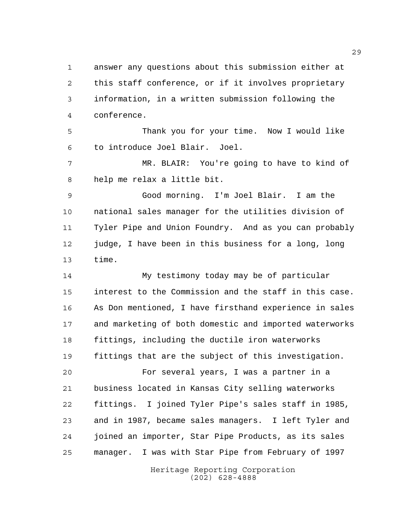answer any questions about this submission either at this staff conference, or if it involves proprietary information, in a written submission following the conference.

 Thank you for your time. Now I would like to introduce Joel Blair. Joel.

 MR. BLAIR: You're going to have to kind of help me relax a little bit.

 Good morning. I'm Joel Blair. I am the national sales manager for the utilities division of Tyler Pipe and Union Foundry. And as you can probably judge, I have been in this business for a long, long time.

 My testimony today may be of particular interest to the Commission and the staff in this case. As Don mentioned, I have firsthand experience in sales and marketing of both domestic and imported waterworks fittings, including the ductile iron waterworks fittings that are the subject of this investigation.

 For several years, I was a partner in a business located in Kansas City selling waterworks fittings. I joined Tyler Pipe's sales staff in 1985, and in 1987, became sales managers. I left Tyler and joined an importer, Star Pipe Products, as its sales manager. I was with Star Pipe from February of 1997

> Heritage Reporting Corporation (202) 628-4888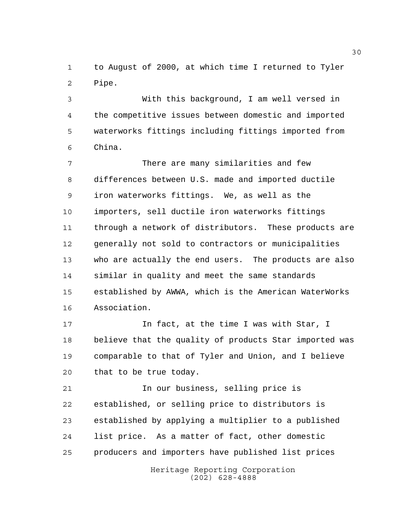to August of 2000, at which time I returned to Tyler Pipe.

 With this background, I am well versed in the competitive issues between domestic and imported waterworks fittings including fittings imported from China.

 There are many similarities and few differences between U.S. made and imported ductile iron waterworks fittings. We, as well as the importers, sell ductile iron waterworks fittings through a network of distributors. These products are generally not sold to contractors or municipalities who are actually the end users. The products are also similar in quality and meet the same standards established by AWWA, which is the American WaterWorks Association.

17 17 In fact, at the time I was with Star, I believe that the quality of products Star imported was comparable to that of Tyler and Union, and I believe that to be true today.

 In our business, selling price is established, or selling price to distributors is established by applying a multiplier to a published list price. As a matter of fact, other domestic producers and importers have published list prices

> Heritage Reporting Corporation (202) 628-4888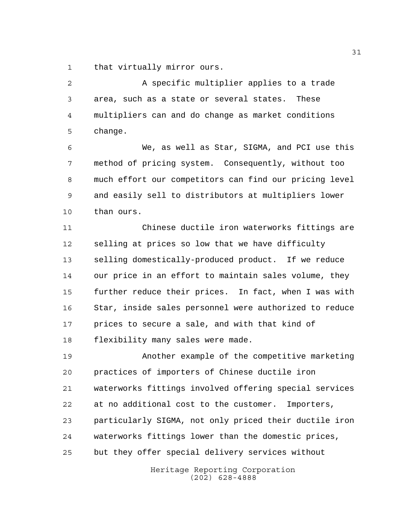that virtually mirror ours.

 A specific multiplier applies to a trade area, such as a state or several states. These multipliers can and do change as market conditions change.

 We, as well as Star, SIGMA, and PCI use this method of pricing system. Consequently, without too much effort our competitors can find our pricing level and easily sell to distributors at multipliers lower than ours.

 Chinese ductile iron waterworks fittings are selling at prices so low that we have difficulty selling domestically-produced product. If we reduce our price in an effort to maintain sales volume, they further reduce their prices. In fact, when I was with Star, inside sales personnel were authorized to reduce prices to secure a sale, and with that kind of flexibility many sales were made.

 Another example of the competitive marketing practices of importers of Chinese ductile iron waterworks fittings involved offering special services at no additional cost to the customer. Importers, particularly SIGMA, not only priced their ductile iron waterworks fittings lower than the domestic prices, but they offer special delivery services without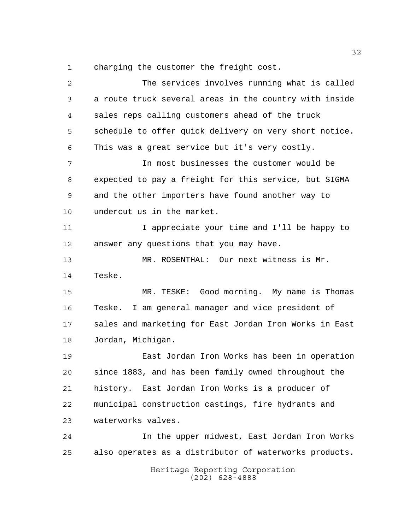charging the customer the freight cost.

Heritage Reporting Corporation (202) 628-4888 The services involves running what is called a route truck several areas in the country with inside sales reps calling customers ahead of the truck schedule to offer quick delivery on very short notice. This was a great service but it's very costly. In most businesses the customer would be expected to pay a freight for this service, but SIGMA and the other importers have found another way to undercut us in the market. I appreciate your time and I'll be happy to answer any questions that you may have. MR. ROSENTHAL: Our next witness is Mr. Teske. MR. TESKE: Good morning. My name is Thomas Teske. I am general manager and vice president of sales and marketing for East Jordan Iron Works in East Jordan, Michigan. East Jordan Iron Works has been in operation since 1883, and has been family owned throughout the history. East Jordan Iron Works is a producer of municipal construction castings, fire hydrants and waterworks valves. In the upper midwest, East Jordan Iron Works also operates as a distributor of waterworks products.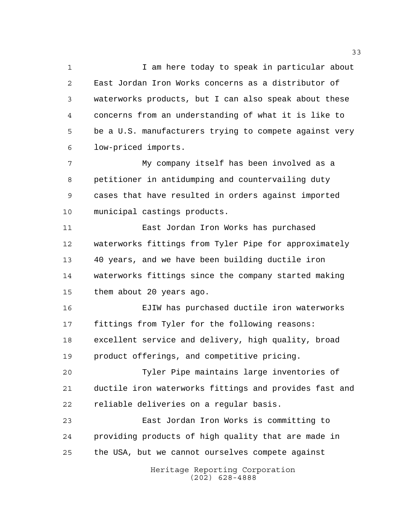1 1 I am here today to speak in particular about East Jordan Iron Works concerns as a distributor of waterworks products, but I can also speak about these concerns from an understanding of what it is like to be a U.S. manufacturers trying to compete against very low-priced imports.

 My company itself has been involved as a petitioner in antidumping and countervailing duty cases that have resulted in orders against imported municipal castings products.

 East Jordan Iron Works has purchased waterworks fittings from Tyler Pipe for approximately 40 years, and we have been building ductile iron waterworks fittings since the company started making them about 20 years ago.

 EJIW has purchased ductile iron waterworks fittings from Tyler for the following reasons: excellent service and delivery, high quality, broad product offerings, and competitive pricing.

 Tyler Pipe maintains large inventories of ductile iron waterworks fittings and provides fast and reliable deliveries on a regular basis.

 East Jordan Iron Works is committing to providing products of high quality that are made in the USA, but we cannot ourselves compete against

> Heritage Reporting Corporation (202) 628-4888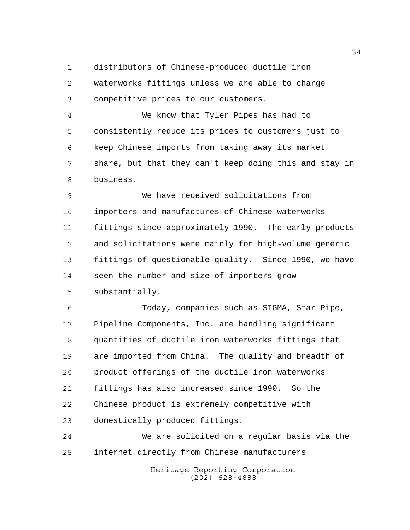distributors of Chinese-produced ductile iron

 waterworks fittings unless we are able to charge competitive prices to our customers.

 We know that Tyler Pipes has had to consistently reduce its prices to customers just to keep Chinese imports from taking away its market share, but that they can't keep doing this and stay in business.

 We have received solicitations from importers and manufactures of Chinese waterworks fittings since approximately 1990. The early products and solicitations were mainly for high-volume generic fittings of questionable quality. Since 1990, we have seen the number and size of importers grow substantially.

 Today, companies such as SIGMA, Star Pipe, Pipeline Components, Inc. are handling significant quantities of ductile iron waterworks fittings that are imported from China. The quality and breadth of product offerings of the ductile iron waterworks fittings has also increased since 1990. So the Chinese product is extremely competitive with domestically produced fittings.

 We are solicited on a regular basis via the internet directly from Chinese manufacturers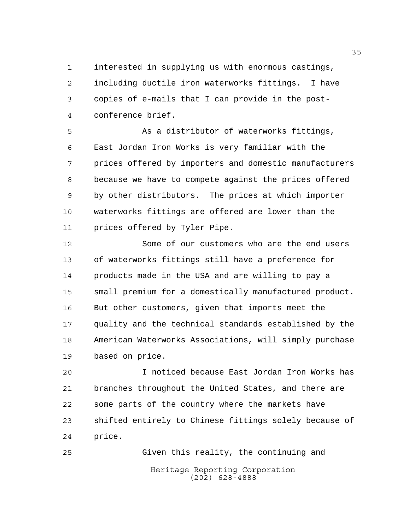interested in supplying us with enormous castings, including ductile iron waterworks fittings. I have copies of e-mails that I can provide in the post-conference brief.

 As a distributor of waterworks fittings, East Jordan Iron Works is very familiar with the prices offered by importers and domestic manufacturers because we have to compete against the prices offered by other distributors. The prices at which importer waterworks fittings are offered are lower than the prices offered by Tyler Pipe.

 Some of our customers who are the end users of waterworks fittings still have a preference for products made in the USA and are willing to pay a small premium for a domestically manufactured product. But other customers, given that imports meet the quality and the technical standards established by the American Waterworks Associations, will simply purchase based on price.

 I noticed because East Jordan Iron Works has branches throughout the United States, and there are some parts of the country where the markets have shifted entirely to Chinese fittings solely because of price.

Heritage Reporting Corporation (202) 628-4888 Given this reality, the continuing and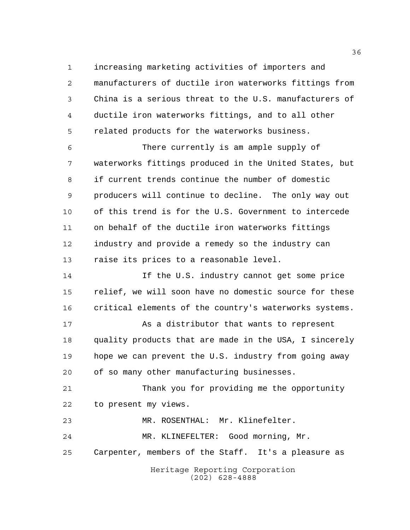increasing marketing activities of importers and manufacturers of ductile iron waterworks fittings from China is a serious threat to the U.S. manufacturers of ductile iron waterworks fittings, and to all other related products for the waterworks business.

 There currently is am ample supply of waterworks fittings produced in the United States, but if current trends continue the number of domestic producers will continue to decline. The only way out of this trend is for the U.S. Government to intercede on behalf of the ductile iron waterworks fittings industry and provide a remedy so the industry can raise its prices to a reasonable level.

14 14 If the U.S. industry cannot get some price relief, we will soon have no domestic source for these critical elements of the country's waterworks systems.

 As a distributor that wants to represent quality products that are made in the USA, I sincerely hope we can prevent the U.S. industry from going away of so many other manufacturing businesses.

 Thank you for providing me the opportunity to present my views.

MR. ROSENTHAL: Mr. Klinefelter.

MR. KLINEFELTER: Good morning, Mr.

Carpenter, members of the Staff. It's a pleasure as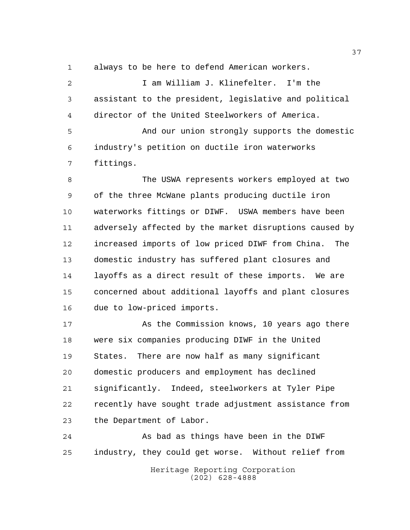always to be here to defend American workers.

 I am William J. Klinefelter. I'm the assistant to the president, legislative and political director of the United Steelworkers of America.

 And our union strongly supports the domestic industry's petition on ductile iron waterworks fittings.

 The USWA represents workers employed at two of the three McWane plants producing ductile iron waterworks fittings or DIWF. USWA members have been adversely affected by the market disruptions caused by increased imports of low priced DIWF from China. The domestic industry has suffered plant closures and layoffs as a direct result of these imports. We are concerned about additional layoffs and plant closures due to low-priced imports.

17 As the Commission knows, 10 years ago there were six companies producing DIWF in the United States. There are now half as many significant domestic producers and employment has declined significantly. Indeed, steelworkers at Tyler Pipe recently have sought trade adjustment assistance from the Department of Labor.

 As bad as things have been in the DIWF industry, they could get worse. Without relief from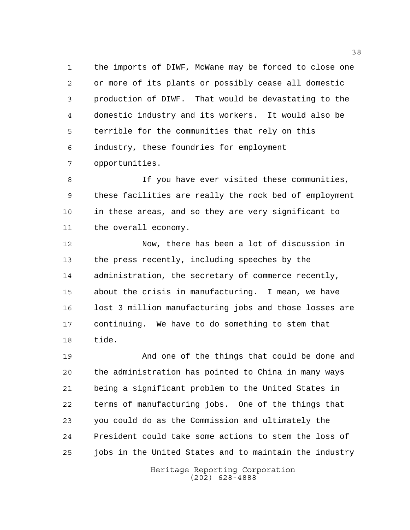the imports of DIWF, McWane may be forced to close one or more of its plants or possibly cease all domestic production of DIWF. That would be devastating to the domestic industry and its workers. It would also be terrible for the communities that rely on this industry, these foundries for employment opportunities.

 If you have ever visited these communities, these facilities are really the rock bed of employment in these areas, and so they are very significant to the overall economy.

 Now, there has been a lot of discussion in the press recently, including speeches by the administration, the secretary of commerce recently, about the crisis in manufacturing. I mean, we have lost 3 million manufacturing jobs and those losses are continuing. We have to do something to stem that tide.

 And one of the things that could be done and the administration has pointed to China in many ways being a significant problem to the United States in terms of manufacturing jobs. One of the things that you could do as the Commission and ultimately the President could take some actions to stem the loss of jobs in the United States and to maintain the industry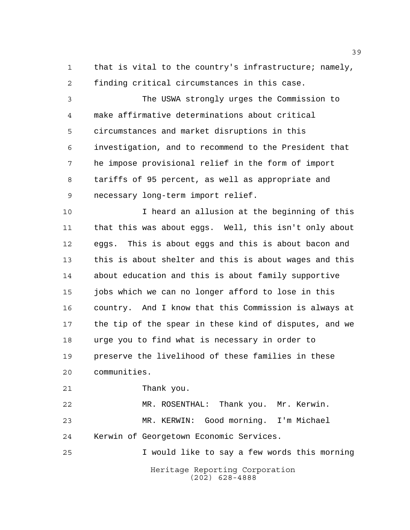that is vital to the country's infrastructure; namely, finding critical circumstances in this case.

 The USWA strongly urges the Commission to make affirmative determinations about critical circumstances and market disruptions in this investigation, and to recommend to the President that he impose provisional relief in the form of import tariffs of 95 percent, as well as appropriate and necessary long-term import relief.

 I heard an allusion at the beginning of this that this was about eggs. Well, this isn't only about eggs. This is about eggs and this is about bacon and this is about shelter and this is about wages and this about education and this is about family supportive 15 jobs which we can no longer afford to lose in this country. And I know that this Commission is always at the tip of the spear in these kind of disputes, and we urge you to find what is necessary in order to preserve the livelihood of these families in these communities.

Thank you.

 MR. ROSENTHAL: Thank you. Mr. Kerwin. MR. KERWIN: Good morning. I'm Michael Kerwin of Georgetown Economic Services. I would like to say a few words this morning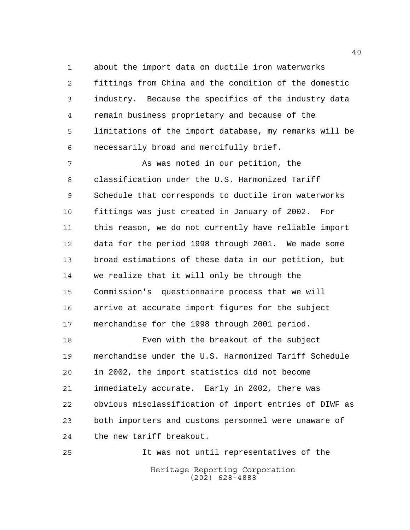about the import data on ductile iron waterworks fittings from China and the condition of the domestic industry. Because the specifics of the industry data remain business proprietary and because of the limitations of the import database, my remarks will be necessarily broad and mercifully brief.

 As was noted in our petition, the classification under the U.S. Harmonized Tariff Schedule that corresponds to ductile iron waterworks fittings was just created in January of 2002. For this reason, we do not currently have reliable import data for the period 1998 through 2001. We made some broad estimations of these data in our petition, but we realize that it will only be through the Commission's questionnaire process that we will arrive at accurate import figures for the subject merchandise for the 1998 through 2001 period.

 Even with the breakout of the subject merchandise under the U.S. Harmonized Tariff Schedule in 2002, the import statistics did not become immediately accurate. Early in 2002, there was obvious misclassification of import entries of DIWF as both importers and customs personnel were unaware of the new tariff breakout.

Heritage Reporting Corporation (202) 628-4888 It was not until representatives of the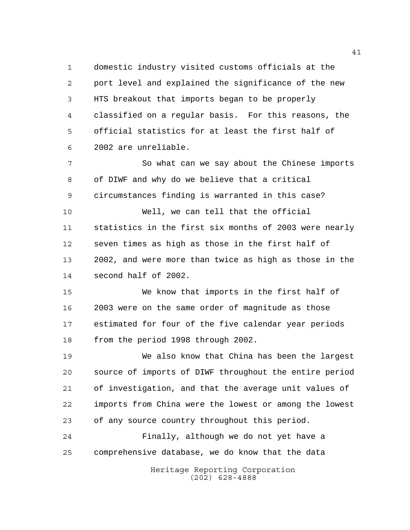domestic industry visited customs officials at the port level and explained the significance of the new HTS breakout that imports began to be properly classified on a regular basis. For this reasons, the official statistics for at least the first half of 2002 are unreliable.

 So what can we say about the Chinese imports of DIWF and why do we believe that a critical circumstances finding is warranted in this case? Well, we can tell that the official statistics in the first six months of 2003 were nearly

 seven times as high as those in the first half of 2002, and were more than twice as high as those in the second half of 2002.

 We know that imports in the first half of 2003 were on the same order of magnitude as those estimated for four of the five calendar year periods from the period 1998 through 2002.

 We also know that China has been the largest source of imports of DIWF throughout the entire period of investigation, and that the average unit values of imports from China were the lowest or among the lowest of any source country throughout this period.

 Finally, although we do not yet have a comprehensive database, we do know that the data

> Heritage Reporting Corporation (202) 628-4888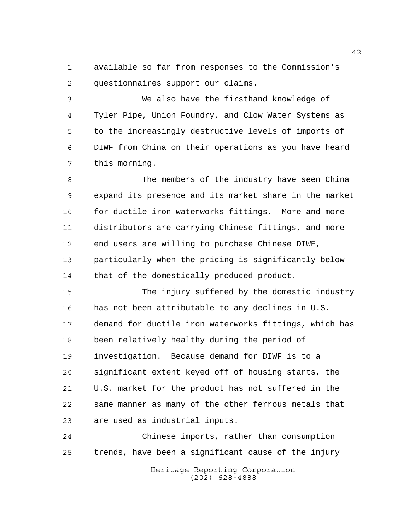available so far from responses to the Commission's questionnaires support our claims.

 We also have the firsthand knowledge of Tyler Pipe, Union Foundry, and Clow Water Systems as to the increasingly destructive levels of imports of DIWF from China on their operations as you have heard this morning.

 The members of the industry have seen China expand its presence and its market share in the market 10 for ductile iron waterworks fittings. More and more distributors are carrying Chinese fittings, and more end users are willing to purchase Chinese DIWF, particularly when the pricing is significantly below that of the domestically-produced product.

 The injury suffered by the domestic industry has not been attributable to any declines in U.S. demand for ductile iron waterworks fittings, which has been relatively healthy during the period of investigation. Because demand for DIWF is to a significant extent keyed off of housing starts, the U.S. market for the product has not suffered in the same manner as many of the other ferrous metals that are used as industrial inputs.

 Chinese imports, rather than consumption trends, have been a significant cause of the injury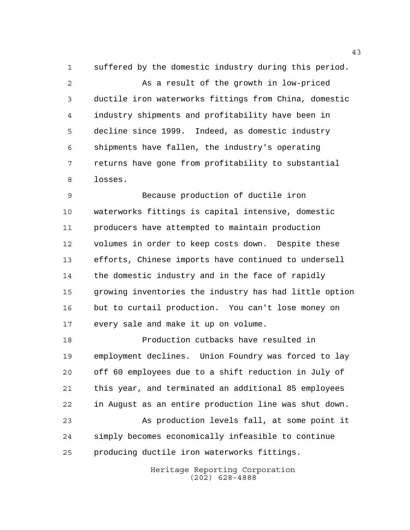suffered by the domestic industry during this period. As a result of the growth in low-priced ductile iron waterworks fittings from China, domestic industry shipments and profitability have been in decline since 1999. Indeed, as domestic industry shipments have fallen, the industry's operating returns have gone from profitability to substantial losses.

 Because production of ductile iron waterworks fittings is capital intensive, domestic producers have attempted to maintain production volumes in order to keep costs down. Despite these efforts, Chinese imports have continued to undersell the domestic industry and in the face of rapidly growing inventories the industry has had little option but to curtail production. You can't lose money on every sale and make it up on volume.

 Production cutbacks have resulted in employment declines. Union Foundry was forced to lay off 60 employees due to a shift reduction in July of this year, and terminated an additional 85 employees in August as an entire production line was shut down. As production levels fall, at some point it simply becomes economically infeasible to continue producing ductile iron waterworks fittings.

> Heritage Reporting Corporation (202) 628-4888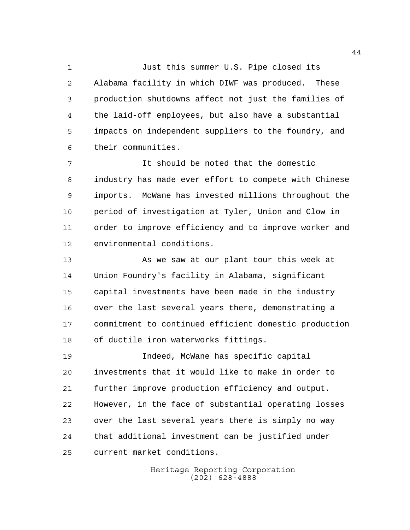Just this summer U.S. Pipe closed its Alabama facility in which DIWF was produced. These production shutdowns affect not just the families of the laid-off employees, but also have a substantial impacts on independent suppliers to the foundry, and their communities.

 It should be noted that the domestic industry has made ever effort to compete with Chinese imports. McWane has invested millions throughout the period of investigation at Tyler, Union and Clow in order to improve efficiency and to improve worker and environmental conditions.

 As we saw at our plant tour this week at Union Foundry's facility in Alabama, significant capital investments have been made in the industry over the last several years there, demonstrating a commitment to continued efficient domestic production of ductile iron waterworks fittings.

 Indeed, McWane has specific capital investments that it would like to make in order to further improve production efficiency and output. However, in the face of substantial operating losses over the last several years there is simply no way that additional investment can be justified under current market conditions.

> Heritage Reporting Corporation (202) 628-4888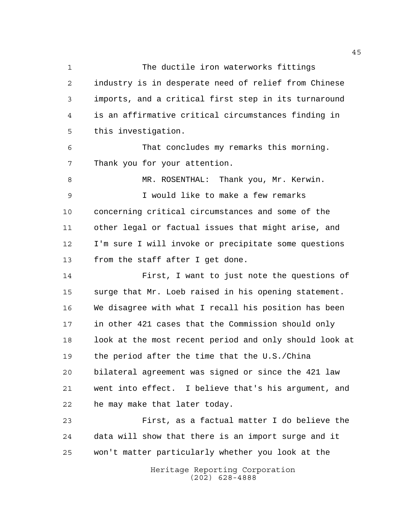The ductile iron waterworks fittings industry is in desperate need of relief from Chinese imports, and a critical first step in its turnaround is an affirmative critical circumstances finding in this investigation.

 That concludes my remarks this morning. Thank you for your attention.

 MR. ROSENTHAL: Thank you, Mr. Kerwin. I would like to make a few remarks concerning critical circumstances and some of the other legal or factual issues that might arise, and I'm sure I will invoke or precipitate some questions from the staff after I get done.

 First, I want to just note the questions of surge that Mr. Loeb raised in his opening statement. We disagree with what I recall his position has been in other 421 cases that the Commission should only look at the most recent period and only should look at the period after the time that the U.S./China bilateral agreement was signed or since the 421 law went into effect. I believe that's his argument, and he may make that later today.

 First, as a factual matter I do believe the data will show that there is an import surge and it won't matter particularly whether you look at the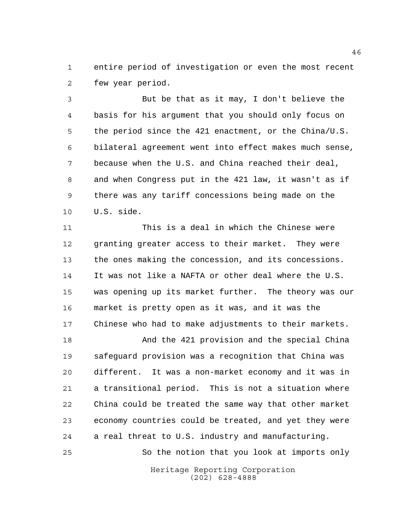entire period of investigation or even the most recent few year period.

 But be that as it may, I don't believe the basis for his argument that you should only focus on the period since the 421 enactment, or the China/U.S. bilateral agreement went into effect makes much sense, because when the U.S. and China reached their deal, and when Congress put in the 421 law, it wasn't as if there was any tariff concessions being made on the U.S. side.

 This is a deal in which the Chinese were granting greater access to their market. They were the ones making the concession, and its concessions. It was not like a NAFTA or other deal where the U.S. was opening up its market further. The theory was our market is pretty open as it was, and it was the Chinese who had to make adjustments to their markets.

 And the 421 provision and the special China safeguard provision was a recognition that China was different. It was a non-market economy and it was in a transitional period. This is not a situation where China could be treated the same way that other market economy countries could be treated, and yet they were a real threat to U.S. industry and manufacturing.

So the notion that you look at imports only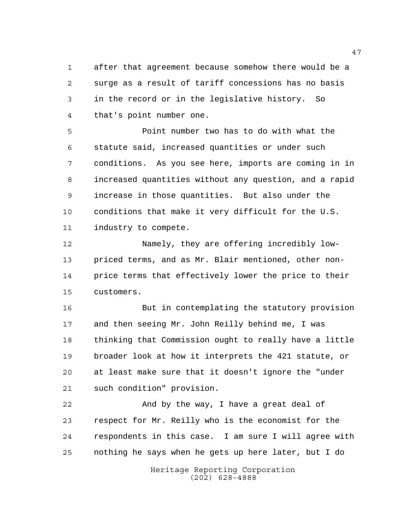after that agreement because somehow there would be a surge as a result of tariff concessions has no basis in the record or in the legislative history. So that's point number one.

 Point number two has to do with what the statute said, increased quantities or under such conditions. As you see here, imports are coming in in increased quantities without any question, and a rapid increase in those quantities. But also under the conditions that make it very difficult for the U.S. industry to compete.

 Namely, they are offering incredibly low- priced terms, and as Mr. Blair mentioned, other non- price terms that effectively lower the price to their customers.

 But in contemplating the statutory provision and then seeing Mr. John Reilly behind me, I was thinking that Commission ought to really have a little broader look at how it interprets the 421 statute, or at least make sure that it doesn't ignore the "under such condition" provision.

22 And by the way, I have a great deal of respect for Mr. Reilly who is the economist for the respondents in this case. I am sure I will agree with nothing he says when he gets up here later, but I do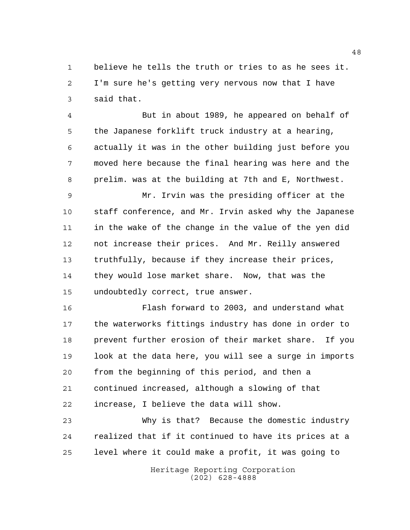believe he tells the truth or tries to as he sees it. I'm sure he's getting very nervous now that I have said that.

 But in about 1989, he appeared on behalf of the Japanese forklift truck industry at a hearing, actually it was in the other building just before you moved here because the final hearing was here and the prelim. was at the building at 7th and E, Northwest.

 Mr. Irvin was the presiding officer at the staff conference, and Mr. Irvin asked why the Japanese in the wake of the change in the value of the yen did not increase their prices. And Mr. Reilly answered truthfully, because if they increase their prices, they would lose market share. Now, that was the undoubtedly correct, true answer.

 Flash forward to 2003, and understand what the waterworks fittings industry has done in order to prevent further erosion of their market share. If you look at the data here, you will see a surge in imports from the beginning of this period, and then a continued increased, although a slowing of that increase, I believe the data will show.

 Why is that? Because the domestic industry realized that if it continued to have its prices at a level where it could make a profit, it was going to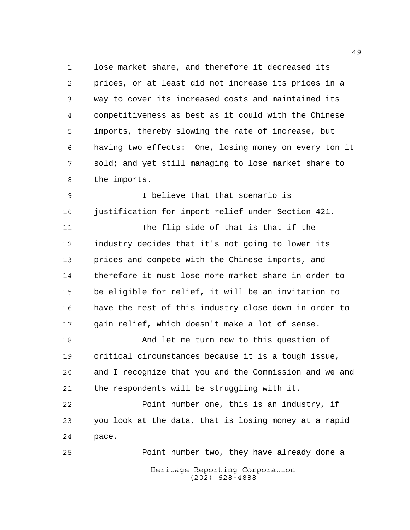lose market share, and therefore it decreased its prices, or at least did not increase its prices in a way to cover its increased costs and maintained its competitiveness as best as it could with the Chinese imports, thereby slowing the rate of increase, but having two effects: One, losing money on every ton it sold; and yet still managing to lose market share to the imports.

 I believe that that scenario is justification for import relief under Section 421. The flip side of that is that if the

 industry decides that it's not going to lower its prices and compete with the Chinese imports, and therefore it must lose more market share in order to be eligible for relief, it will be an invitation to have the rest of this industry close down in order to gain relief, which doesn't make a lot of sense.

 And let me turn now to this question of critical circumstances because it is a tough issue, and I recognize that you and the Commission and we and the respondents will be struggling with it.

 Point number one, this is an industry, if you look at the data, that is losing money at a rapid pace.

Heritage Reporting Corporation (202) 628-4888 Point number two, they have already done a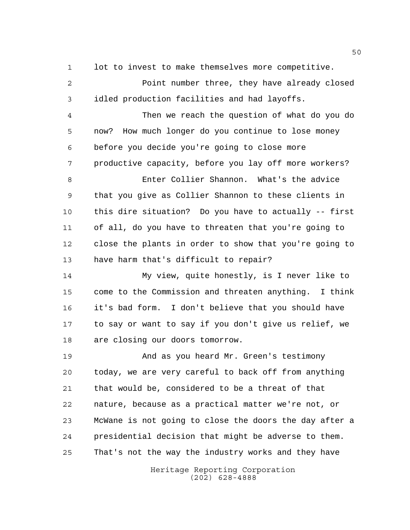lot to invest to make themselves more competitive.

 Point number three, they have already closed idled production facilities and had layoffs.

 Then we reach the question of what do you do now? How much longer do you continue to lose money before you decide you're going to close more productive capacity, before you lay off more workers?

 Enter Collier Shannon. What's the advice that you give as Collier Shannon to these clients in this dire situation? Do you have to actually -- first of all, do you have to threaten that you're going to close the plants in order to show that you're going to have harm that's difficult to repair?

 My view, quite honestly, is I never like to come to the Commission and threaten anything. I think it's bad form. I don't believe that you should have to say or want to say if you don't give us relief, we are closing our doors tomorrow.

 And as you heard Mr. Green's testimony today, we are very careful to back off from anything that would be, considered to be a threat of that nature, because as a practical matter we're not, or McWane is not going to close the doors the day after a presidential decision that might be adverse to them. That's not the way the industry works and they have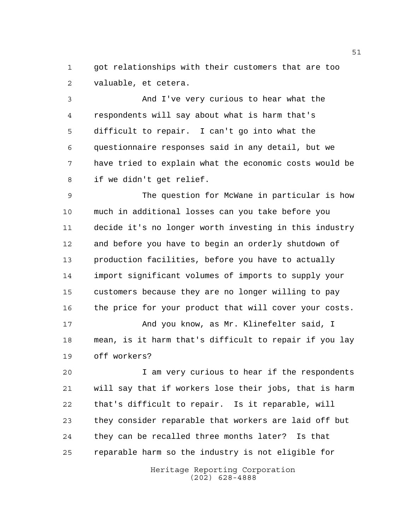got relationships with their customers that are too valuable, et cetera.

 And I've very curious to hear what the respondents will say about what is harm that's difficult to repair. I can't go into what the questionnaire responses said in any detail, but we have tried to explain what the economic costs would be if we didn't get relief.

 The question for McWane in particular is how much in additional losses can you take before you decide it's no longer worth investing in this industry and before you have to begin an orderly shutdown of production facilities, before you have to actually import significant volumes of imports to supply your customers because they are no longer willing to pay the price for your product that will cover your costs. And you know, as Mr. Klinefelter said, I

 mean, is it harm that's difficult to repair if you lay off workers?

 I am very curious to hear if the respondents will say that if workers lose their jobs, that is harm that's difficult to repair. Is it reparable, will they consider reparable that workers are laid off but they can be recalled three months later? Is that reparable harm so the industry is not eligible for

> Heritage Reporting Corporation (202) 628-4888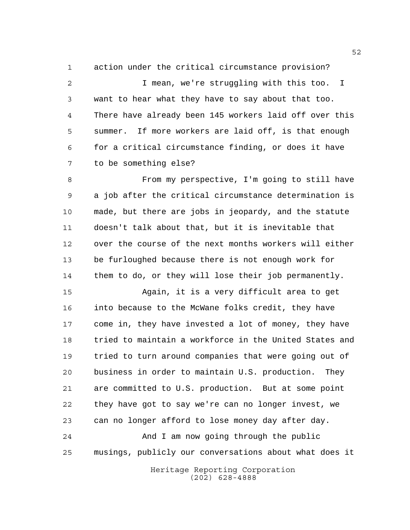action under the critical circumstance provision? I mean, we're struggling with this too. I want to hear what they have to say about that too. There have already been 145 workers laid off over this summer. If more workers are laid off, is that enough for a critical circumstance finding, or does it have to be something else?

8 From my perspective, I'm going to still have a job after the critical circumstance determination is made, but there are jobs in jeopardy, and the statute doesn't talk about that, but it is inevitable that over the course of the next months workers will either be furloughed because there is not enough work for them to do, or they will lose their job permanently.

 Again, it is a very difficult area to get into because to the McWane folks credit, they have come in, they have invested a lot of money, they have tried to maintain a workforce in the United States and tried to turn around companies that were going out of business in order to maintain U.S. production. They are committed to U.S. production. But at some point they have got to say we're can no longer invest, we can no longer afford to lose money day after day. And I am now going through the public musings, publicly our conversations about what does it

> Heritage Reporting Corporation (202) 628-4888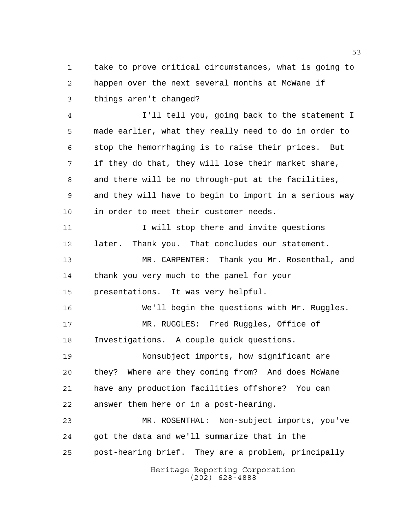take to prove critical circumstances, what is going to happen over the next several months at McWane if things aren't changed?

 I'll tell you, going back to the statement I made earlier, what they really need to do in order to stop the hemorrhaging is to raise their prices. But if they do that, they will lose their market share, and there will be no through-put at the facilities, and they will have to begin to import in a serious way in order to meet their customer needs. 11 11 I will stop there and invite questions later. Thank you. That concludes our statement. MR. CARPENTER: Thank you Mr. Rosenthal, and thank you very much to the panel for your presentations. It was very helpful. We'll begin the questions with Mr. Ruggles. MR. RUGGLES: Fred Ruggles, Office of Investigations. A couple quick questions. Nonsubject imports, how significant are they? Where are they coming from? And does McWane have any production facilities offshore? You can answer them here or in a post-hearing. MR. ROSENTHAL: Non-subject imports, you've got the data and we'll summarize that in the post-hearing brief. They are a problem, principally

Heritage Reporting Corporation (202) 628-4888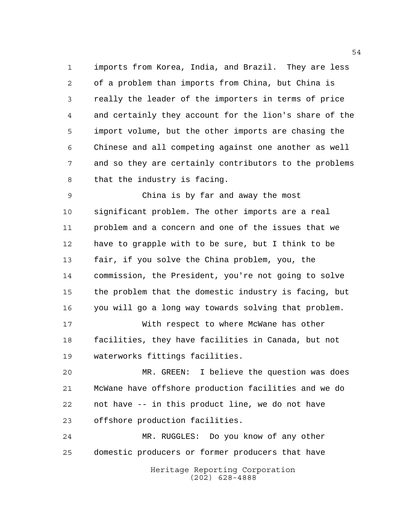imports from Korea, India, and Brazil. They are less of a problem than imports from China, but China is really the leader of the importers in terms of price and certainly they account for the lion's share of the import volume, but the other imports are chasing the Chinese and all competing against one another as well and so they are certainly contributors to the problems that the industry is facing.

 China is by far and away the most significant problem. The other imports are a real problem and a concern and one of the issues that we have to grapple with to be sure, but I think to be fair, if you solve the China problem, you, the commission, the President, you're not going to solve the problem that the domestic industry is facing, but you will go a long way towards solving that problem.

 With respect to where McWane has other facilities, they have facilities in Canada, but not waterworks fittings facilities.

 MR. GREEN: I believe the question was does McWane have offshore production facilities and we do not have -- in this product line, we do not have offshore production facilities.

 MR. RUGGLES: Do you know of any other domestic producers or former producers that have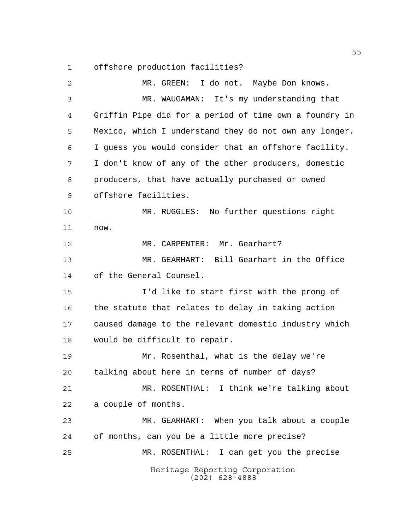offshore production facilities?

Heritage Reporting Corporation (202) 628-4888 MR. GREEN: I do not. Maybe Don knows. MR. WAUGAMAN: It's my understanding that Griffin Pipe did for a period of time own a foundry in Mexico, which I understand they do not own any longer. I guess you would consider that an offshore facility. I don't know of any of the other producers, domestic producers, that have actually purchased or owned offshore facilities. MR. RUGGLES: No further questions right now. 12 MR. CARPENTER: Mr. Gearhart? MR. GEARHART: Bill Gearhart in the Office of the General Counsel. I'd like to start first with the prong of 16 the statute that relates to delay in taking action caused damage to the relevant domestic industry which would be difficult to repair. Mr. Rosenthal, what is the delay we're talking about here in terms of number of days? MR. ROSENTHAL: I think we're talking about a couple of months. MR. GEARHART: When you talk about a couple of months, can you be a little more precise? MR. ROSENTHAL: I can get you the precise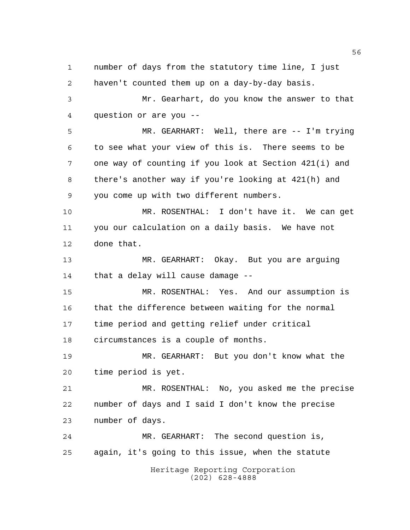Heritage Reporting Corporation (202) 628-4888 number of days from the statutory time line, I just haven't counted them up on a day-by-day basis. Mr. Gearhart, do you know the answer to that question or are you -- MR. GEARHART: Well, there are -- I'm trying to see what your view of this is. There seems to be one way of counting if you look at Section 421(i) and there's another way if you're looking at 421(h) and you come up with two different numbers. MR. ROSENTHAL: I don't have it. We can get you our calculation on a daily basis. We have not done that. MR. GEARHART: Okay. But you are arguing that a delay will cause damage -- MR. ROSENTHAL: Yes. And our assumption is that the difference between waiting for the normal time period and getting relief under critical circumstances is a couple of months. MR. GEARHART: But you don't know what the time period is yet. MR. ROSENTHAL: No, you asked me the precise number of days and I said I don't know the precise number of days. MR. GEARHART: The second question is, again, it's going to this issue, when the statute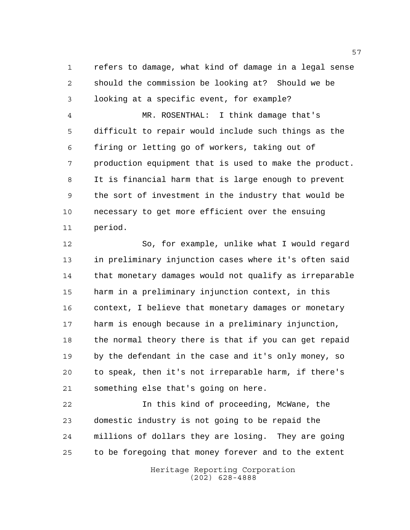refers to damage, what kind of damage in a legal sense should the commission be looking at? Should we be looking at a specific event, for example?

 MR. ROSENTHAL: I think damage that's difficult to repair would include such things as the firing or letting go of workers, taking out of production equipment that is used to make the product. It is financial harm that is large enough to prevent the sort of investment in the industry that would be necessary to get more efficient over the ensuing period.

 So, for example, unlike what I would regard in preliminary injunction cases where it's often said that monetary damages would not qualify as irreparable harm in a preliminary injunction context, in this context, I believe that monetary damages or monetary harm is enough because in a preliminary injunction, 18 the normal theory there is that if you can get repaid by the defendant in the case and it's only money, so to speak, then it's not irreparable harm, if there's something else that's going on here.

 In this kind of proceeding, McWane, the domestic industry is not going to be repaid the millions of dollars they are losing. They are going to be foregoing that money forever and to the extent

> Heritage Reporting Corporation (202) 628-4888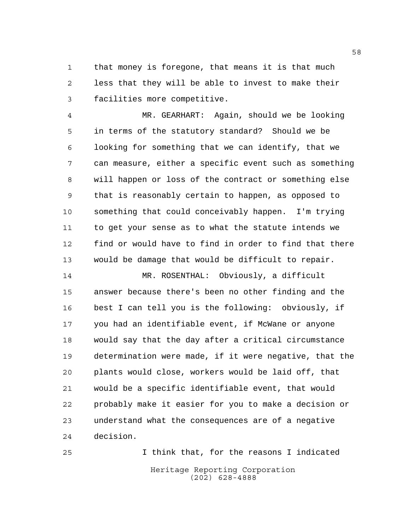that money is foregone, that means it is that much less that they will be able to invest to make their facilities more competitive.

 MR. GEARHART: Again, should we be looking in terms of the statutory standard? Should we be looking for something that we can identify, that we can measure, either a specific event such as something will happen or loss of the contract or something else that is reasonably certain to happen, as opposed to something that could conceivably happen. I'm trying to get your sense as to what the statute intends we find or would have to find in order to find that there would be damage that would be difficult to repair.

 MR. ROSENTHAL: Obviously, a difficult answer because there's been no other finding and the best I can tell you is the following: obviously, if you had an identifiable event, if McWane or anyone would say that the day after a critical circumstance determination were made, if it were negative, that the plants would close, workers would be laid off, that would be a specific identifiable event, that would probably make it easier for you to make a decision or understand what the consequences are of a negative decision.

Heritage Reporting Corporation (202) 628-4888 I think that, for the reasons I indicated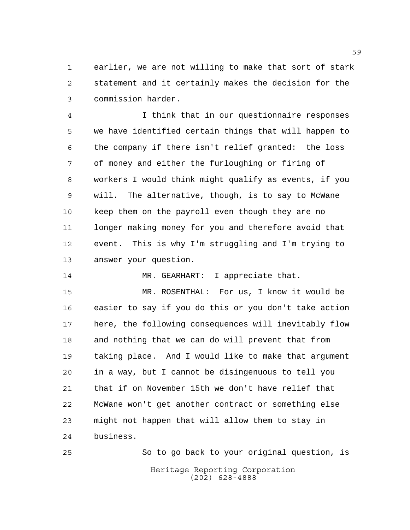earlier, we are not willing to make that sort of stark statement and it certainly makes the decision for the commission harder.

 I think that in our questionnaire responses we have identified certain things that will happen to the company if there isn't relief granted: the loss of money and either the furloughing or firing of workers I would think might qualify as events, if you will. The alternative, though, is to say to McWane keep them on the payroll even though they are no longer making money for you and therefore avoid that event. This is why I'm struggling and I'm trying to answer your question.

14 MR. GEARHART: I appreciate that.

 MR. ROSENTHAL: For us, I know it would be easier to say if you do this or you don't take action here, the following consequences will inevitably flow and nothing that we can do will prevent that from taking place. And I would like to make that argument in a way, but I cannot be disingenuous to tell you that if on November 15th we don't have relief that McWane won't get another contract or something else might not happen that will allow them to stay in business.

Heritage Reporting Corporation (202) 628-4888 So to go back to your original question, is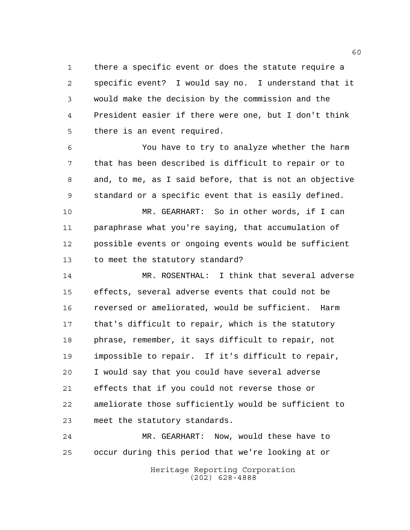there a specific event or does the statute require a specific event? I would say no. I understand that it would make the decision by the commission and the President easier if there were one, but I don't think there is an event required.

 You have to try to analyze whether the harm that has been described is difficult to repair or to and, to me, as I said before, that is not an objective standard or a specific event that is easily defined.

 MR. GEARHART: So in other words, if I can paraphrase what you're saying, that accumulation of possible events or ongoing events would be sufficient to meet the statutory standard?

 MR. ROSENTHAL: I think that several adverse effects, several adverse events that could not be reversed or ameliorated, would be sufficient. Harm that's difficult to repair, which is the statutory phrase, remember, it says difficult to repair, not impossible to repair. If it's difficult to repair, I would say that you could have several adverse effects that if you could not reverse those or ameliorate those sufficiently would be sufficient to meet the statutory standards.

 MR. GEARHART: Now, would these have to occur during this period that we're looking at or

> Heritage Reporting Corporation (202) 628-4888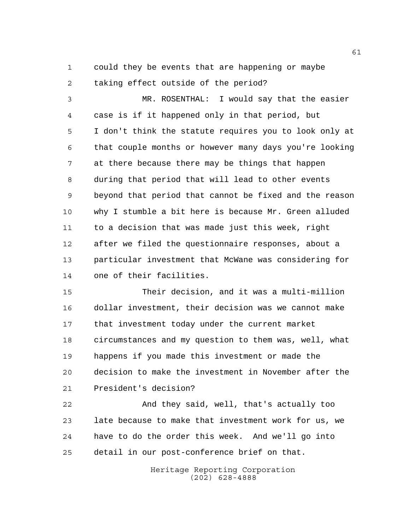could they be events that are happening or maybe taking effect outside of the period?

 MR. ROSENTHAL: I would say that the easier case is if it happened only in that period, but I don't think the statute requires you to look only at that couple months or however many days you're looking at there because there may be things that happen during that period that will lead to other events beyond that period that cannot be fixed and the reason why I stumble a bit here is because Mr. Green alluded to a decision that was made just this week, right after we filed the questionnaire responses, about a particular investment that McWane was considering for one of their facilities.

 Their decision, and it was a multi-million dollar investment, their decision was we cannot make that investment today under the current market circumstances and my question to them was, well, what happens if you made this investment or made the decision to make the investment in November after the President's decision?

 And they said, well, that's actually too late because to make that investment work for us, we have to do the order this week. And we'll go into detail in our post-conference brief on that.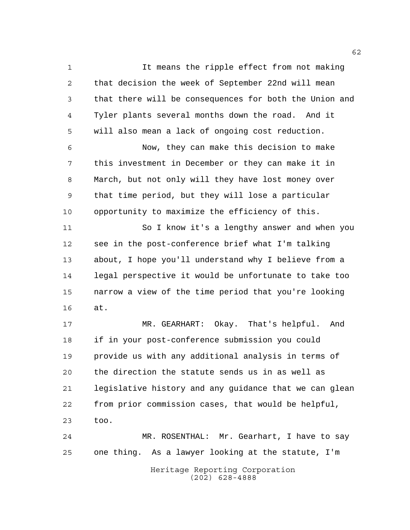It means the ripple effect from not making that decision the week of September 22nd will mean that there will be consequences for both the Union and Tyler plants several months down the road. And it will also mean a lack of ongoing cost reduction. Now, they can make this decision to make this investment in December or they can make it in March, but not only will they have lost money over that time period, but they will lose a particular opportunity to maximize the efficiency of this. So I know it's a lengthy answer and when you see in the post-conference brief what I'm talking about, I hope you'll understand why I believe from a legal perspective it would be unfortunate to take too narrow a view of the time period that you're looking at. MR. GEARHART: Okay. That's helpful. And if in your post-conference submission you could provide us with any additional analysis in terms of the direction the statute sends us in as well as legislative history and any guidance that we can glean from prior commission cases, that would be helpful, too. MR. ROSENTHAL: Mr. Gearhart, I have to say one thing. As a lawyer looking at the statute, I'm

Heritage Reporting Corporation (202) 628-4888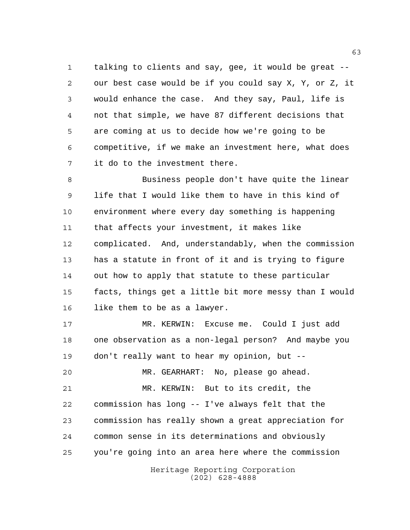talking to clients and say, gee, it would be great -- our best case would be if you could say X, Y, or Z, it would enhance the case. And they say, Paul, life is not that simple, we have 87 different decisions that are coming at us to decide how we're going to be competitive, if we make an investment here, what does it do to the investment there.

 Business people don't have quite the linear life that I would like them to have in this kind of environment where every day something is happening that affects your investment, it makes like complicated. And, understandably, when the commission has a statute in front of it and is trying to figure out how to apply that statute to these particular facts, things get a little bit more messy than I would like them to be as a lawyer.

 MR. KERWIN: Excuse me. Could I just add one observation as a non-legal person? And maybe you don't really want to hear my opinion, but --

Heritage Reporting Corporation MR. GEARHART: No, please go ahead. MR. KERWIN: But to its credit, the commission has long -- I've always felt that the commission has really shown a great appreciation for common sense in its determinations and obviously you're going into an area here where the commission

(202) 628-4888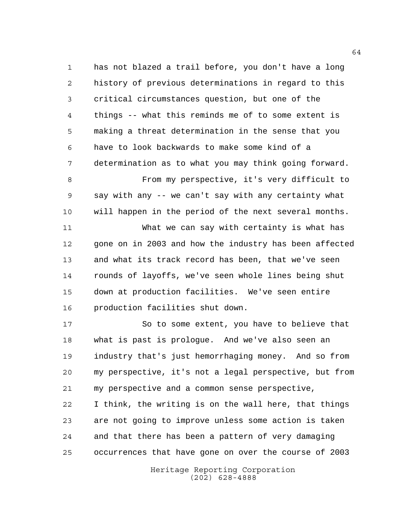has not blazed a trail before, you don't have a long history of previous determinations in regard to this critical circumstances question, but one of the things -- what this reminds me of to some extent is making a threat determination in the sense that you have to look backwards to make some kind of a determination as to what you may think going forward.

 From my perspective, it's very difficult to say with any -- we can't say with any certainty what will happen in the period of the next several months.

 What we can say with certainty is what has 12 gone on in 2003 and how the industry has been affected and what its track record has been, that we've seen rounds of layoffs, we've seen whole lines being shut down at production facilities. We've seen entire production facilities shut down.

 So to some extent, you have to believe that what is past is prologue. And we've also seen an industry that's just hemorrhaging money. And so from my perspective, it's not a legal perspective, but from my perspective and a common sense perspective, I think, the writing is on the wall here, that things are not going to improve unless some action is taken and that there has been a pattern of very damaging occurrences that have gone on over the course of 2003

> Heritage Reporting Corporation (202) 628-4888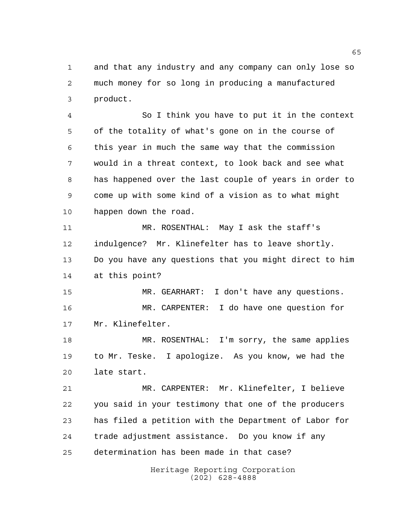and that any industry and any company can only lose so much money for so long in producing a manufactured product.

 So I think you have to put it in the context of the totality of what's gone on in the course of this year in much the same way that the commission would in a threat context, to look back and see what has happened over the last couple of years in order to come up with some kind of a vision as to what might happen down the road.

 MR. ROSENTHAL: May I ask the staff's indulgence? Mr. Klinefelter has to leave shortly. Do you have any questions that you might direct to him at this point?

 MR. GEARHART: I don't have any questions. MR. CARPENTER: I do have one question for Mr. Klinefelter.

 MR. ROSENTHAL: I'm sorry, the same applies to Mr. Teske. I apologize. As you know, we had the late start.

 MR. CARPENTER: Mr. Klinefelter, I believe you said in your testimony that one of the producers has filed a petition with the Department of Labor for trade adjustment assistance. Do you know if any determination has been made in that case?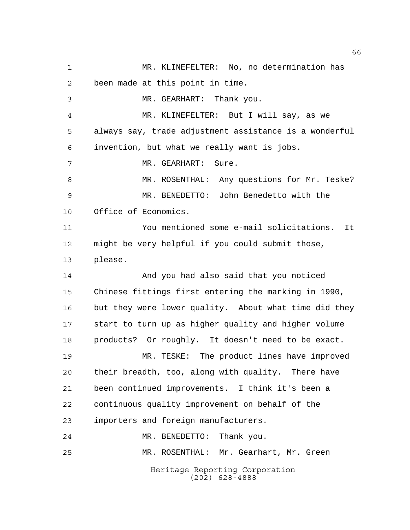Heritage Reporting Corporation (202) 628-4888 MR. KLINEFELTER: No, no determination has been made at this point in time. MR. GEARHART: Thank you. MR. KLINEFELTER: But I will say, as we always say, trade adjustment assistance is a wonderful invention, but what we really want is jobs. MR. GEARHART: Sure. 8 MR. ROSENTHAL: Any questions for Mr. Teske? MR. BENEDETTO: John Benedetto with the Office of Economics. You mentioned some e-mail solicitations. It might be very helpful if you could submit those, please. And you had also said that you noticed Chinese fittings first entering the marking in 1990, but they were lower quality. About what time did they start to turn up as higher quality and higher volume products? Or roughly. It doesn't need to be exact. MR. TESKE: The product lines have improved their breadth, too, along with quality. There have been continued improvements. I think it's been a continuous quality improvement on behalf of the importers and foreign manufacturers. MR. BENEDETTO: Thank you. MR. ROSENTHAL: Mr. Gearhart, Mr. Green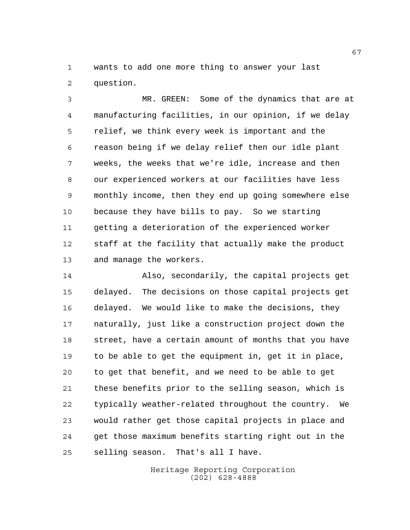wants to add one more thing to answer your last question.

 MR. GREEN: Some of the dynamics that are at manufacturing facilities, in our opinion, if we delay relief, we think every week is important and the reason being if we delay relief then our idle plant weeks, the weeks that we're idle, increase and then our experienced workers at our facilities have less monthly income, then they end up going somewhere else because they have bills to pay. So we starting getting a deterioration of the experienced worker staff at the facility that actually make the product and manage the workers.

 Also, secondarily, the capital projects get delayed. The decisions on those capital projects get delayed. We would like to make the decisions, they naturally, just like a construction project down the street, have a certain amount of months that you have to be able to get the equipment in, get it in place, to get that benefit, and we need to be able to get these benefits prior to the selling season, which is typically weather-related throughout the country. We would rather get those capital projects in place and get those maximum benefits starting right out in the selling season. That's all I have.

> Heritage Reporting Corporation (202) 628-4888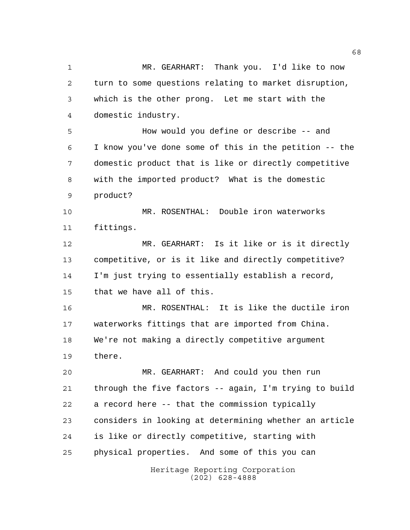MR. GEARHART: Thank you. I'd like to now turn to some questions relating to market disruption, which is the other prong. Let me start with the domestic industry. How would you define or describe -- and I know you've done some of this in the petition -- the domestic product that is like or directly competitive

 with the imported product? What is the domestic product?

 MR. ROSENTHAL: Double iron waterworks fittings.

 MR. GEARHART: Is it like or is it directly competitive, or is it like and directly competitive? I'm just trying to essentially establish a record, that we have all of this.

 MR. ROSENTHAL: It is like the ductile iron waterworks fittings that are imported from China. We're not making a directly competitive argument there.

 MR. GEARHART: And could you then run through the five factors -- again, I'm trying to build a record here -- that the commission typically considers in looking at determining whether an article is like or directly competitive, starting with physical properties. And some of this you can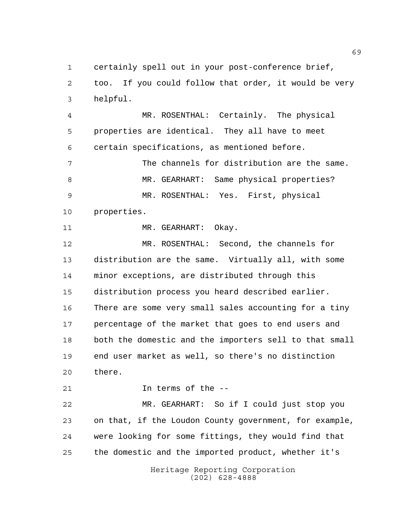certainly spell out in your post-conference brief, too. If you could follow that order, it would be very helpful.

 MR. ROSENTHAL: Certainly. The physical properties are identical. They all have to meet certain specifications, as mentioned before.

 The channels for distribution are the same. MR. GEARHART: Same physical properties? MR. ROSENTHAL: Yes. First, physical properties.

11 MR. GEARHART: Okay.

 MR. ROSENTHAL: Second, the channels for distribution are the same. Virtually all, with some minor exceptions, are distributed through this distribution process you heard described earlier. There are some very small sales accounting for a tiny percentage of the market that goes to end users and both the domestic and the importers sell to that small end user market as well, so there's no distinction there.

In terms of the --

 MR. GEARHART: So if I could just stop you on that, if the Loudon County government, for example, were looking for some fittings, they would find that the domestic and the imported product, whether it's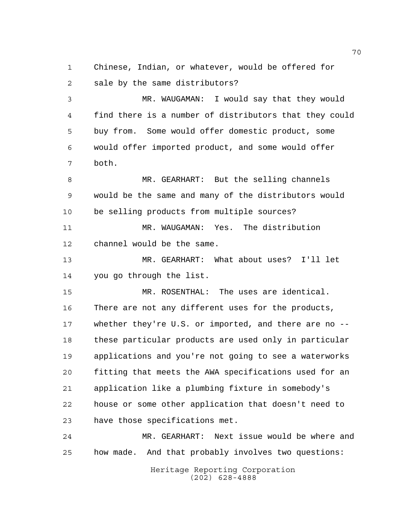Chinese, Indian, or whatever, would be offered for sale by the same distributors?

 MR. WAUGAMAN: I would say that they would find there is a number of distributors that they could buy from. Some would offer domestic product, some would offer imported product, and some would offer both.

 MR. GEARHART: But the selling channels would be the same and many of the distributors would be selling products from multiple sources?

 MR. WAUGAMAN: Yes. The distribution channel would be the same.

 MR. GEARHART: What about uses? I'll let you go through the list.

 MR. ROSENTHAL: The uses are identical. There are not any different uses for the products, whether they're U.S. or imported, and there are no -- these particular products are used only in particular applications and you're not going to see a waterworks fitting that meets the AWA specifications used for an application like a plumbing fixture in somebody's house or some other application that doesn't need to have those specifications met.

 MR. GEARHART: Next issue would be where and how made. And that probably involves two questions: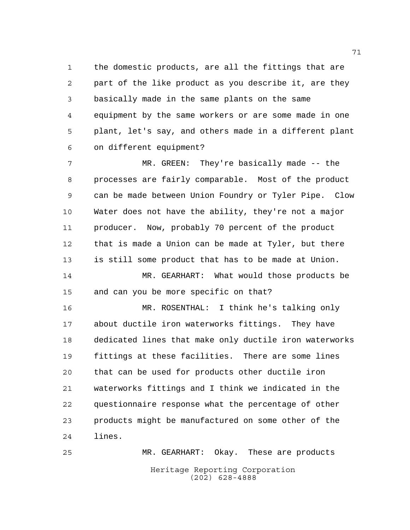the domestic products, are all the fittings that are part of the like product as you describe it, are they basically made in the same plants on the same equipment by the same workers or are some made in one plant, let's say, and others made in a different plant on different equipment?

 MR. GREEN: They're basically made -- the processes are fairly comparable. Most of the product can be made between Union Foundry or Tyler Pipe. Clow Water does not have the ability, they're not a major producer. Now, probably 70 percent of the product that is made a Union can be made at Tyler, but there is still some product that has to be made at Union. MR. GEARHART: What would those products be

and can you be more specific on that?

 MR. ROSENTHAL: I think he's talking only about ductile iron waterworks fittings. They have dedicated lines that make only ductile iron waterworks fittings at these facilities. There are some lines that can be used for products other ductile iron waterworks fittings and I think we indicated in the questionnaire response what the percentage of other products might be manufactured on some other of the lines.

Heritage Reporting Corporation (202) 628-4888 MR. GEARHART: Okay. These are products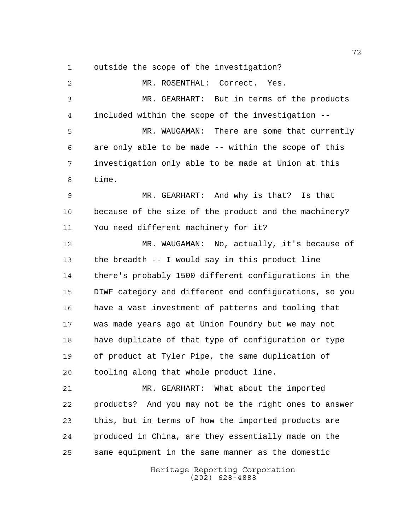outside the scope of the investigation?

Heritage Reporting Corporation MR. ROSENTHAL: Correct. Yes. MR. GEARHART: But in terms of the products included within the scope of the investigation -- MR. WAUGAMAN: There are some that currently are only able to be made -- within the scope of this investigation only able to be made at Union at this time. MR. GEARHART: And why is that? Is that because of the size of the product and the machinery? You need different machinery for it? MR. WAUGAMAN: No, actually, it's because of the breadth -- I would say in this product line there's probably 1500 different configurations in the DIWF category and different end configurations, so you have a vast investment of patterns and tooling that was made years ago at Union Foundry but we may not have duplicate of that type of configuration or type of product at Tyler Pipe, the same duplication of tooling along that whole product line. MR. GEARHART: What about the imported products? And you may not be the right ones to answer this, but in terms of how the imported products are produced in China, are they essentially made on the same equipment in the same manner as the domestic

(202) 628-4888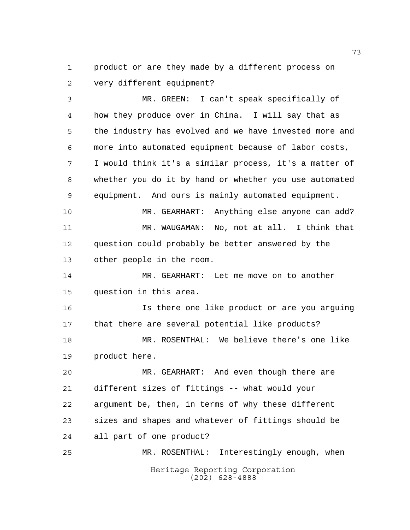product or are they made by a different process on very different equipment?

 MR. GREEN: I can't speak specifically of how they produce over in China. I will say that as the industry has evolved and we have invested more and more into automated equipment because of labor costs, I would think it's a similar process, it's a matter of whether you do it by hand or whether you use automated equipment. And ours is mainly automated equipment.

 MR. GEARHART: Anything else anyone can add? MR. WAUGAMAN: No, not at all. I think that question could probably be better answered by the other people in the room.

 MR. GEARHART: Let me move on to another question in this area.

 Is there one like product or are you arguing that there are several potential like products? MR. ROSENTHAL: We believe there's one like

product here.

 MR. GEARHART: And even though there are different sizes of fittings -- what would your argument be, then, in terms of why these different sizes and shapes and whatever of fittings should be all part of one product?

Heritage Reporting Corporation (202) 628-4888 MR. ROSENTHAL: Interestingly enough, when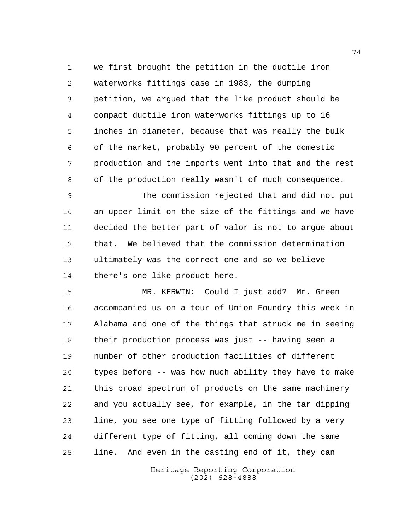we first brought the petition in the ductile iron waterworks fittings case in 1983, the dumping petition, we argued that the like product should be compact ductile iron waterworks fittings up to 16 inches in diameter, because that was really the bulk of the market, probably 90 percent of the domestic production and the imports went into that and the rest of the production really wasn't of much consequence.

 The commission rejected that and did not put an upper limit on the size of the fittings and we have decided the better part of valor is not to argue about that. We believed that the commission determination ultimately was the correct one and so we believe there's one like product here.

 MR. KERWIN: Could I just add? Mr. Green accompanied us on a tour of Union Foundry this week in Alabama and one of the things that struck me in seeing their production process was just -- having seen a number of other production facilities of different types before -- was how much ability they have to make this broad spectrum of products on the same machinery and you actually see, for example, in the tar dipping line, you see one type of fitting followed by a very different type of fitting, all coming down the same line. And even in the casting end of it, they can

> Heritage Reporting Corporation (202) 628-4888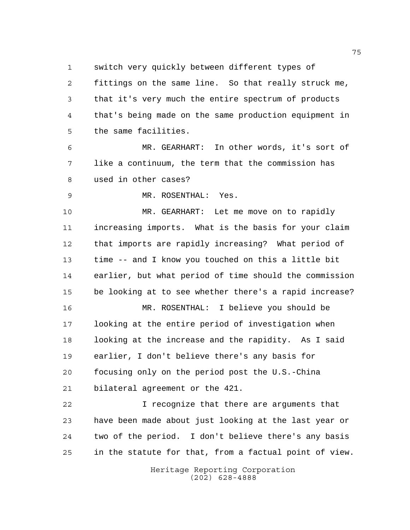switch very quickly between different types of

 fittings on the same line. So that really struck me, that it's very much the entire spectrum of products that's being made on the same production equipment in the same facilities.

 MR. GEARHART: In other words, it's sort of like a continuum, the term that the commission has used in other cases?

MR. ROSENTHAL: Yes.

 MR. GEARHART: Let me move on to rapidly increasing imports. What is the basis for your claim that imports are rapidly increasing? What period of time -- and I know you touched on this a little bit earlier, but what period of time should the commission be looking at to see whether there's a rapid increase?

 MR. ROSENTHAL: I believe you should be looking at the entire period of investigation when looking at the increase and the rapidity. As I said earlier, I don't believe there's any basis for focusing only on the period post the U.S.-China bilateral agreement or the 421.

 I recognize that there are arguments that have been made about just looking at the last year or two of the period. I don't believe there's any basis in the statute for that, from a factual point of view.

> Heritage Reporting Corporation (202) 628-4888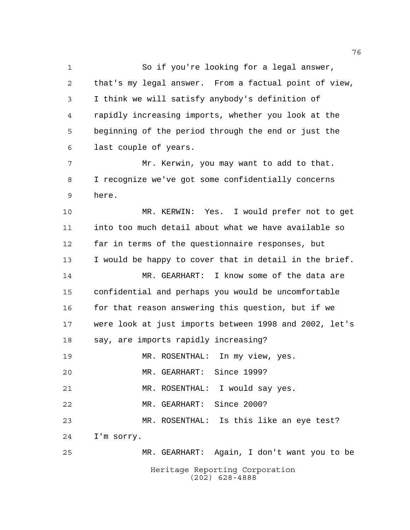So if you're looking for a legal answer, that's my legal answer. From a factual point of view, I think we will satisfy anybody's definition of rapidly increasing imports, whether you look at the beginning of the period through the end or just the last couple of years.

 Mr. Kerwin, you may want to add to that. I recognize we've got some confidentially concerns here.

 MR. KERWIN: Yes. I would prefer not to get into too much detail about what we have available so far in terms of the questionnaire responses, but I would be happy to cover that in detail in the brief.

 MR. GEARHART: I know some of the data are confidential and perhaps you would be uncomfortable 16 for that reason answering this question, but if we were look at just imports between 1998 and 2002, let's say, are imports rapidly increasing?

 MR. ROSENTHAL: In my view, yes. MR. GEARHART: Since 1999? MR. ROSENTHAL: I would say yes. MR. GEARHART: Since 2000? MR. ROSENTHAL: Is this like an eye test? I'm sorry. MR. GEARHART: Again, I don't want you to be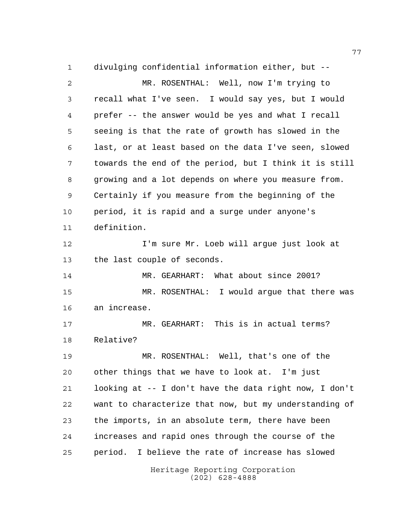Heritage Reporting Corporation divulging confidential information either, but -- MR. ROSENTHAL: Well, now I'm trying to recall what I've seen. I would say yes, but I would prefer -- the answer would be yes and what I recall seeing is that the rate of growth has slowed in the last, or at least based on the data I've seen, slowed towards the end of the period, but I think it is still growing and a lot depends on where you measure from. Certainly if you measure from the beginning of the period, it is rapid and a surge under anyone's definition. I'm sure Mr. Loeb will argue just look at the last couple of seconds. MR. GEARHART: What about since 2001? MR. ROSENTHAL: I would argue that there was an increase. MR. GEARHART: This is in actual terms? Relative? MR. ROSENTHAL: Well, that's one of the other things that we have to look at. I'm just looking at -- I don't have the data right now, I don't want to characterize that now, but my understanding of the imports, in an absolute term, there have been increases and rapid ones through the course of the period. I believe the rate of increase has slowed

(202) 628-4888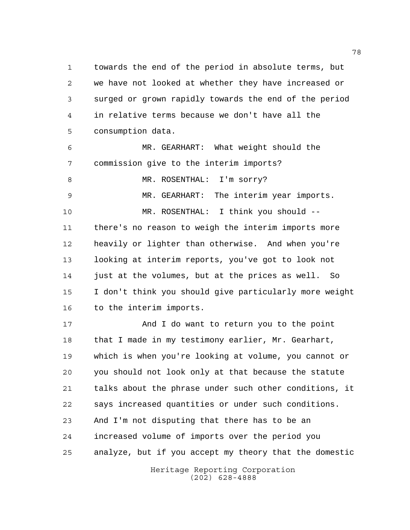towards the end of the period in absolute terms, but we have not looked at whether they have increased or surged or grown rapidly towards the end of the period in relative terms because we don't have all the consumption data.

 MR. GEARHART: What weight should the commission give to the interim imports?

8 MR. ROSENTHAL: I'm sorry?

MR. GEARHART: The interim year imports.

 MR. ROSENTHAL: I think you should -- there's no reason to weigh the interim imports more heavily or lighter than otherwise. And when you're looking at interim reports, you've got to look not just at the volumes, but at the prices as well. So I don't think you should give particularly more weight to the interim imports.

 And I do want to return you to the point 18 that I made in my testimony earlier, Mr. Gearhart, which is when you're looking at volume, you cannot or you should not look only at that because the statute talks about the phrase under such other conditions, it says increased quantities or under such conditions. And I'm not disputing that there has to be an increased volume of imports over the period you analyze, but if you accept my theory that the domestic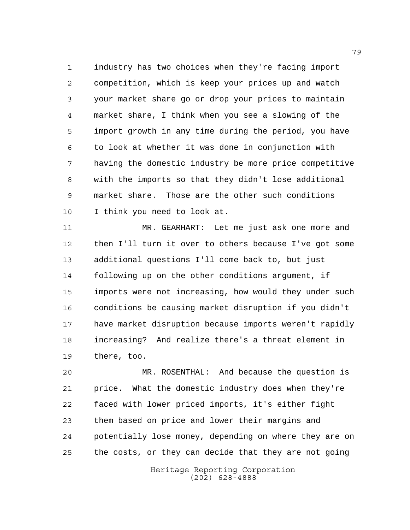industry has two choices when they're facing import competition, which is keep your prices up and watch your market share go or drop your prices to maintain market share, I think when you see a slowing of the import growth in any time during the period, you have to look at whether it was done in conjunction with having the domestic industry be more price competitive with the imports so that they didn't lose additional market share. Those are the other such conditions I think you need to look at.

 MR. GEARHART: Let me just ask one more and then I'll turn it over to others because I've got some additional questions I'll come back to, but just following up on the other conditions argument, if imports were not increasing, how would they under such conditions be causing market disruption if you didn't have market disruption because imports weren't rapidly increasing? And realize there's a threat element in there, too.

 MR. ROSENTHAL: And because the question is price. What the domestic industry does when they're faced with lower priced imports, it's either fight them based on price and lower their margins and potentially lose money, depending on where they are on the costs, or they can decide that they are not going

> Heritage Reporting Corporation (202) 628-4888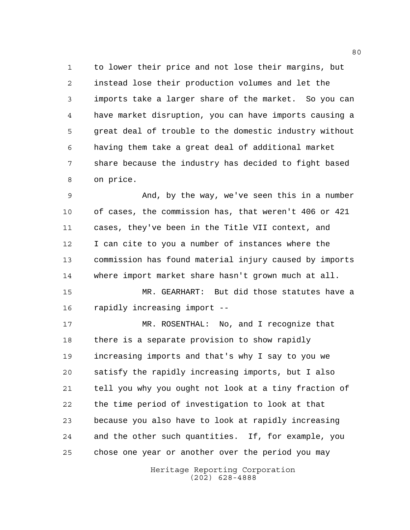to lower their price and not lose their margins, but instead lose their production volumes and let the imports take a larger share of the market. So you can have market disruption, you can have imports causing a great deal of trouble to the domestic industry without having them take a great deal of additional market share because the industry has decided to fight based on price.

 And, by the way, we've seen this in a number of cases, the commission has, that weren't 406 or 421 cases, they've been in the Title VII context, and I can cite to you a number of instances where the commission has found material injury caused by imports where import market share hasn't grown much at all.

 MR. GEARHART: But did those statutes have a rapidly increasing import --

 MR. ROSENTHAL: No, and I recognize that there is a separate provision to show rapidly increasing imports and that's why I say to you we satisfy the rapidly increasing imports, but I also tell you why you ought not look at a tiny fraction of the time period of investigation to look at that because you also have to look at rapidly increasing and the other such quantities. If, for example, you chose one year or another over the period you may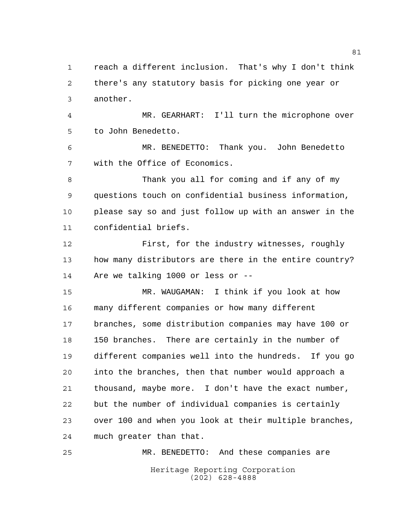there's any statutory basis for picking one year or another. MR. GEARHART: I'll turn the microphone over to John Benedetto. MR. BENEDETTO: Thank you. John Benedetto with the Office of Economics. Thank you all for coming and if any of my questions touch on confidential business information, please say so and just follow up with an answer in the confidential briefs. First, for the industry witnesses, roughly how many distributors are there in the entire country? Are we talking 1000 or less or -- MR. WAUGAMAN: I think if you look at how many different companies or how many different branches, some distribution companies may have 100 or 150 branches. There are certainly in the number of different companies well into the hundreds. If you go into the branches, then that number would approach a thousand, maybe more. I don't have the exact number, but the number of individual companies is certainly over 100 and when you look at their multiple branches, much greater than that.

reach a different inclusion. That's why I don't think

Heritage Reporting Corporation (202) 628-4888 MR. BENEDETTO: And these companies are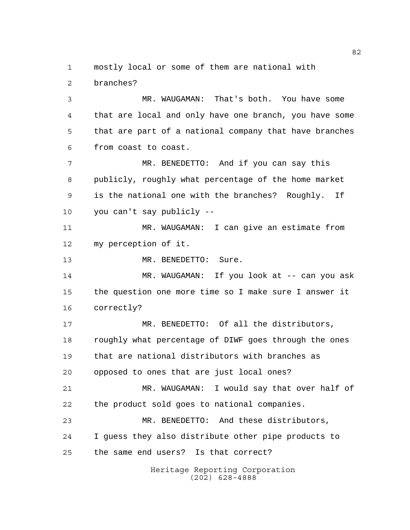mostly local or some of them are national with

branches?

 MR. WAUGAMAN: That's both. You have some that are local and only have one branch, you have some that are part of a national company that have branches from coast to coast.

 MR. BENEDETTO: And if you can say this publicly, roughly what percentage of the home market is the national one with the branches? Roughly. If you can't say publicly --

 MR. WAUGAMAN: I can give an estimate from my perception of it.

13 MR. BENEDETTO: Sure.

14 MR. WAUGAMAN: If you look at -- can you ask the question one more time so I make sure I answer it correctly?

 MR. BENEDETTO: Of all the distributors, roughly what percentage of DIWF goes through the ones that are national distributors with branches as opposed to ones that are just local ones?

 MR. WAUGAMAN: I would say that over half of the product sold goes to national companies.

 MR. BENEDETTO: And these distributors, I guess they also distribute other pipe products to the same end users? Is that correct?

> Heritage Reporting Corporation (202) 628-4888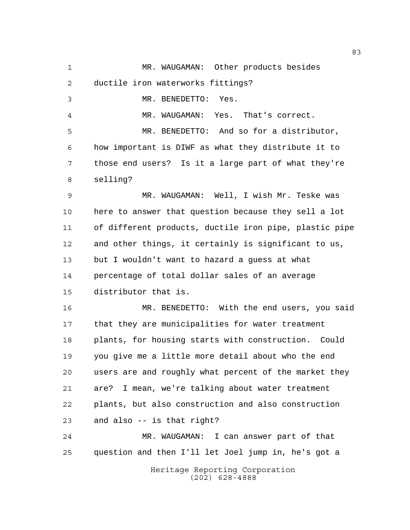Heritage Reporting Corporation MR. WAUGAMAN: Other products besides ductile iron waterworks fittings? MR. BENEDETTO: Yes. MR. WAUGAMAN: Yes. That's correct. MR. BENEDETTO: And so for a distributor, how important is DIWF as what they distribute it to those end users? Is it a large part of what they're selling? MR. WAUGAMAN: Well, I wish Mr. Teske was here to answer that question because they sell a lot of different products, ductile iron pipe, plastic pipe and other things, it certainly is significant to us, but I wouldn't want to hazard a guess at what percentage of total dollar sales of an average distributor that is. MR. BENEDETTO: With the end users, you said that they are municipalities for water treatment plants, for housing starts with construction. Could you give me a little more detail about who the end users are and roughly what percent of the market they are? I mean, we're talking about water treatment plants, but also construction and also construction and also -- is that right? MR. WAUGAMAN: I can answer part of that question and then I'll let Joel jump in, he's got a

(202) 628-4888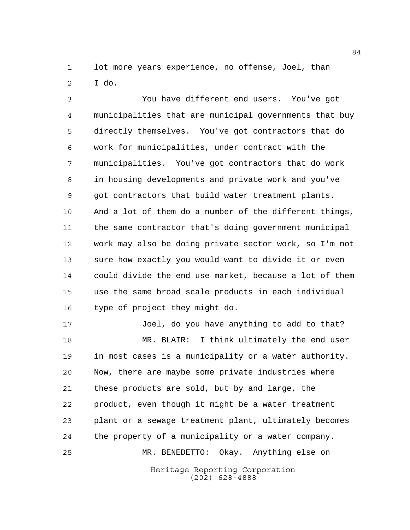lot more years experience, no offense, Joel, than I do.

 You have different end users. You've got municipalities that are municipal governments that buy directly themselves. You've got contractors that do work for municipalities, under contract with the municipalities. You've got contractors that do work in housing developments and private work and you've got contractors that build water treatment plants. And a lot of them do a number of the different things, the same contractor that's doing government municipal work may also be doing private sector work, so I'm not sure how exactly you would want to divide it or even could divide the end use market, because a lot of them use the same broad scale products in each individual type of project they might do.

 Joel, do you have anything to add to that? MR. BLAIR: I think ultimately the end user in most cases is a municipality or a water authority. Now, there are maybe some private industries where these products are sold, but by and large, the product, even though it might be a water treatment plant or a sewage treatment plant, ultimately becomes the property of a municipality or a water company. MR. BENEDETTO: Okay. Anything else on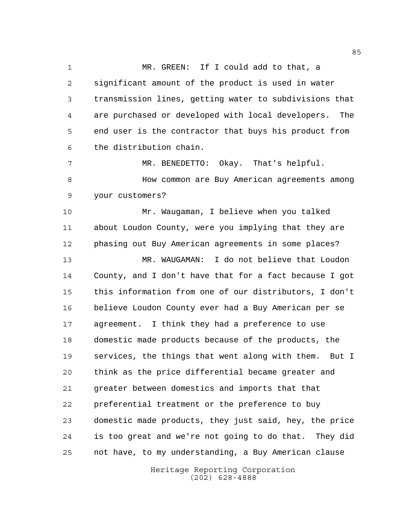MR. GREEN: If I could add to that, a significant amount of the product is used in water transmission lines, getting water to subdivisions that are purchased or developed with local developers. The end user is the contractor that buys his product from the distribution chain.

 MR. BENEDETTO: Okay. That's helpful. **Books** How common are Buy American agreements among your customers?

 Mr. Waugaman, I believe when you talked about Loudon County, were you implying that they are phasing out Buy American agreements in some places? MR. WAUGAMAN: I do not believe that Loudon County, and I don't have that for a fact because I got this information from one of our distributors, I don't believe Loudon County ever had a Buy American per se agreement. I think they had a preference to use domestic made products because of the products, the services, the things that went along with them. But I think as the price differential became greater and greater between domestics and imports that that preferential treatment or the preference to buy domestic made products, they just said, hey, the price is too great and we're not going to do that. They did not have, to my understanding, a Buy American clause

> Heritage Reporting Corporation (202) 628-4888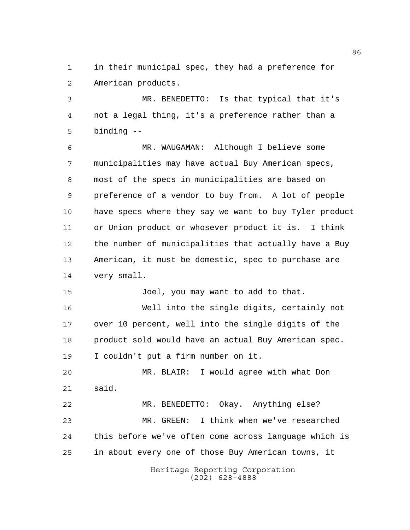in their municipal spec, they had a preference for American products.

 MR. BENEDETTO: Is that typical that it's not a legal thing, it's a preference rather than a binding --

 MR. WAUGAMAN: Although I believe some municipalities may have actual Buy American specs, most of the specs in municipalities are based on preference of a vendor to buy from. A lot of people have specs where they say we want to buy Tyler product or Union product or whosever product it is. I think the number of municipalities that actually have a Buy American, it must be domestic, spec to purchase are very small.

Joel, you may want to add to that.

 Well into the single digits, certainly not over 10 percent, well into the single digits of the product sold would have an actual Buy American spec. I couldn't put a firm number on it.

 MR. BLAIR: I would agree with what Don said.

 MR. BENEDETTO: Okay. Anything else? MR. GREEN: I think when we've researched this before we've often come across language which is in about every one of those Buy American towns, it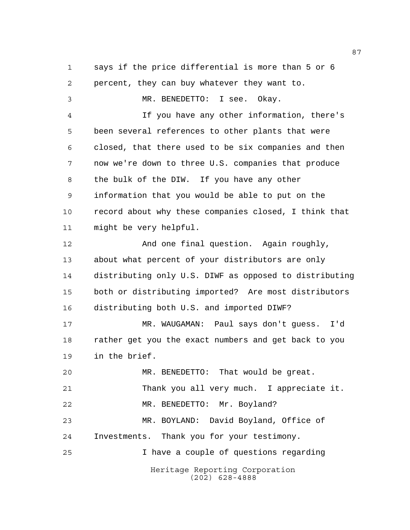Heritage Reporting Corporation (202) 628-4888 says if the price differential is more than 5 or 6 percent, they can buy whatever they want to. MR. BENEDETTO: I see. Okay. If you have any other information, there's been several references to other plants that were closed, that there used to be six companies and then now we're down to three U.S. companies that produce the bulk of the DIW. If you have any other information that you would be able to put on the record about why these companies closed, I think that might be very helpful. And one final question. Again roughly, about what percent of your distributors are only distributing only U.S. DIWF as opposed to distributing both or distributing imported? Are most distributors distributing both U.S. and imported DIWF? MR. WAUGAMAN: Paul says don't guess. I'd rather get you the exact numbers and get back to you in the brief. MR. BENEDETTO: That would be great. Thank you all very much. I appreciate it. 22 MR. BENEDETTO: Mr. Boyland? MR. BOYLAND: David Boyland, Office of Investments. Thank you for your testimony. I have a couple of questions regarding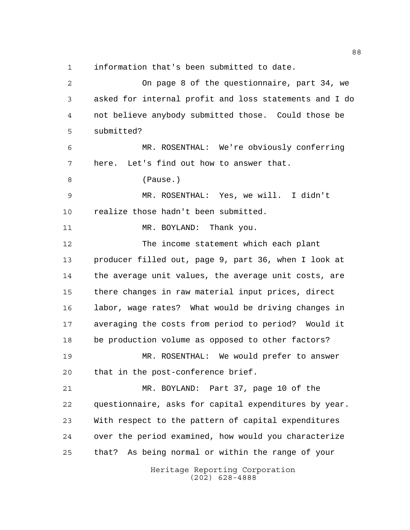information that's been submitted to date.

Heritage Reporting Corporation (202) 628-4888 On page 8 of the questionnaire, part 34, we asked for internal profit and loss statements and I do not believe anybody submitted those. Could those be submitted? MR. ROSENTHAL: We're obviously conferring here. Let's find out how to answer that. (Pause.) MR. ROSENTHAL: Yes, we will. I didn't realize those hadn't been submitted. 11 MR. BOYLAND: Thank you. The income statement which each plant producer filled out, page 9, part 36, when I look at the average unit values, the average unit costs, are there changes in raw material input prices, direct labor, wage rates? What would be driving changes in averaging the costs from period to period? Would it be production volume as opposed to other factors? MR. ROSENTHAL: We would prefer to answer that in the post-conference brief. MR. BOYLAND: Part 37, page 10 of the questionnaire, asks for capital expenditures by year. With respect to the pattern of capital expenditures over the period examined, how would you characterize that? As being normal or within the range of your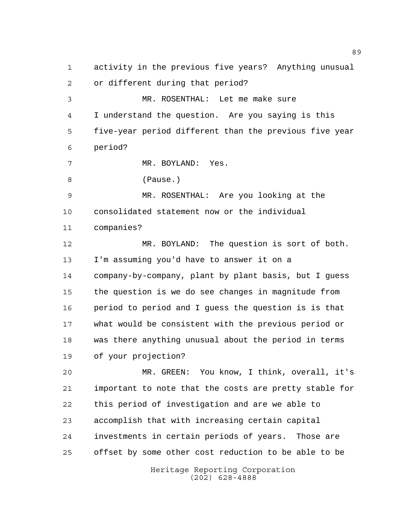activity in the previous five years? Anything unusual or different during that period?

 MR. ROSENTHAL: Let me make sure I understand the question. Are you saying is this five-year period different than the previous five year period?

MR. BOYLAND: Yes.

(Pause.)

 MR. ROSENTHAL: Are you looking at the consolidated statement now or the individual companies?

 MR. BOYLAND: The question is sort of both. I'm assuming you'd have to answer it on a company-by-company, plant by plant basis, but I guess the question is we do see changes in magnitude from period to period and I guess the question is is that what would be consistent with the previous period or was there anything unusual about the period in terms of your projection?

 MR. GREEN: You know, I think, overall, it's important to note that the costs are pretty stable for this period of investigation and are we able to accomplish that with increasing certain capital investments in certain periods of years. Those are offset by some other cost reduction to be able to be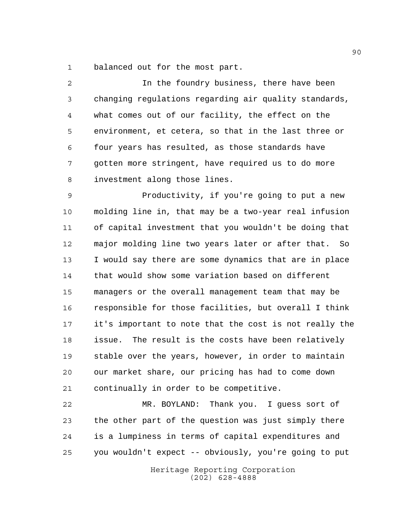balanced out for the most part.

 In the foundry business, there have been changing regulations regarding air quality standards, what comes out of our facility, the effect on the environment, et cetera, so that in the last three or four years has resulted, as those standards have gotten more stringent, have required us to do more investment along those lines. Productivity, if you're going to put a new molding line in, that may be a two-year real infusion of capital investment that you wouldn't be doing that major molding line two years later or after that. So I would say there are some dynamics that are in place that would show some variation based on different managers or the overall management team that may be responsible for those facilities, but overall I think it's important to note that the cost is not really the issue. The result is the costs have been relatively stable over the years, however, in order to maintain our market share, our pricing has had to come down continually in order to be competitive.

 MR. BOYLAND: Thank you. I guess sort of the other part of the question was just simply there is a lumpiness in terms of capital expenditures and you wouldn't expect -- obviously, you're going to put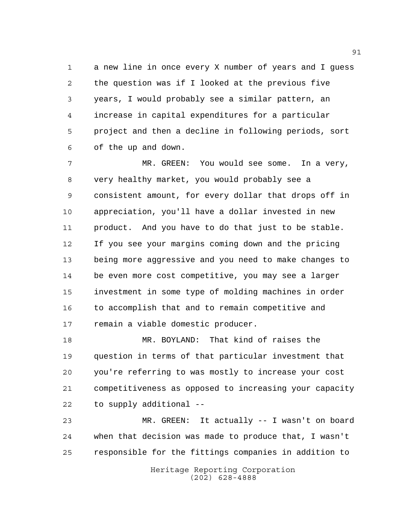a new line in once every X number of years and I guess the question was if I looked at the previous five years, I would probably see a similar pattern, an increase in capital expenditures for a particular project and then a decline in following periods, sort of the up and down.

7 MR. GREEN: You would see some. In a very, very healthy market, you would probably see a consistent amount, for every dollar that drops off in appreciation, you'll have a dollar invested in new product. And you have to do that just to be stable. If you see your margins coming down and the pricing being more aggressive and you need to make changes to be even more cost competitive, you may see a larger investment in some type of molding machines in order to accomplish that and to remain competitive and remain a viable domestic producer.

 MR. BOYLAND: That kind of raises the question in terms of that particular investment that you're referring to was mostly to increase your cost competitiveness as opposed to increasing your capacity to supply additional --

 MR. GREEN: It actually -- I wasn't on board when that decision was made to produce that, I wasn't responsible for the fittings companies in addition to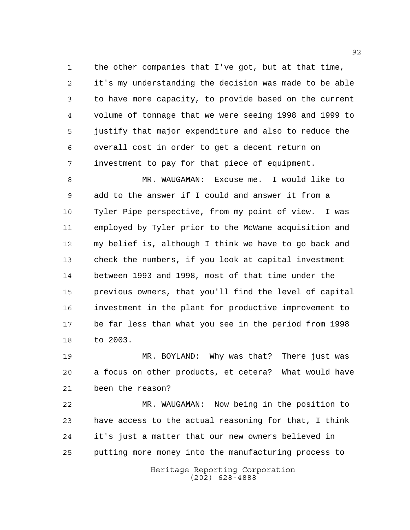the other companies that I've got, but at that time, it's my understanding the decision was made to be able to have more capacity, to provide based on the current volume of tonnage that we were seeing 1998 and 1999 to justify that major expenditure and also to reduce the overall cost in order to get a decent return on investment to pay for that piece of equipment.

 MR. WAUGAMAN: Excuse me. I would like to add to the answer if I could and answer it from a Tyler Pipe perspective, from my point of view. I was employed by Tyler prior to the McWane acquisition and my belief is, although I think we have to go back and check the numbers, if you look at capital investment between 1993 and 1998, most of that time under the previous owners, that you'll find the level of capital investment in the plant for productive improvement to be far less than what you see in the period from 1998 to 2003.

 MR. BOYLAND: Why was that? There just was a focus on other products, et cetera? What would have been the reason?

 MR. WAUGAMAN: Now being in the position to have access to the actual reasoning for that, I think it's just a matter that our new owners believed in putting more money into the manufacturing process to

> Heritage Reporting Corporation (202) 628-4888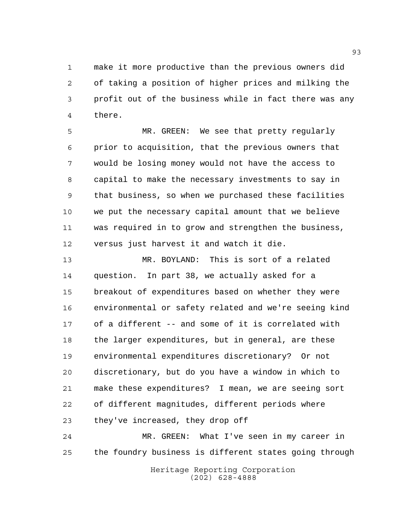make it more productive than the previous owners did of taking a position of higher prices and milking the profit out of the business while in fact there was any there.

 MR. GREEN: We see that pretty regularly prior to acquisition, that the previous owners that would be losing money would not have the access to capital to make the necessary investments to say in that business, so when we purchased these facilities we put the necessary capital amount that we believe was required in to grow and strengthen the business, versus just harvest it and watch it die.

 MR. BOYLAND: This is sort of a related question. In part 38, we actually asked for a breakout of expenditures based on whether they were environmental or safety related and we're seeing kind of a different -- and some of it is correlated with the larger expenditures, but in general, are these environmental expenditures discretionary? Or not discretionary, but do you have a window in which to make these expenditures? I mean, we are seeing sort of different magnitudes, different periods where they've increased, they drop off

 MR. GREEN: What I've seen in my career in the foundry business is different states going through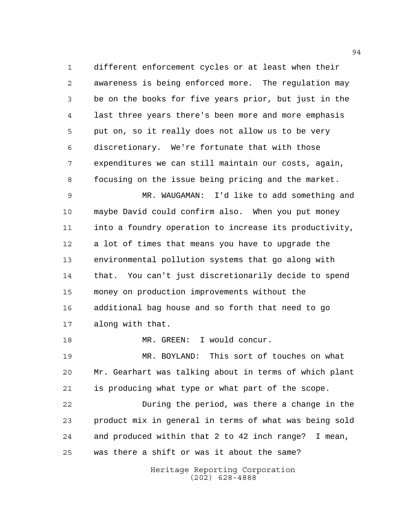different enforcement cycles or at least when their awareness is being enforced more. The regulation may be on the books for five years prior, but just in the last three years there's been more and more emphasis put on, so it really does not allow us to be very discretionary. We're fortunate that with those expenditures we can still maintain our costs, again, focusing on the issue being pricing and the market.

 MR. WAUGAMAN: I'd like to add something and maybe David could confirm also. When you put money into a foundry operation to increase its productivity, a lot of times that means you have to upgrade the environmental pollution systems that go along with that. You can't just discretionarily decide to spend money on production improvements without the additional bag house and so forth that need to go along with that.

18 MR. GREEN: I would concur.

 MR. BOYLAND: This sort of touches on what Mr. Gearhart was talking about in terms of which plant is producing what type or what part of the scope.

 During the period, was there a change in the product mix in general in terms of what was being sold and produced within that 2 to 42 inch range? I mean, was there a shift or was it about the same?

> Heritage Reporting Corporation (202) 628-4888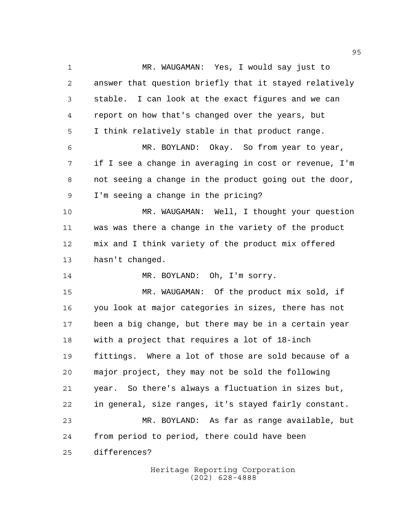MR. WAUGAMAN: Yes, I would say just to answer that question briefly that it stayed relatively stable. I can look at the exact figures and we can report on how that's changed over the years, but I think relatively stable in that product range. MR. BOYLAND: Okay. So from year to year, if I see a change in averaging in cost or revenue, I'm not seeing a change in the product going out the door, I'm seeing a change in the pricing? MR. WAUGAMAN: Well, I thought your question was was there a change in the variety of the product mix and I think variety of the product mix offered hasn't changed. MR. BOYLAND: Oh, I'm sorry. MR. WAUGAMAN: Of the product mix sold, if you look at major categories in sizes, there has not been a big change, but there may be in a certain year with a project that requires a lot of 18-inch fittings. Where a lot of those are sold because of a major project, they may not be sold the following year. So there's always a fluctuation in sizes but, in general, size ranges, it's stayed fairly constant. MR. BOYLAND: As far as range available, but from period to period, there could have been differences?

> Heritage Reporting Corporation (202) 628-4888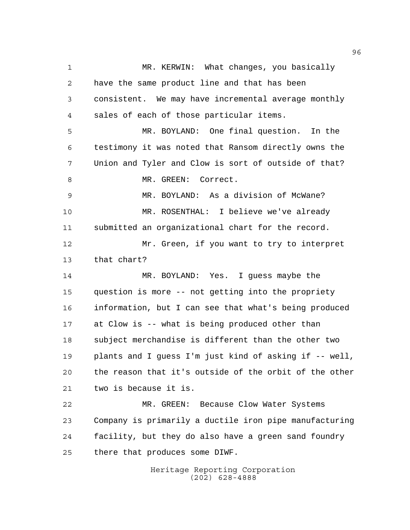MR. KERWIN: What changes, you basically have the same product line and that has been consistent. We may have incremental average monthly sales of each of those particular items. MR. BOYLAND: One final question. In the testimony it was noted that Ransom directly owns the Union and Tyler and Clow is sort of outside of that? 8 MR. GREEN: Correct. MR. BOYLAND: As a division of McWane? MR. ROSENTHAL: I believe we've already submitted an organizational chart for the record. Mr. Green, if you want to try to interpret that chart? MR. BOYLAND: Yes. I guess maybe the question is more -- not getting into the propriety information, but I can see that what's being produced at Clow is -- what is being produced other than subject merchandise is different than the other two plants and I guess I'm just kind of asking if -- well, the reason that it's outside of the orbit of the other two is because it is. MR. GREEN: Because Clow Water Systems Company is primarily a ductile iron pipe manufacturing facility, but they do also have a green sand foundry there that produces some DIWF.

> Heritage Reporting Corporation (202) 628-4888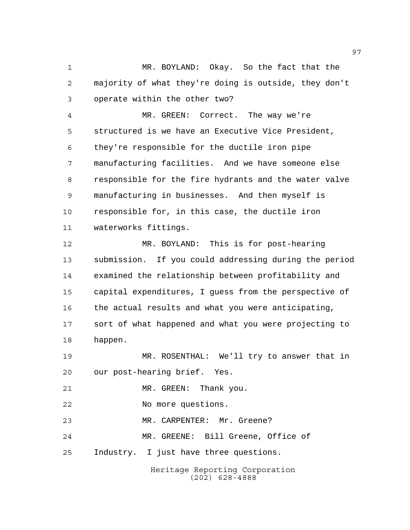MR. BOYLAND: Okay. So the fact that the majority of what they're doing is outside, they don't operate within the other two?

 MR. GREEN: Correct. The way we're structured is we have an Executive Vice President, they're responsible for the ductile iron pipe manufacturing facilities. And we have someone else responsible for the fire hydrants and the water valve manufacturing in businesses. And then myself is responsible for, in this case, the ductile iron waterworks fittings.

 MR. BOYLAND: This is for post-hearing submission. If you could addressing during the period examined the relationship between profitability and capital expenditures, I guess from the perspective of the actual results and what you were anticipating, sort of what happened and what you were projecting to happen.

 MR. ROSENTHAL: We'll try to answer that in our post-hearing brief. Yes.

21 MR. GREEN: Thank you.

No more questions.

MR. CARPENTER: Mr. Greene?

MR. GREENE: Bill Greene, Office of

Industry. I just have three questions.

Heritage Reporting Corporation (202) 628-4888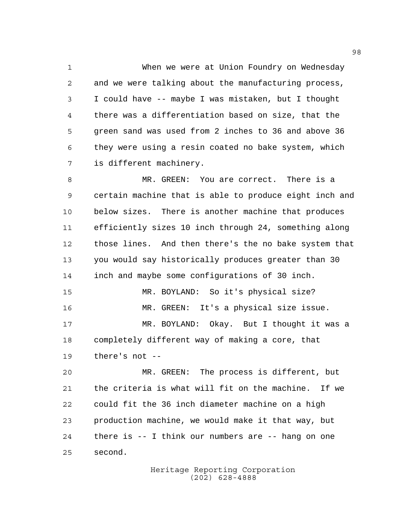When we were at Union Foundry on Wednesday and we were talking about the manufacturing process, I could have -- maybe I was mistaken, but I thought there was a differentiation based on size, that the green sand was used from 2 inches to 36 and above 36 they were using a resin coated no bake system, which is different machinery.

 MR. GREEN: You are correct. There is a certain machine that is able to produce eight inch and below sizes. There is another machine that produces efficiently sizes 10 inch through 24, something along those lines. And then there's the no bake system that you would say historically produces greater than 30 inch and maybe some configurations of 30 inch. MR. BOYLAND: So it's physical size? MR. GREEN: It's a physical size issue. MR. BOYLAND: Okay. But I thought it was a completely different way of making a core, that there's not --

 MR. GREEN: The process is different, but the criteria is what will fit on the machine. If we could fit the 36 inch diameter machine on a high production machine, we would make it that way, but there is -- I think our numbers are -- hang on one second.

> Heritage Reporting Corporation (202) 628-4888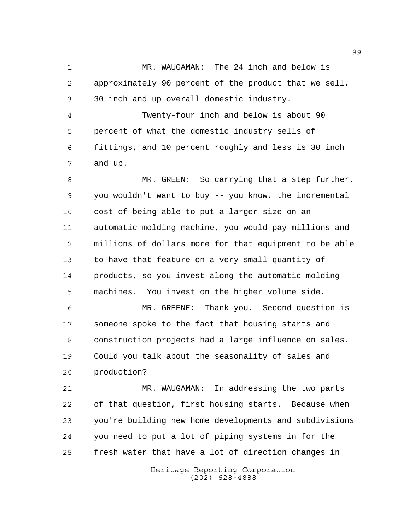MR. WAUGAMAN: The 24 inch and below is approximately 90 percent of the product that we sell, 30 inch and up overall domestic industry.

 Twenty-four inch and below is about 90 percent of what the domestic industry sells of fittings, and 10 percent roughly and less is 30 inch and up.

 MR. GREEN: So carrying that a step further, you wouldn't want to buy -- you know, the incremental cost of being able to put a larger size on an automatic molding machine, you would pay millions and millions of dollars more for that equipment to be able to have that feature on a very small quantity of products, so you invest along the automatic molding machines. You invest on the higher volume side.

 MR. GREENE: Thank you. Second question is someone spoke to the fact that housing starts and construction projects had a large influence on sales. Could you talk about the seasonality of sales and production?

 MR. WAUGAMAN: In addressing the two parts of that question, first housing starts. Because when you're building new home developments and subdivisions you need to put a lot of piping systems in for the fresh water that have a lot of direction changes in

> Heritage Reporting Corporation (202) 628-4888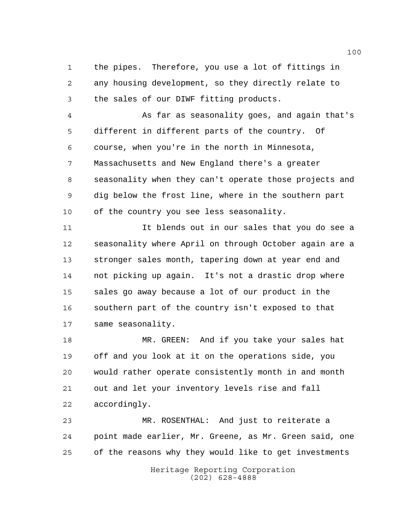the pipes. Therefore, you use a lot of fittings in any housing development, so they directly relate to the sales of our DIWF fitting products.

 As far as seasonality goes, and again that's different in different parts of the country. Of course, when you're in the north in Minnesota, Massachusetts and New England there's a greater seasonality when they can't operate those projects and dig below the frost line, where in the southern part of the country you see less seasonality.

 It blends out in our sales that you do see a seasonality where April on through October again are a stronger sales month, tapering down at year end and not picking up again. It's not a drastic drop where sales go away because a lot of our product in the southern part of the country isn't exposed to that same seasonality.

 MR. GREEN: And if you take your sales hat off and you look at it on the operations side, you would rather operate consistently month in and month out and let your inventory levels rise and fall accordingly.

 MR. ROSENTHAL: And just to reiterate a point made earlier, Mr. Greene, as Mr. Green said, one of the reasons why they would like to get investments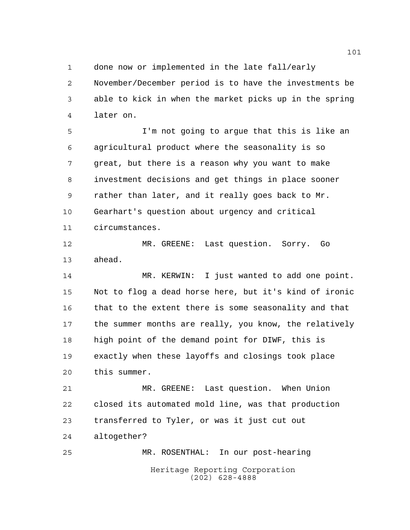done now or implemented in the late fall/early

 November/December period is to have the investments be able to kick in when the market picks up in the spring later on.

 I'm not going to argue that this is like an agricultural product where the seasonality is so great, but there is a reason why you want to make investment decisions and get things in place sooner rather than later, and it really goes back to Mr. Gearhart's question about urgency and critical circumstances.

 MR. GREENE: Last question. Sorry. Go ahead.

 MR. KERWIN: I just wanted to add one point. Not to flog a dead horse here, but it's kind of ironic that to the extent there is some seasonality and that the summer months are really, you know, the relatively high point of the demand point for DIWF, this is exactly when these layoffs and closings took place this summer.

 MR. GREENE: Last question. When Union closed its automated mold line, was that production transferred to Tyler, or was it just cut out altogether?

Heritage Reporting Corporation (202) 628-4888 MR. ROSENTHAL: In our post-hearing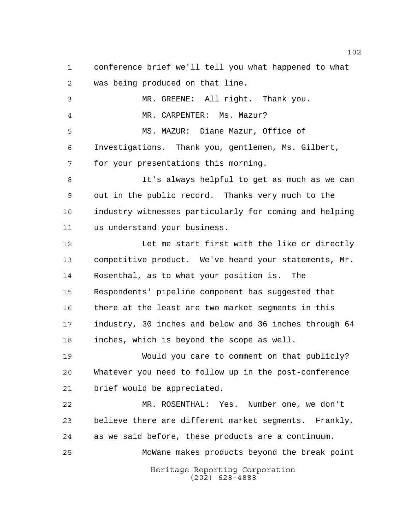conference brief we'll tell you what happened to what was being produced on that line. MR. GREENE: All right. Thank you. MR. CARPENTER: Ms. Mazur? MS. MAZUR: Diane Mazur, Office of Investigations. Thank you, gentlemen, Ms. Gilbert, for your presentations this morning. It's always helpful to get as much as we can out in the public record. Thanks very much to the industry witnesses particularly for coming and helping us understand your business. Let me start first with the like or directly competitive product. We've heard your statements, Mr. Rosenthal, as to what your position is. The Respondents' pipeline component has suggested that there at the least are two market segments in this industry, 30 inches and below and 36 inches through 64 inches, which is beyond the scope as well. Would you care to comment on that publicly? Whatever you need to follow up in the post-conference brief would be appreciated. MR. ROSENTHAL: Yes. Number one, we don't believe there are different market segments. Frankly, as we said before, these products are a continuum. McWane makes products beyond the break point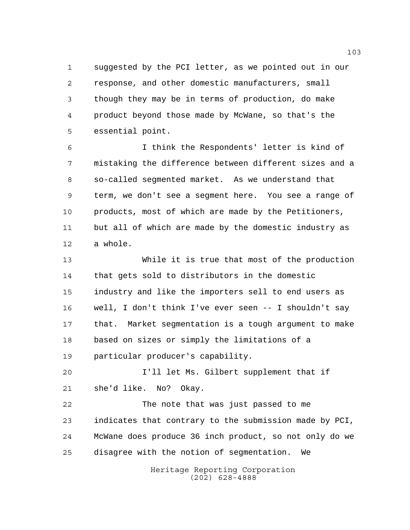suggested by the PCI letter, as we pointed out in our response, and other domestic manufacturers, small though they may be in terms of production, do make product beyond those made by McWane, so that's the essential point.

 I think the Respondents' letter is kind of mistaking the difference between different sizes and a so-called segmented market. As we understand that term, we don't see a segment here. You see a range of products, most of which are made by the Petitioners, but all of which are made by the domestic industry as a whole.

 While it is true that most of the production that gets sold to distributors in the domestic industry and like the importers sell to end users as well, I don't think I've ever seen -- I shouldn't say that. Market segmentation is a tough argument to make based on sizes or simply the limitations of a particular producer's capability.

 I'll let Ms. Gilbert supplement that if she'd like. No? Okay.

 The note that was just passed to me indicates that contrary to the submission made by PCI, McWane does produce 36 inch product, so not only do we disagree with the notion of segmentation. We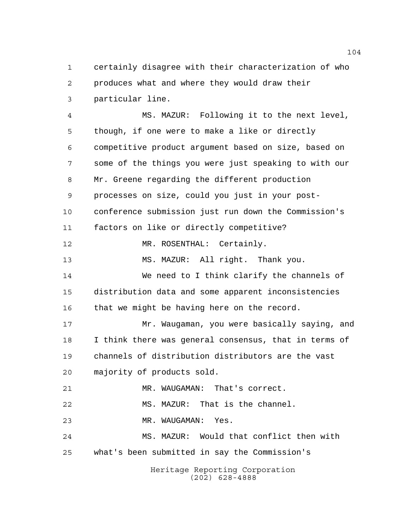certainly disagree with their characterization of who produces what and where they would draw their particular line.

Heritage Reporting Corporation (202) 628-4888 MS. MAZUR: Following it to the next level, though, if one were to make a like or directly competitive product argument based on size, based on some of the things you were just speaking to with our Mr. Greene regarding the different production processes on size, could you just in your post- conference submission just run down the Commission's factors on like or directly competitive? 12 MR. ROSENTHAL: Certainly. MS. MAZUR: All right. Thank you. We need to I think clarify the channels of distribution data and some apparent inconsistencies that we might be having here on the record. Mr. Waugaman, you were basically saying, and I think there was general consensus, that in terms of channels of distribution distributors are the vast majority of products sold. MR. WAUGAMAN: That's correct. MS. MAZUR: That is the channel. MR. WAUGAMAN: Yes. MS. MAZUR: Would that conflict then with what's been submitted in say the Commission's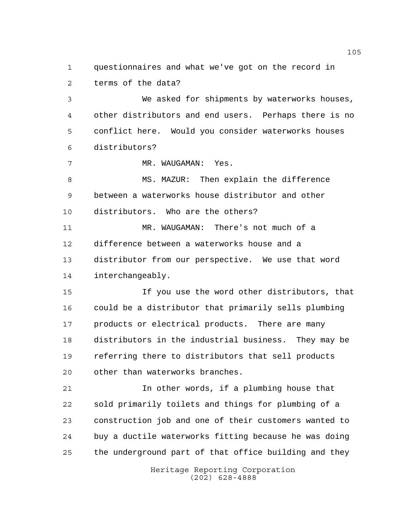questionnaires and what we've got on the record in terms of the data?

 We asked for shipments by waterworks houses, other distributors and end users. Perhaps there is no conflict here. Would you consider waterworks houses distributors?

7 MR. WAUGAMAN: Yes.

 MS. MAZUR: Then explain the difference between a waterworks house distributor and other distributors. Who are the others?

 MR. WAUGAMAN: There's not much of a difference between a waterworks house and a distributor from our perspective. We use that word interchangeably.

 If you use the word other distributors, that could be a distributor that primarily sells plumbing 17 products or electrical products. There are many distributors in the industrial business. They may be referring there to distributors that sell products other than waterworks branches.

 In other words, if a plumbing house that sold primarily toilets and things for plumbing of a construction job and one of their customers wanted to buy a ductile waterworks fitting because he was doing the underground part of that office building and they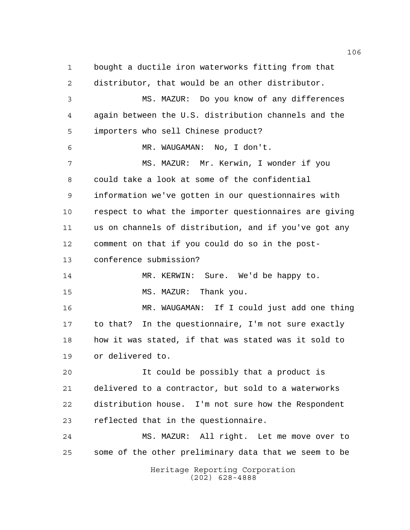Heritage Reporting Corporation (202) 628-4888 bought a ductile iron waterworks fitting from that distributor, that would be an other distributor. MS. MAZUR: Do you know of any differences again between the U.S. distribution channels and the importers who sell Chinese product? MR. WAUGAMAN: No, I don't. MS. MAZUR: Mr. Kerwin, I wonder if you could take a look at some of the confidential information we've gotten in our questionnaires with respect to what the importer questionnaires are giving us on channels of distribution, and if you've got any comment on that if you could do so in the post- conference submission? MR. KERWIN: Sure. We'd be happy to. 15 MS. MAZUR: Thank you. MR. WAUGAMAN: If I could just add one thing to that? In the questionnaire, I'm not sure exactly how it was stated, if that was stated was it sold to or delivered to. It could be possibly that a product is delivered to a contractor, but sold to a waterworks distribution house. I'm not sure how the Respondent reflected that in the questionnaire. MS. MAZUR: All right. Let me move over to some of the other preliminary data that we seem to be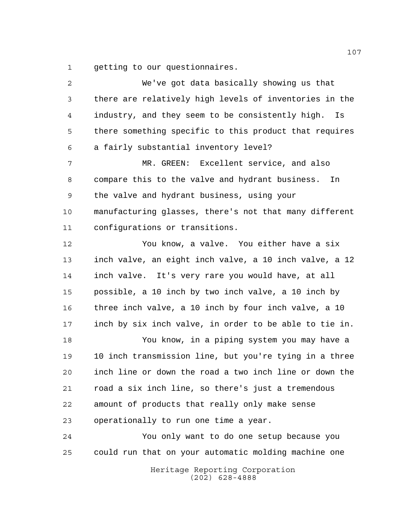getting to our questionnaires.

| 2  | We've got data basically showing us that               |
|----|--------------------------------------------------------|
| 3  | there are relatively high levels of inventories in the |
| 4  | industry, and they seem to be consistently high.<br>Is |
| 5  | there something specific to this product that requires |
| 6  | a fairly substantial inventory level?                  |
| 7  | MR. GREEN: Excellent service, and also                 |
| 8  | compare this to the valve and hydrant business.<br>In. |
| 9  | the valve and hydrant business, using your             |
| 10 | manufacturing glasses, there's not that many different |
| 11 | configurations or transitions.                         |
| 12 | You know, a valve. You either have a six               |
| 13 | inch valve, an eight inch valve, a 10 inch valve, a 12 |
| 14 | inch valve. It's very rare you would have, at all      |
| 15 | possible, a 10 inch by two inch valve, a 10 inch by    |
| 16 | three inch valve, a 10 inch by four inch valve, a 10   |
| 17 | inch by six inch valve, in order to be able to tie in. |
| 18 | You know, in a piping system you may have a            |
| 19 | 10 inch transmission line, but you're tying in a three |
| 20 | inch line or down the road a two inch line or down the |
| 21 | road a six inch line, so there's just a tremendous     |
| 22 | amount of products that really only make sense         |
| 23 | operationally to run one time a year.                  |
| 24 | You only want to do one setup because you              |
| 25 | could run that on your automatic molding machine one   |
|    |                                                        |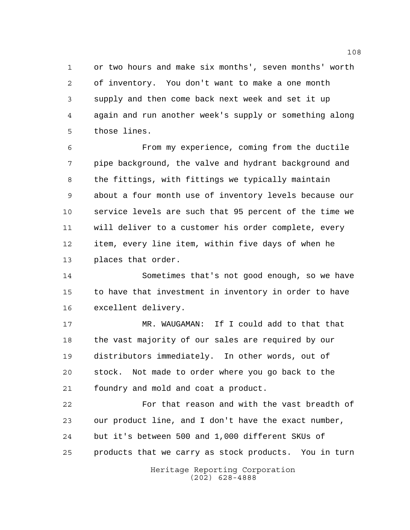or two hours and make six months', seven months' worth of inventory. You don't want to make a one month supply and then come back next week and set it up again and run another week's supply or something along those lines.

 From my experience, coming from the ductile pipe background, the valve and hydrant background and the fittings, with fittings we typically maintain about a four month use of inventory levels because our service levels are such that 95 percent of the time we will deliver to a customer his order complete, every item, every line item, within five days of when he places that order.

 Sometimes that's not good enough, so we have to have that investment in inventory in order to have excellent delivery.

 MR. WAUGAMAN: If I could add to that that the vast majority of our sales are required by our distributors immediately. In other words, out of stock. Not made to order where you go back to the foundry and mold and coat a product.

 For that reason and with the vast breadth of our product line, and I don't have the exact number, but it's between 500 and 1,000 different SKUs of products that we carry as stock products. You in turn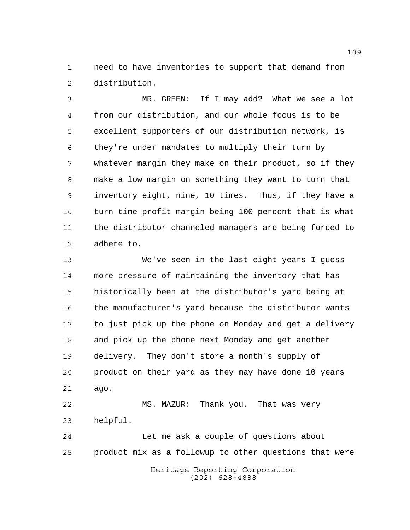need to have inventories to support that demand from distribution.

 MR. GREEN: If I may add? What we see a lot from our distribution, and our whole focus is to be excellent supporters of our distribution network, is they're under mandates to multiply their turn by whatever margin they make on their product, so if they make a low margin on something they want to turn that inventory eight, nine, 10 times. Thus, if they have a turn time profit margin being 100 percent that is what the distributor channeled managers are being forced to adhere to.

 We've seen in the last eight years I guess more pressure of maintaining the inventory that has historically been at the distributor's yard being at the manufacturer's yard because the distributor wants to just pick up the phone on Monday and get a delivery and pick up the phone next Monday and get another delivery. They don't store a month's supply of product on their yard as they may have done 10 years ago. MS. MAZUR: Thank you. That was very helpful.

Heritage Reporting Corporation Let me ask a couple of questions about product mix as a followup to other questions that were

(202) 628-4888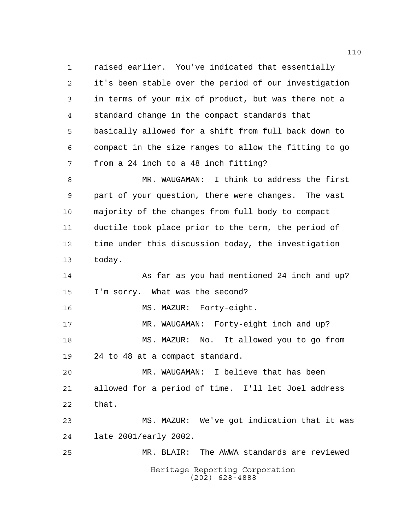Heritage Reporting Corporation (202) 628-4888 raised earlier. You've indicated that essentially it's been stable over the period of our investigation in terms of your mix of product, but was there not a standard change in the compact standards that basically allowed for a shift from full back down to compact in the size ranges to allow the fitting to go from a 24 inch to a 48 inch fitting? MR. WAUGAMAN: I think to address the first part of your question, there were changes. The vast majority of the changes from full body to compact ductile took place prior to the term, the period of time under this discussion today, the investigation today. As far as you had mentioned 24 inch and up? I'm sorry. What was the second? 16 MS. MAZUR: Forty-eight. MR. WAUGAMAN: Forty-eight inch and up? MS. MAZUR: No. It allowed you to go from 24 to 48 at a compact standard. MR. WAUGAMAN: I believe that has been allowed for a period of time. I'll let Joel address that. MS. MAZUR: We've got indication that it was late 2001/early 2002. MR. BLAIR: The AWWA standards are reviewed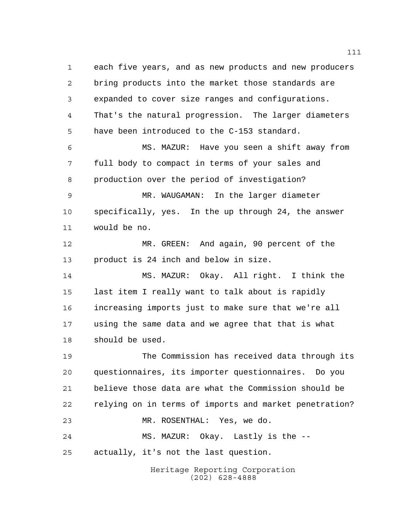Heritage Reporting Corporation each five years, and as new products and new producers bring products into the market those standards are expanded to cover size ranges and configurations. That's the natural progression. The larger diameters have been introduced to the C-153 standard. MS. MAZUR: Have you seen a shift away from full body to compact in terms of your sales and production over the period of investigation? MR. WAUGAMAN: In the larger diameter specifically, yes. In the up through 24, the answer would be no. MR. GREEN: And again, 90 percent of the product is 24 inch and below in size. MS. MAZUR: Okay. All right. I think the last item I really want to talk about is rapidly increasing imports just to make sure that we're all using the same data and we agree that that is what should be used. The Commission has received data through its questionnaires, its importer questionnaires. Do you believe those data are what the Commission should be relying on in terms of imports and market penetration? MR. ROSENTHAL: Yes, we do. MS. MAZUR: Okay. Lastly is the -- actually, it's not the last question.

(202) 628-4888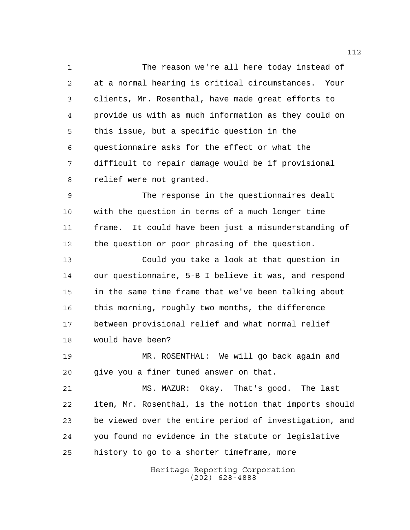The reason we're all here today instead of at a normal hearing is critical circumstances. Your clients, Mr. Rosenthal, have made great efforts to provide us with as much information as they could on this issue, but a specific question in the questionnaire asks for the effect or what the difficult to repair damage would be if provisional relief were not granted.

 The response in the questionnaires dealt with the question in terms of a much longer time frame. It could have been just a misunderstanding of the question or poor phrasing of the question.

 Could you take a look at that question in our questionnaire, 5-B I believe it was, and respond in the same time frame that we've been talking about this morning, roughly two months, the difference between provisional relief and what normal relief would have been?

 MR. ROSENTHAL: We will go back again and give you a finer tuned answer on that.

 MS. MAZUR: Okay. That's good. The last item, Mr. Rosenthal, is the notion that imports should be viewed over the entire period of investigation, and you found no evidence in the statute or legislative history to go to a shorter timeframe, more

> Heritage Reporting Corporation (202) 628-4888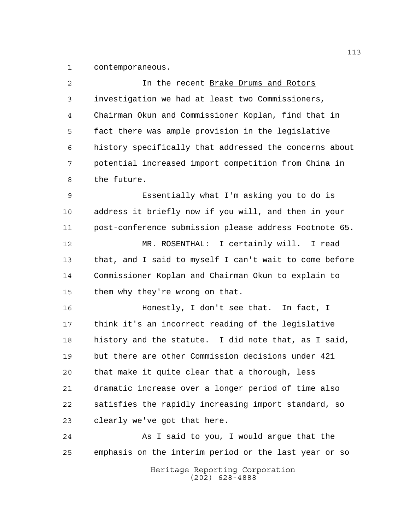contemporaneous.

| $\overline{2}$ | In the recent Brake Drums and Rotors                   |
|----------------|--------------------------------------------------------|
| 3              | investigation we had at least two Commissioners,       |
| 4              | Chairman Okun and Commissioner Koplan, find that in    |
| 5              | fact there was ample provision in the legislative      |
| 6              | history specifically that addressed the concerns about |
| 7              | potential increased import competition from China in   |
| 8              | the future.                                            |
| 9              | Essentially what I'm asking you to do is               |
| 10             | address it briefly now if you will, and then in your   |
| 11             | post-conference submission please address Footnote 65. |
| 12             | MR. ROSENTHAL: I certainly will. I read                |
| 13             | that, and I said to myself I can't wait to come before |
| 14             | Commissioner Koplan and Chairman Okun to explain to    |
| 15             | them why they're wrong on that.                        |
| 16             | Honestly, I don't see that. In fact, I                 |
| 17             | think it's an incorrect reading of the legislative     |
| 18             | history and the statute. I did note that, as I said,   |
| 19             | but there are other Commission decisions under 421     |
| 20             | that make it quite clear that a thorough, less         |
| 21             | dramatic increase over a longer period of time also    |
| 22             | satisfies the rapidly increasing import standard, so   |
| 23             | clearly we've got that here.                           |
| 24             | As I said to you, I would argue that the               |
| 25             | emphasis on the interim period or the last year or so  |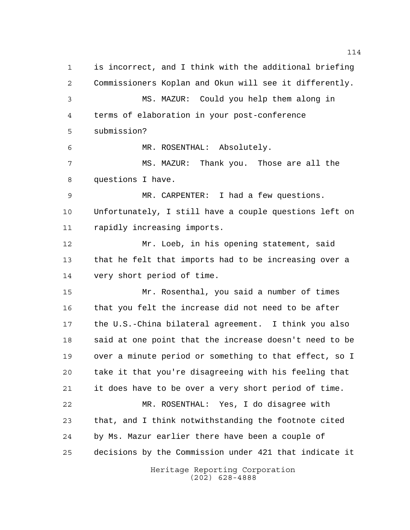Heritage Reporting Corporation is incorrect, and I think with the additional briefing Commissioners Koplan and Okun will see it differently. MS. MAZUR: Could you help them along in terms of elaboration in your post-conference submission? MR. ROSENTHAL: Absolutely. MS. MAZUR: Thank you. Those are all the questions I have. MR. CARPENTER: I had a few questions. Unfortunately, I still have a couple questions left on rapidly increasing imports. Mr. Loeb, in his opening statement, said that he felt that imports had to be increasing over a very short period of time. Mr. Rosenthal, you said a number of times 16 that you felt the increase did not need to be after the U.S.-China bilateral agreement. I think you also said at one point that the increase doesn't need to be over a minute period or something to that effect, so I take it that you're disagreeing with his feeling that it does have to be over a very short period of time. MR. ROSENTHAL: Yes, I do disagree with that, and I think notwithstanding the footnote cited by Ms. Mazur earlier there have been a couple of decisions by the Commission under 421 that indicate it

(202) 628-4888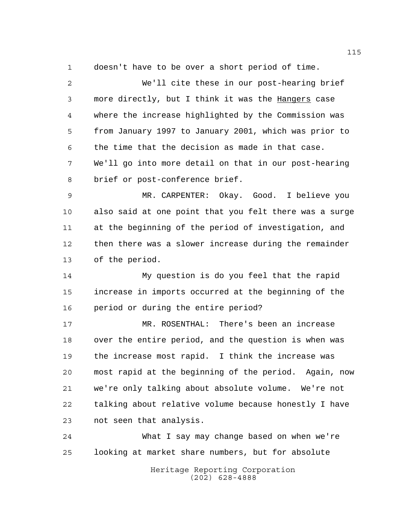doesn't have to be over a short period of time.

 We'll cite these in our post-hearing brief 3 more directly, but I think it was the Hangers case where the increase highlighted by the Commission was from January 1997 to January 2001, which was prior to the time that the decision as made in that case. We'll go into more detail on that in our post-hearing brief or post-conference brief. MR. CARPENTER: Okay. Good. I believe you also said at one point that you felt there was a surge at the beginning of the period of investigation, and then there was a slower increase during the remainder of the period. My question is do you feel that the rapid increase in imports occurred at the beginning of the period or during the entire period? MR. ROSENTHAL: There's been an increase over the entire period, and the question is when was the increase most rapid. I think the increase was most rapid at the beginning of the period. Again, now we're only talking about absolute volume. We're not talking about relative volume because honestly I have

not seen that analysis.

 What I say may change based on when we're looking at market share numbers, but for absolute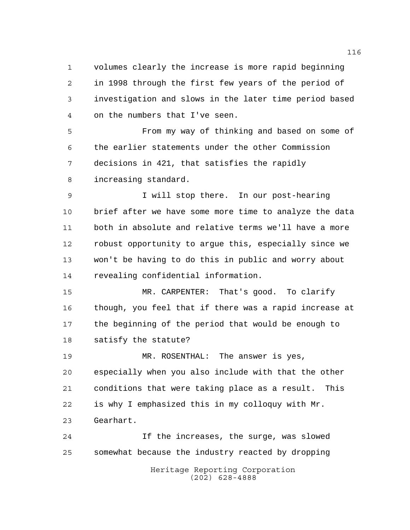volumes clearly the increase is more rapid beginning in 1998 through the first few years of the period of investigation and slows in the later time period based on the numbers that I've seen.

 From my way of thinking and based on some of the earlier statements under the other Commission decisions in 421, that satisfies the rapidly increasing standard.

 I will stop there. In our post-hearing brief after we have some more time to analyze the data both in absolute and relative terms we'll have a more robust opportunity to argue this, especially since we won't be having to do this in public and worry about revealing confidential information.

 MR. CARPENTER: That's good. To clarify though, you feel that if there was a rapid increase at the beginning of the period that would be enough to satisfy the statute?

 MR. ROSENTHAL: The answer is yes, especially when you also include with that the other conditions that were taking place as a result. This is why I emphasized this in my colloquy with Mr. Gearhart.

Heritage Reporting Corporation If the increases, the surge, was slowed somewhat because the industry reacted by dropping

(202) 628-4888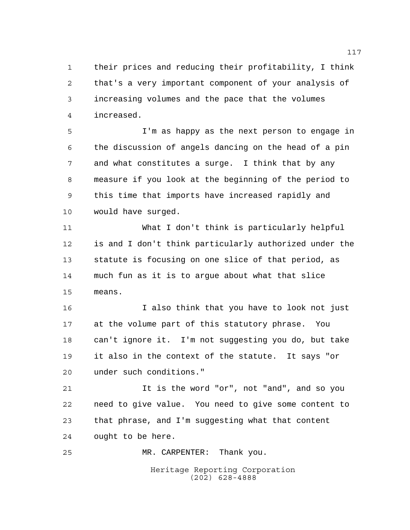their prices and reducing their profitability, I think that's a very important component of your analysis of increasing volumes and the pace that the volumes increased.

 I'm as happy as the next person to engage in the discussion of angels dancing on the head of a pin and what constitutes a surge. I think that by any measure if you look at the beginning of the period to this time that imports have increased rapidly and would have surged.

 What I don't think is particularly helpful is and I don't think particularly authorized under the statute is focusing on one slice of that period, as much fun as it is to argue about what that slice means.

 I also think that you have to look not just at the volume part of this statutory phrase. You can't ignore it. I'm not suggesting you do, but take it also in the context of the statute. It says "or under such conditions."

 It is the word "or", not "and", and so you need to give value. You need to give some content to that phrase, and I'm suggesting what that content ought to be here.

Heritage Reporting Corporation (202) 628-4888 MR. CARPENTER: Thank you.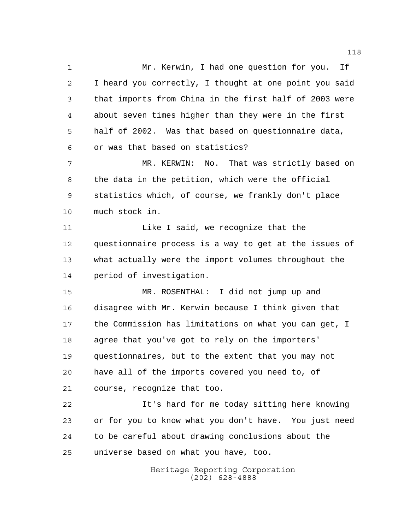Mr. Kerwin, I had one question for you. If I heard you correctly, I thought at one point you said that imports from China in the first half of 2003 were about seven times higher than they were in the first half of 2002. Was that based on questionnaire data, or was that based on statistics?

 MR. KERWIN: No. That was strictly based on the data in the petition, which were the official statistics which, of course, we frankly don't place much stock in.

11 Like I said, we recognize that the questionnaire process is a way to get at the issues of what actually were the import volumes throughout the period of investigation.

 MR. ROSENTHAL: I did not jump up and disagree with Mr. Kerwin because I think given that the Commission has limitations on what you can get, I agree that you've got to rely on the importers' questionnaires, but to the extent that you may not have all of the imports covered you need to, of course, recognize that too.

 It's hard for me today sitting here knowing or for you to know what you don't have. You just need to be careful about drawing conclusions about the universe based on what you have, too.

> Heritage Reporting Corporation (202) 628-4888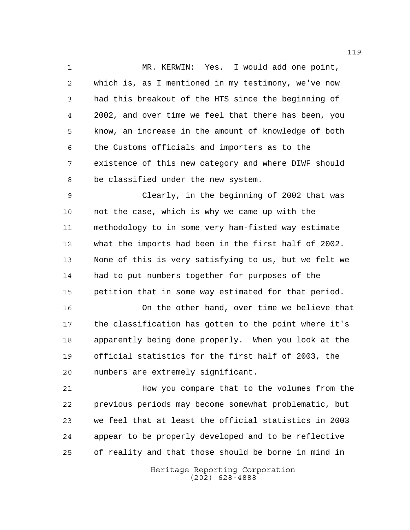MR. KERWIN: Yes. I would add one point, which is, as I mentioned in my testimony, we've now had this breakout of the HTS since the beginning of 2002, and over time we feel that there has been, you know, an increase in the amount of knowledge of both the Customs officials and importers as to the existence of this new category and where DIWF should be classified under the new system.

 Clearly, in the beginning of 2002 that was not the case, which is why we came up with the methodology to in some very ham-fisted way estimate what the imports had been in the first half of 2002. None of this is very satisfying to us, but we felt we had to put numbers together for purposes of the petition that in some way estimated for that period.

 On the other hand, over time we believe that the classification has gotten to the point where it's apparently being done properly. When you look at the official statistics for the first half of 2003, the numbers are extremely significant.

 How you compare that to the volumes from the previous periods may become somewhat problematic, but we feel that at least the official statistics in 2003 appear to be properly developed and to be reflective of reality and that those should be borne in mind in

> Heritage Reporting Corporation (202) 628-4888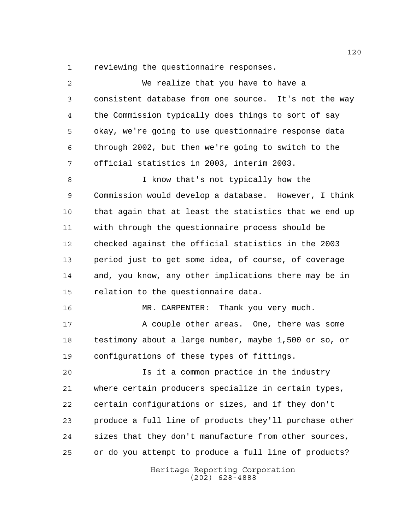reviewing the questionnaire responses.

| $\overline{a}$ | We realize that you have to have a                     |
|----------------|--------------------------------------------------------|
| 3              | consistent database from one source. It's not the way  |
| 4              | the Commission typically does things to sort of say    |
| 5              | okay, we're going to use questionnaire response data   |
| 6              | through 2002, but then we're going to switch to the    |
| 7              | official statistics in 2003, interim 2003.             |
| 8              | I know that's not typically how the                    |
| 9              | Commission would develop a database. However, I think  |
| 10             | that again that at least the statistics that we end up |
| 11             | with through the questionnaire process should be       |
| 12             | checked against the official statistics in the 2003    |
| 13             | period just to get some idea, of course, of coverage   |
| 14             | and, you know, any other implications there may be in  |
| 15             | relation to the questionnaire data.                    |
| 16             | MR. CARPENTER: Thank you very much.                    |
| 17             | A couple other areas. One, there was some              |
| 18             | testimony about a large number, maybe 1,500 or so, or  |
| 19             | configurations of these types of fittings.             |
| 20             | Is it a common practice in the industry                |
| 21             | where certain producers specialize in certain types,   |
| 22             | certain configurations or sizes, and if they don't     |
| 23             | produce a full line of products they'll purchase other |
| 24             | sizes that they don't manufacture from other sources,  |
| 25             | or do you attempt to produce a full line of products?  |
|                | Heritage Reporting Corporation<br>$(202)$ 628-4888     |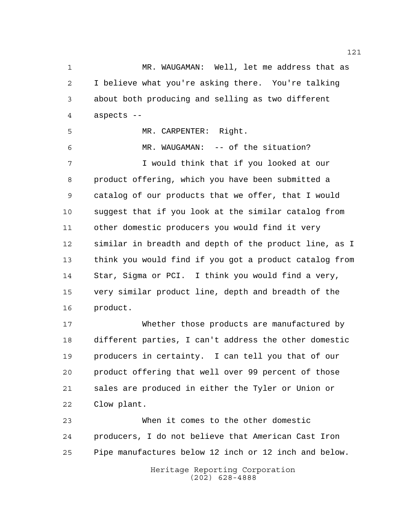MR. WAUGAMAN: Well, let me address that as I believe what you're asking there. You're talking about both producing and selling as two different aspects --

MR. CARPENTER: Right.

 MR. WAUGAMAN: -- of the situation? I would think that if you looked at our product offering, which you have been submitted a catalog of our products that we offer, that I would suggest that if you look at the similar catalog from other domestic producers you would find it very similar in breadth and depth of the product line, as I think you would find if you got a product catalog from Star, Sigma or PCI. I think you would find a very, very similar product line, depth and breadth of the product.

 Whether those products are manufactured by different parties, I can't address the other domestic producers in certainty. I can tell you that of our product offering that well over 99 percent of those sales are produced in either the Tyler or Union or Clow plant.

 When it comes to the other domestic producers, I do not believe that American Cast Iron Pipe manufactures below 12 inch or 12 inch and below.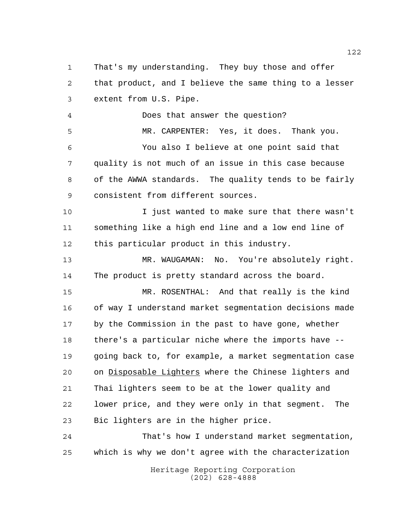That's my understanding. They buy those and offer that product, and I believe the same thing to a lesser extent from U.S. Pipe.

 Does that answer the question? MR. CARPENTER: Yes, it does. Thank you. You also I believe at one point said that quality is not much of an issue in this case because of the AWWA standards. The quality tends to be fairly consistent from different sources.

 I just wanted to make sure that there wasn't something like a high end line and a low end line of this particular product in this industry.

 MR. WAUGAMAN: No. You're absolutely right. The product is pretty standard across the board.

 MR. ROSENTHAL: And that really is the kind of way I understand market segmentation decisions made by the Commission in the past to have gone, whether there's a particular niche where the imports have -- going back to, for example, a market segmentation case on Disposable Lighters where the Chinese lighters and Thai lighters seem to be at the lower quality and lower price, and they were only in that segment. The Bic lighters are in the higher price.

 That's how I understand market segmentation, which is why we don't agree with the characterization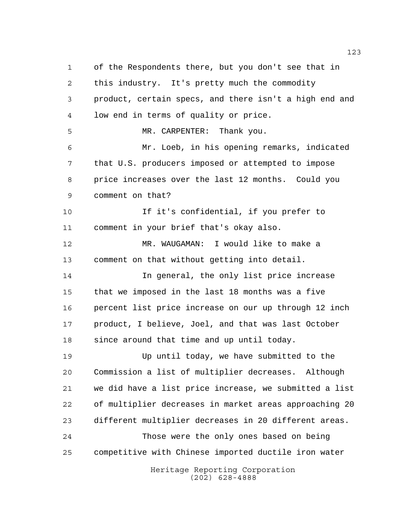Heritage Reporting Corporation of the Respondents there, but you don't see that in this industry. It's pretty much the commodity product, certain specs, and there isn't a high end and low end in terms of quality or price. MR. CARPENTER: Thank you. Mr. Loeb, in his opening remarks, indicated that U.S. producers imposed or attempted to impose price increases over the last 12 months. Could you comment on that? If it's confidential, if you prefer to comment in your brief that's okay also. MR. WAUGAMAN: I would like to make a comment on that without getting into detail. In general, the only list price increase that we imposed in the last 18 months was a five percent list price increase on our up through 12 inch product, I believe, Joel, and that was last October since around that time and up until today. Up until today, we have submitted to the Commission a list of multiplier decreases. Although we did have a list price increase, we submitted a list of multiplier decreases in market areas approaching 20 different multiplier decreases in 20 different areas. Those were the only ones based on being competitive with Chinese imported ductile iron water

(202) 628-4888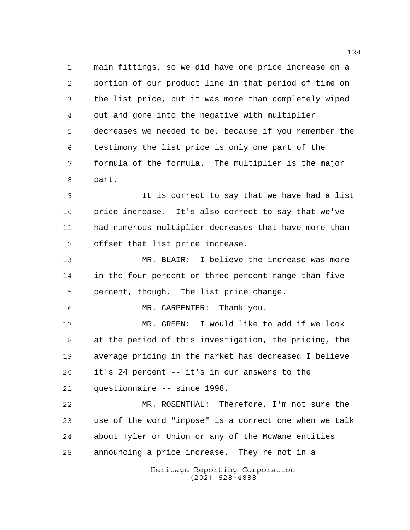main fittings, so we did have one price increase on a portion of our product line in that period of time on the list price, but it was more than completely wiped out and gone into the negative with multiplier decreases we needed to be, because if you remember the testimony the list price is only one part of the formula of the formula. The multiplier is the major part.

 It is correct to say that we have had a list price increase. It's also correct to say that we've had numerous multiplier decreases that have more than offset that list price increase.

 MR. BLAIR: I believe the increase was more in the four percent or three percent range than five percent, though. The list price change.

16 MR. CARPENTER: Thank you.

 MR. GREEN: I would like to add if we look at the period of this investigation, the pricing, the average pricing in the market has decreased I believe it's 24 percent -- it's in our answers to the questionnaire -- since 1998.

 MR. ROSENTHAL: Therefore, I'm not sure the use of the word "impose" is a correct one when we talk about Tyler or Union or any of the McWane entities announcing a price increase. They're not in a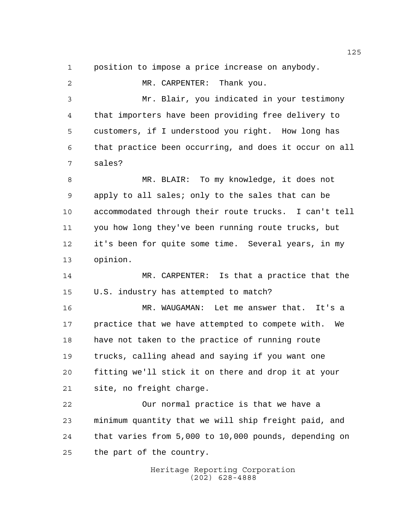position to impose a price increase on anybody.

 MR. CARPENTER: Thank you. Mr. Blair, you indicated in your testimony that importers have been providing free delivery to customers, if I understood you right. How long has that practice been occurring, and does it occur on all sales? MR. BLAIR: To my knowledge, it does not apply to all sales; only to the sales that can be accommodated through their route trucks. I can't tell you how long they've been running route trucks, but it's been for quite some time. Several years, in my opinion. MR. CARPENTER: Is that a practice that the U.S. industry has attempted to match? MR. WAUGAMAN: Let me answer that. It's a practice that we have attempted to compete with. We have not taken to the practice of running route trucks, calling ahead and saying if you want one fitting we'll stick it on there and drop it at your site, no freight charge. Our normal practice is that we have a minimum quantity that we will ship freight paid, and that varies from 5,000 to 10,000 pounds, depending on the part of the country.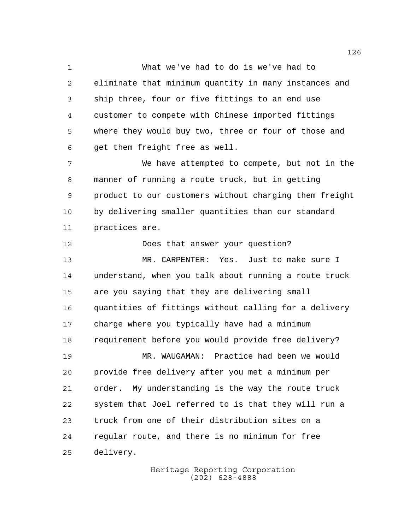What we've had to do is we've had to eliminate that minimum quantity in many instances and ship three, four or five fittings to an end use customer to compete with Chinese imported fittings where they would buy two, three or four of those and get them freight free as well.

 We have attempted to compete, but not in the manner of running a route truck, but in getting product to our customers without charging them freight by delivering smaller quantities than our standard practices are.

 Does that answer your question? MR. CARPENTER: Yes. Just to make sure I understand, when you talk about running a route truck are you saying that they are delivering small quantities of fittings without calling for a delivery charge where you typically have had a minimum requirement before you would provide free delivery? MR. WAUGAMAN: Practice had been we would provide free delivery after you met a minimum per order. My understanding is the way the route truck system that Joel referred to is that they will run a truck from one of their distribution sites on a regular route, and there is no minimum for free delivery.

> Heritage Reporting Corporation (202) 628-4888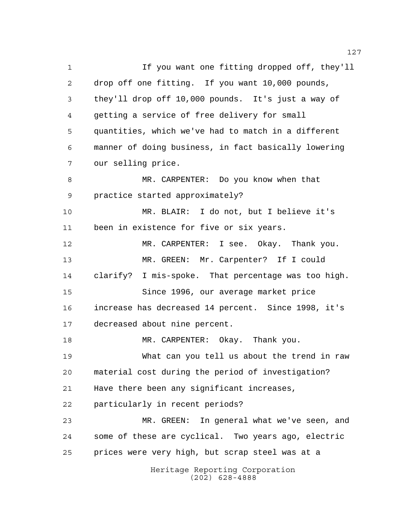Heritage Reporting Corporation (202) 628-4888 1 If you want one fitting dropped off, they'll drop off one fitting. If you want 10,000 pounds, they'll drop off 10,000 pounds. It's just a way of getting a service of free delivery for small quantities, which we've had to match in a different manner of doing business, in fact basically lowering our selling price. MR. CARPENTER: Do you know when that practice started approximately? MR. BLAIR: I do not, but I believe it's been in existence for five or six years. MR. CARPENTER: I see. Okay. Thank you. MR. GREEN: Mr. Carpenter? If I could clarify? I mis-spoke. That percentage was too high. Since 1996, our average market price increase has decreased 14 percent. Since 1998, it's decreased about nine percent. 18 MR. CARPENTER: Okay. Thank you. What can you tell us about the trend in raw material cost during the period of investigation? Have there been any significant increases, particularly in recent periods? MR. GREEN: In general what we've seen, and some of these are cyclical. Two years ago, electric prices were very high, but scrap steel was at a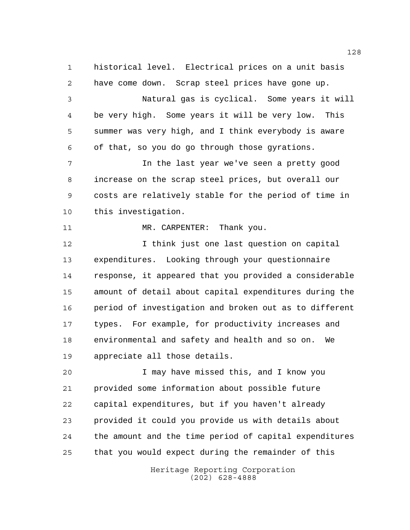historical level. Electrical prices on a unit basis have come down. Scrap steel prices have gone up.

 Natural gas is cyclical. Some years it will be very high. Some years it will be very low. This summer was very high, and I think everybody is aware of that, so you do go through those gyrations.

 In the last year we've seen a pretty good increase on the scrap steel prices, but overall our costs are relatively stable for the period of time in this investigation.

11 MR. CARPENTER: Thank you.

 I think just one last question on capital expenditures. Looking through your questionnaire response, it appeared that you provided a considerable amount of detail about capital expenditures during the period of investigation and broken out as to different types. For example, for productivity increases and environmental and safety and health and so on. We appreciate all those details.

 I may have missed this, and I know you provided some information about possible future capital expenditures, but if you haven't already provided it could you provide us with details about the amount and the time period of capital expenditures that you would expect during the remainder of this

> Heritage Reporting Corporation (202) 628-4888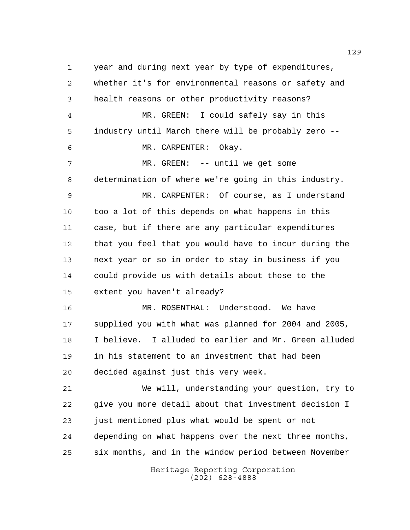year and during next year by type of expenditures, whether it's for environmental reasons or safety and health reasons or other productivity reasons? MR. GREEN: I could safely say in this industry until March there will be probably zero -- MR. CARPENTER: Okay. MR. GREEN: -- until we get some determination of where we're going in this industry. MR. CARPENTER: Of course, as I understand too a lot of this depends on what happens in this case, but if there are any particular expenditures that you feel that you would have to incur during the next year or so in order to stay in business if you could provide us with details about those to the extent you haven't already? MR. ROSENTHAL: Understood. We have supplied you with what was planned for 2004 and 2005, I believe. I alluded to earlier and Mr. Green alluded in his statement to an investment that had been decided against just this very week. We will, understanding your question, try to give you more detail about that investment decision I just mentioned plus what would be spent or not depending on what happens over the next three months, six months, and in the window period between November

> Heritage Reporting Corporation (202) 628-4888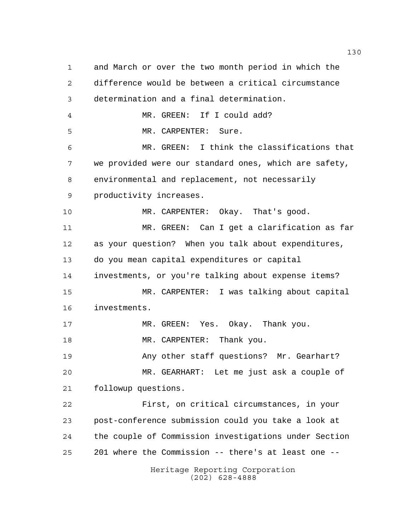Heritage Reporting Corporation and March or over the two month period in which the difference would be between a critical circumstance determination and a final determination. MR. GREEN: If I could add? MR. CARPENTER: Sure. MR. GREEN: I think the classifications that we provided were our standard ones, which are safety, environmental and replacement, not necessarily productivity increases. MR. CARPENTER: Okay. That's good. MR. GREEN: Can I get a clarification as far as your question? When you talk about expenditures, do you mean capital expenditures or capital investments, or you're talking about expense items? MR. CARPENTER: I was talking about capital investments. 17 MR. GREEN: Yes. Okay. Thank you. 18 MR. CARPENTER: Thank you. Any other staff questions? Mr. Gearhart? MR. GEARHART: Let me just ask a couple of followup questions. First, on critical circumstances, in your post-conference submission could you take a look at the couple of Commission investigations under Section 201 where the Commission -- there's at least one --

(202) 628-4888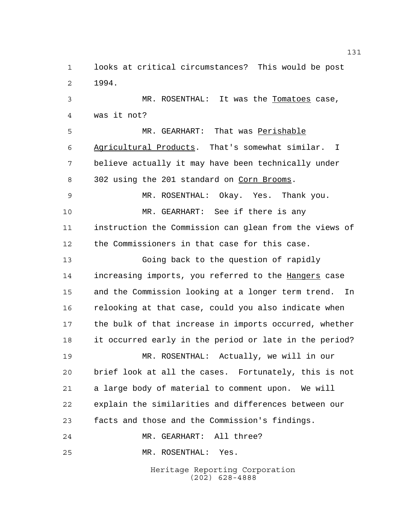looks at critical circumstances? This would be post 1994.

 MR. ROSENTHAL: It was the Tomatoes case, was it not?

 MR. GEARHART: That was Perishable Agricultural Products. That's somewhat similar. I believe actually it may have been technically under 302 using the 201 standard on Corn Brooms.

 MR. ROSENTHAL: Okay. Yes. Thank you. MR. GEARHART: See if there is any instruction the Commission can glean from the views of the Commissioners in that case for this case.

 Going back to the question of rapidly 14 increasing imports, you referred to the Hangers case and the Commission looking at a longer term trend. In relooking at that case, could you also indicate when the bulk of that increase in imports occurred, whether it occurred early in the period or late in the period? MR. ROSENTHAL: Actually, we will in our brief look at all the cases. Fortunately, this is not a large body of material to comment upon. We will explain the similarities and differences between our

facts and those and the Commission's findings.

MR. GEARHART: All three?

MR. ROSENTHAL: Yes.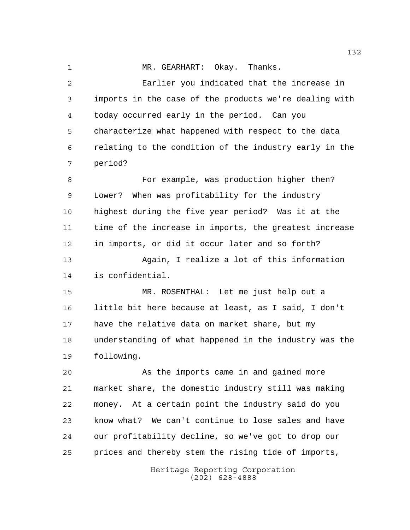MR. GEARHART: Okay. Thanks. Earlier you indicated that the increase in imports in the case of the products we're dealing with today occurred early in the period. Can you

 characterize what happened with respect to the data relating to the condition of the industry early in the period?

 For example, was production higher then? Lower? When was profitability for the industry highest during the five year period? Was it at the time of the increase in imports, the greatest increase in imports, or did it occur later and so forth? Again, I realize a lot of this information is confidential.

 MR. ROSENTHAL: Let me just help out a little bit here because at least, as I said, I don't have the relative data on market share, but my understanding of what happened in the industry was the following.

 As the imports came in and gained more market share, the domestic industry still was making money. At a certain point the industry said do you know what? We can't continue to lose sales and have our profitability decline, so we've got to drop our prices and thereby stem the rising tide of imports,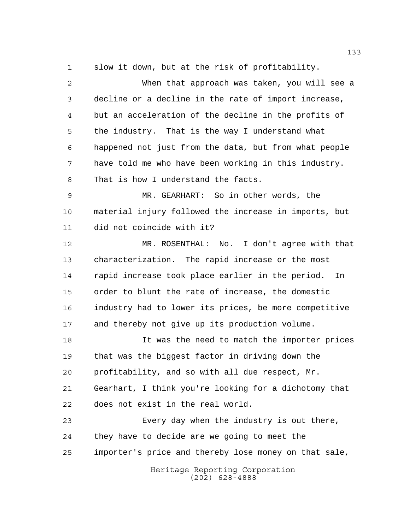slow it down, but at the risk of profitability.

| $\overline{a}$ | When that approach was taken, you will see a           |
|----------------|--------------------------------------------------------|
| 3              | decline or a decline in the rate of import increase,   |
| 4              | but an acceleration of the decline in the profits of   |
| 5              | the industry. That is the way I understand what        |
| 6              | happened not just from the data, but from what people  |
| 7              | have told me who have been working in this industry.   |
| 8              | That is how I understand the facts.                    |
| 9              | MR. GEARHART: So in other words, the                   |
| 10             | material injury followed the increase in imports, but  |
| 11             | did not coincide with it?                              |
| 12             | MR. ROSENTHAL: No. I don't agree with that             |
| 13             | characterization. The rapid increase or the most       |
| 14             | rapid increase took place earlier in the period.<br>In |
| 15             | order to blunt the rate of increase, the domestic      |
| 16             | industry had to lower its prices, be more competitive  |
| 17             | and thereby not give up its production volume.         |
| 18             | It was the need to match the importer prices           |
| 19             | that was the biggest factor in driving down the        |
| 20             | profitability, and so with all due respect, Mr.        |
| 21             | Gearhart, I think you're looking for a dichotomy that  |
| 22             | does not exist in the real world.                      |
| 23             | Every day when the industry is out there,              |
| 24             | they have to decide are we going to meet the           |
| 25             | importer's price and thereby lose money on that sale,  |
|                | Heritage Reporting Corporation<br>$(202)$ 628-4888     |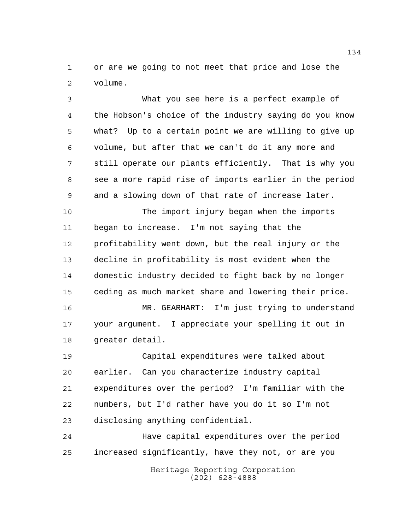or are we going to not meet that price and lose the volume.

 What you see here is a perfect example of the Hobson's choice of the industry saying do you know what? Up to a certain point we are willing to give up volume, but after that we can't do it any more and still operate our plants efficiently. That is why you see a more rapid rise of imports earlier in the period and a slowing down of that rate of increase later.

 The import injury began when the imports began to increase. I'm not saying that the profitability went down, but the real injury or the decline in profitability is most evident when the domestic industry decided to fight back by no longer ceding as much market share and lowering their price.

 MR. GEARHART: I'm just trying to understand your argument. I appreciate your spelling it out in greater detail.

 Capital expenditures were talked about earlier. Can you characterize industry capital expenditures over the period? I'm familiar with the numbers, but I'd rather have you do it so I'm not disclosing anything confidential.

 Have capital expenditures over the period increased significantly, have they not, or are you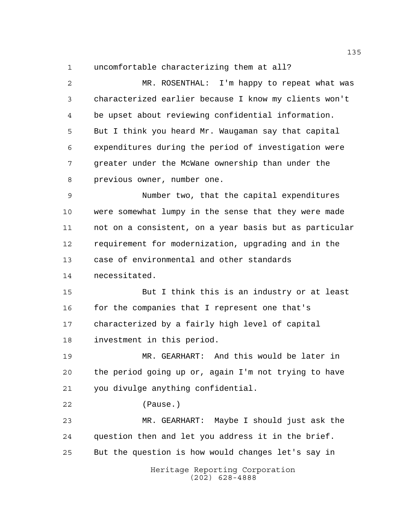uncomfortable characterizing them at all?

Heritage Reporting Corporation (202) 628-4888 MR. ROSENTHAL: I'm happy to repeat what was characterized earlier because I know my clients won't be upset about reviewing confidential information. But I think you heard Mr. Waugaman say that capital expenditures during the period of investigation were greater under the McWane ownership than under the previous owner, number one. Number two, that the capital expenditures were somewhat lumpy in the sense that they were made not on a consistent, on a year basis but as particular requirement for modernization, upgrading and in the case of environmental and other standards necessitated. But I think this is an industry or at least 16 for the companies that I represent one that's characterized by a fairly high level of capital investment in this period. MR. GEARHART: And this would be later in the period going up or, again I'm not trying to have you divulge anything confidential. (Pause.) MR. GEARHART: Maybe I should just ask the question then and let you address it in the brief. But the question is how would changes let's say in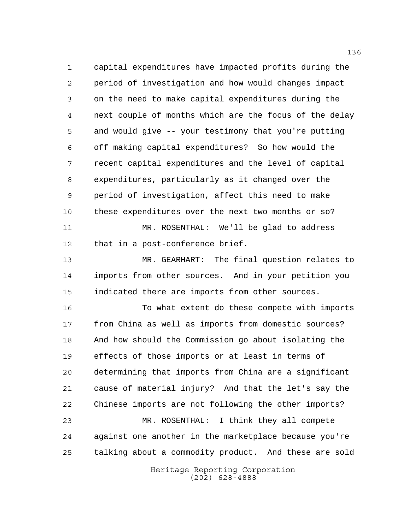capital expenditures have impacted profits during the period of investigation and how would changes impact on the need to make capital expenditures during the next couple of months which are the focus of the delay and would give -- your testimony that you're putting off making capital expenditures? So how would the recent capital expenditures and the level of capital expenditures, particularly as it changed over the period of investigation, affect this need to make these expenditures over the next two months or so? MR. ROSENTHAL: We'll be glad to address that in a post-conference brief.

 MR. GEARHART: The final question relates to imports from other sources. And in your petition you indicated there are imports from other sources.

 To what extent do these compete with imports from China as well as imports from domestic sources? And how should the Commission go about isolating the effects of those imports or at least in terms of determining that imports from China are a significant cause of material injury? And that the let's say the Chinese imports are not following the other imports? MR. ROSENTHAL: I think they all compete

 against one another in the marketplace because you're talking about a commodity product. And these are sold

> Heritage Reporting Corporation (202) 628-4888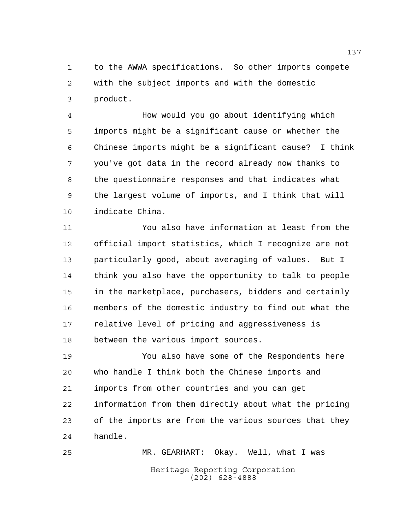to the AWWA specifications. So other imports compete with the subject imports and with the domestic product.

 How would you go about identifying which imports might be a significant cause or whether the Chinese imports might be a significant cause? I think you've got data in the record already now thanks to the questionnaire responses and that indicates what the largest volume of imports, and I think that will indicate China.

 You also have information at least from the official import statistics, which I recognize are not particularly good, about averaging of values. But I think you also have the opportunity to talk to people in the marketplace, purchasers, bidders and certainly members of the domestic industry to find out what the relative level of pricing and aggressiveness is between the various import sources.

 You also have some of the Respondents here who handle I think both the Chinese imports and imports from other countries and you can get information from them directly about what the pricing of the imports are from the various sources that they handle.

Heritage Reporting Corporation (202) 628-4888 MR. GEARHART: Okay. Well, what I was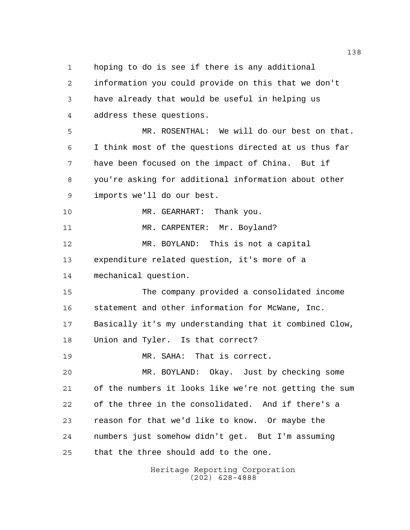hoping to do is see if there is any additional

 information you could provide on this that we don't have already that would be useful in helping us address these questions. MR. ROSENTHAL: We will do our best on that. I think most of the questions directed at us thus far have been focused on the impact of China. But if you're asking for additional information about other imports we'll do our best. 10 MR. GEARHART: Thank you. 11 MR. CARPENTER: Mr. Boyland? MR. BOYLAND: This is not a capital expenditure related question, it's more of a mechanical question. The company provided a consolidated income statement and other information for McWane, Inc. Basically it's my understanding that it combined Clow, Union and Tyler. Is that correct? MR. SAHA: That is correct. MR. BOYLAND: Okay. Just by checking some of the numbers it looks like we're not getting the sum of the three in the consolidated. And if there's a reason for that we'd like to know. Or maybe the numbers just somehow didn't get. But I'm assuming

that the three should add to the one.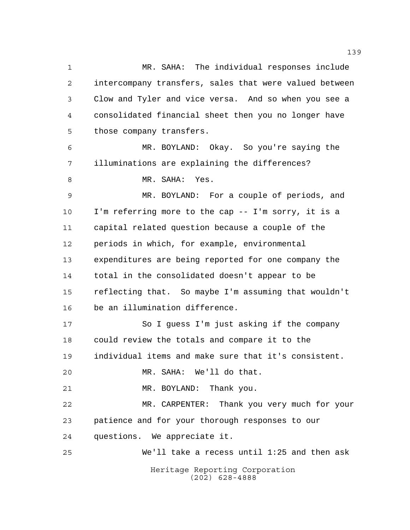Heritage Reporting Corporation (202) 628-4888 MR. SAHA: The individual responses include intercompany transfers, sales that were valued between Clow and Tyler and vice versa. And so when you see a consolidated financial sheet then you no longer have those company transfers. MR. BOYLAND: Okay. So you're saying the illuminations are explaining the differences? MR. SAHA: Yes. MR. BOYLAND: For a couple of periods, and I'm referring more to the cap -- I'm sorry, it is a capital related question because a couple of the periods in which, for example, environmental expenditures are being reported for one company the total in the consolidated doesn't appear to be reflecting that. So maybe I'm assuming that wouldn't be an illumination difference. So I guess I'm just asking if the company could review the totals and compare it to the individual items and make sure that it's consistent. MR. SAHA: We'll do that. MR. BOYLAND: Thank you. MR. CARPENTER: Thank you very much for your patience and for your thorough responses to our questions. We appreciate it. We'll take a recess until 1:25 and then ask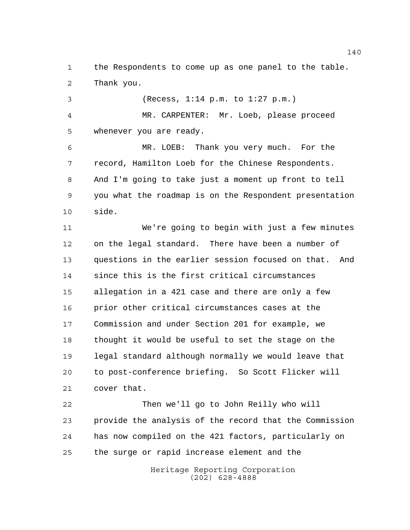the Respondents to come up as one panel to the table. Thank you.

 (Recess, 1:14 p.m. to 1:27 p.m.) MR. CARPENTER: Mr. Loeb, please proceed whenever you are ready. MR. LOEB: Thank you very much. For the

 record, Hamilton Loeb for the Chinese Respondents. And I'm going to take just a moment up front to tell you what the roadmap is on the Respondent presentation side.

 We're going to begin with just a few minutes on the legal standard. There have been a number of questions in the earlier session focused on that. And since this is the first critical circumstances allegation in a 421 case and there are only a few prior other critical circumstances cases at the Commission and under Section 201 for example, we thought it would be useful to set the stage on the legal standard although normally we would leave that to post-conference briefing. So Scott Flicker will cover that.

 Then we'll go to John Reilly who will provide the analysis of the record that the Commission has now compiled on the 421 factors, particularly on the surge or rapid increase element and the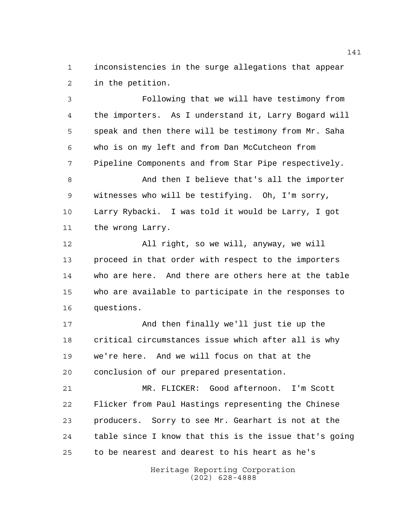inconsistencies in the surge allegations that appear in the petition.

 Following that we will have testimony from the importers. As I understand it, Larry Bogard will speak and then there will be testimony from Mr. Saha who is on my left and from Dan McCutcheon from Pipeline Components and from Star Pipe respectively.

 And then I believe that's all the importer witnesses who will be testifying. Oh, I'm sorry, Larry Rybacki. I was told it would be Larry, I got the wrong Larry.

 All right, so we will, anyway, we will proceed in that order with respect to the importers who are here. And there are others here at the table who are available to participate in the responses to questions.

 And then finally we'll just tie up the critical circumstances issue which after all is why we're here. And we will focus on that at the conclusion of our prepared presentation.

 MR. FLICKER: Good afternoon. I'm Scott Flicker from Paul Hastings representing the Chinese producers. Sorry to see Mr. Gearhart is not at the table since I know that this is the issue that's going to be nearest and dearest to his heart as he's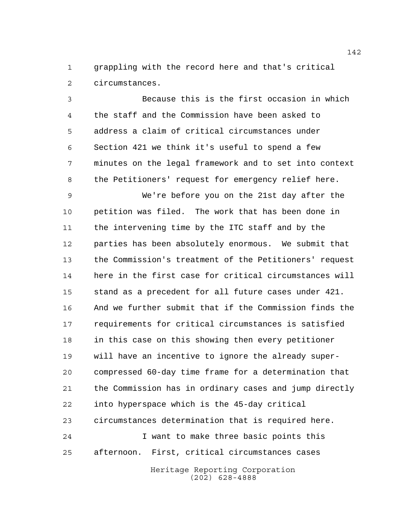grappling with the record here and that's critical circumstances.

 Because this is the first occasion in which the staff and the Commission have been asked to address a claim of critical circumstances under Section 421 we think it's useful to spend a few minutes on the legal framework and to set into context the Petitioners' request for emergency relief here.

 We're before you on the 21st day after the petition was filed. The work that has been done in the intervening time by the ITC staff and by the parties has been absolutely enormous. We submit that the Commission's treatment of the Petitioners' request here in the first case for critical circumstances will stand as a precedent for all future cases under 421. And we further submit that if the Commission finds the requirements for critical circumstances is satisfied in this case on this showing then every petitioner will have an incentive to ignore the already super- compressed 60-day time frame for a determination that the Commission has in ordinary cases and jump directly into hyperspace which is the 45-day critical circumstances determination that is required here. I want to make three basic points this afternoon. First, critical circumstances cases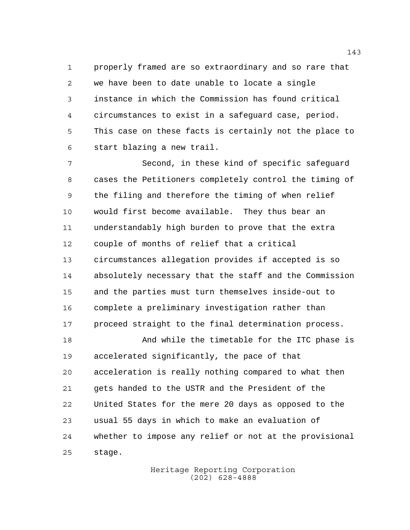properly framed are so extraordinary and so rare that we have been to date unable to locate a single instance in which the Commission has found critical circumstances to exist in a safeguard case, period. This case on these facts is certainly not the place to start blazing a new trail.

 Second, in these kind of specific safeguard cases the Petitioners completely control the timing of the filing and therefore the timing of when relief would first become available. They thus bear an understandably high burden to prove that the extra couple of months of relief that a critical circumstances allegation provides if accepted is so absolutely necessary that the staff and the Commission and the parties must turn themselves inside-out to complete a preliminary investigation rather than 17 proceed straight to the final determination process.

 And while the timetable for the ITC phase is accelerated significantly, the pace of that acceleration is really nothing compared to what then gets handed to the USTR and the President of the United States for the mere 20 days as opposed to the usual 55 days in which to make an evaluation of whether to impose any relief or not at the provisional stage.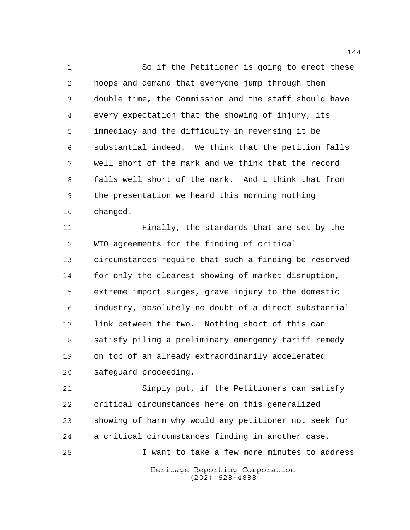1 So if the Petitioner is going to erect these hoops and demand that everyone jump through them double time, the Commission and the staff should have every expectation that the showing of injury, its immediacy and the difficulty in reversing it be substantial indeed. We think that the petition falls well short of the mark and we think that the record falls well short of the mark. And I think that from the presentation we heard this morning nothing changed.

 Finally, the standards that are set by the WTO agreements for the finding of critical circumstances require that such a finding be reserved for only the clearest showing of market disruption, extreme import surges, grave injury to the domestic industry, absolutely no doubt of a direct substantial link between the two. Nothing short of this can satisfy piling a preliminary emergency tariff remedy on top of an already extraordinarily accelerated safeguard proceeding.

 Simply put, if the Petitioners can satisfy critical circumstances here on this generalized showing of harm why would any petitioner not seek for a critical circumstances finding in another case. I want to take a few more minutes to address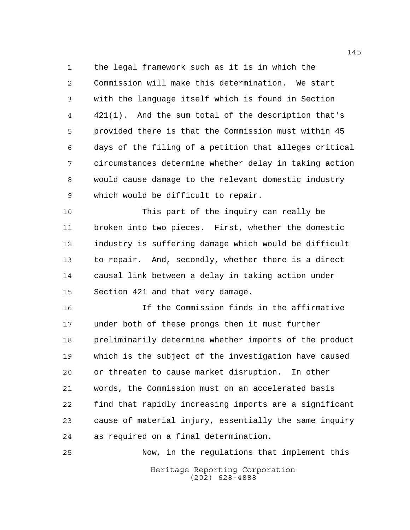the legal framework such as it is in which the Commission will make this determination. We start with the language itself which is found in Section 421(i). And the sum total of the description that's provided there is that the Commission must within 45 days of the filing of a petition that alleges critical circumstances determine whether delay in taking action would cause damage to the relevant domestic industry which would be difficult to repair.

 This part of the inquiry can really be broken into two pieces. First, whether the domestic industry is suffering damage which would be difficult to repair. And, secondly, whether there is a direct causal link between a delay in taking action under Section 421 and that very damage.

 If the Commission finds in the affirmative under both of these prongs then it must further preliminarily determine whether imports of the product which is the subject of the investigation have caused or threaten to cause market disruption. In other words, the Commission must on an accelerated basis find that rapidly increasing imports are a significant cause of material injury, essentially the same inquiry as required on a final determination.

Heritage Reporting Corporation (202) 628-4888 Now, in the regulations that implement this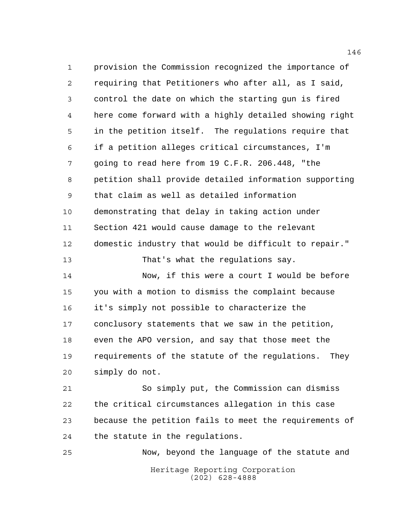provision the Commission recognized the importance of requiring that Petitioners who after all, as I said, control the date on which the starting gun is fired here come forward with a highly detailed showing right in the petition itself. The regulations require that if a petition alleges critical circumstances, I'm going to read here from 19 C.F.R. 206.448, "the petition shall provide detailed information supporting that claim as well as detailed information demonstrating that delay in taking action under Section 421 would cause damage to the relevant domestic industry that would be difficult to repair." That's what the regulations say. Now, if this were a court I would be before you with a motion to dismiss the complaint because it's simply not possible to characterize the conclusory statements that we saw in the petition, even the APO version, and say that those meet the requirements of the statute of the regulations. They simply do not. So simply put, the Commission can dismiss

 the critical circumstances allegation in this case because the petition fails to meet the requirements of the statute in the regulations.

Heritage Reporting Corporation (202) 628-4888 Now, beyond the language of the statute and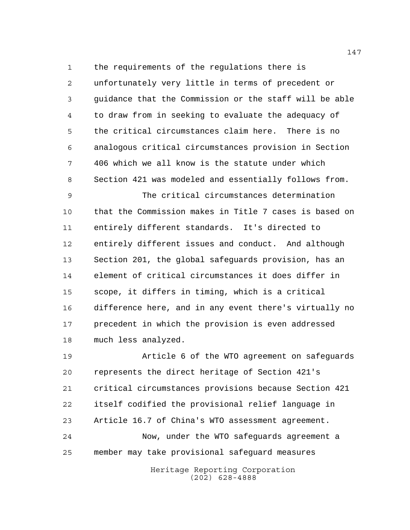the requirements of the regulations there is unfortunately very little in terms of precedent or guidance that the Commission or the staff will be able to draw from in seeking to evaluate the adequacy of the critical circumstances claim here. There is no analogous critical circumstances provision in Section 406 which we all know is the statute under which Section 421 was modeled and essentially follows from.

 The critical circumstances determination that the Commission makes in Title 7 cases is based on entirely different standards. It's directed to entirely different issues and conduct. And although Section 201, the global safeguards provision, has an element of critical circumstances it does differ in scope, it differs in timing, which is a critical difference here, and in any event there's virtually no precedent in which the provision is even addressed much less analyzed.

 Article 6 of the WTO agreement on safeguards represents the direct heritage of Section 421's critical circumstances provisions because Section 421 itself codified the provisional relief language in Article 16.7 of China's WTO assessment agreement. Now, under the WTO safeguards agreement a member may take provisional safeguard measures

> Heritage Reporting Corporation (202) 628-4888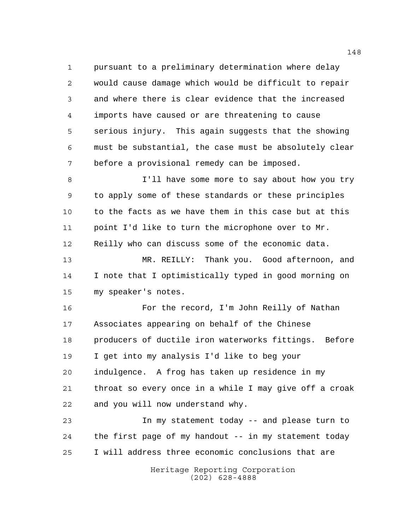pursuant to a preliminary determination where delay would cause damage which would be difficult to repair and where there is clear evidence that the increased imports have caused or are threatening to cause serious injury. This again suggests that the showing must be substantial, the case must be absolutely clear before a provisional remedy can be imposed.

 I'll have some more to say about how you try to apply some of these standards or these principles to the facts as we have them in this case but at this 11 point I'd like to turn the microphone over to Mr. Reilly who can discuss some of the economic data.

 MR. REILLY: Thank you. Good afternoon, and I note that I optimistically typed in good morning on my speaker's notes.

 For the record, I'm John Reilly of Nathan Associates appearing on behalf of the Chinese producers of ductile iron waterworks fittings. Before I get into my analysis I'd like to beg your indulgence. A frog has taken up residence in my throat so every once in a while I may give off a croak and you will now understand why.

 In my statement today -- and please turn to the first page of my handout -- in my statement today I will address three economic conclusions that are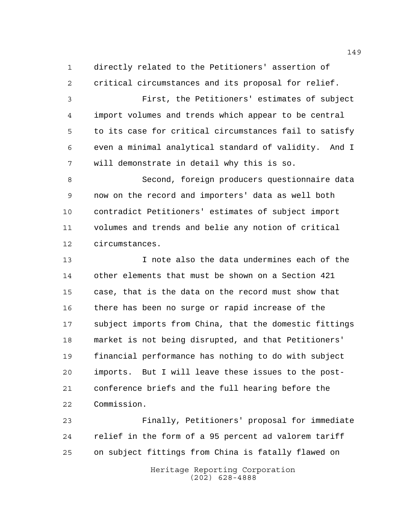directly related to the Petitioners' assertion of critical circumstances and its proposal for relief.

 First, the Petitioners' estimates of subject import volumes and trends which appear to be central to its case for critical circumstances fail to satisfy even a minimal analytical standard of validity. And I will demonstrate in detail why this is so.

 Second, foreign producers questionnaire data now on the record and importers' data as well both contradict Petitioners' estimates of subject import volumes and trends and belie any notion of critical circumstances.

 I note also the data undermines each of the other elements that must be shown on a Section 421 case, that is the data on the record must show that there has been no surge or rapid increase of the subject imports from China, that the domestic fittings market is not being disrupted, and that Petitioners' financial performance has nothing to do with subject imports. But I will leave these issues to the post- conference briefs and the full hearing before the Commission.

 Finally, Petitioners' proposal for immediate relief in the form of a 95 percent ad valorem tariff on subject fittings from China is fatally flawed on

> Heritage Reporting Corporation (202) 628-4888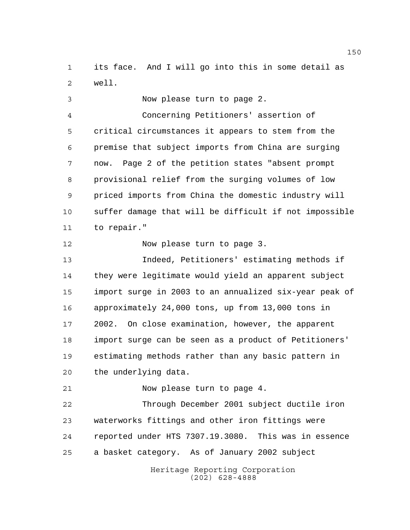its face. And I will go into this in some detail as well.

 Now please turn to page 2. Concerning Petitioners' assertion of critical circumstances it appears to stem from the premise that subject imports from China are surging now. Page 2 of the petition states "absent prompt provisional relief from the surging volumes of low priced imports from China the domestic industry will suffer damage that will be difficult if not impossible to repair." 12 Now please turn to page 3. Indeed, Petitioners' estimating methods if they were legitimate would yield an apparent subject import surge in 2003 to an annualized six-year peak of approximately 24,000 tons, up from 13,000 tons in 2002. On close examination, however, the apparent import surge can be seen as a product of Petitioners' estimating methods rather than any basic pattern in the underlying data.

Now please turn to page 4.

 Through December 2001 subject ductile iron waterworks fittings and other iron fittings were reported under HTS 7307.19.3080. This was in essence a basket category. As of January 2002 subject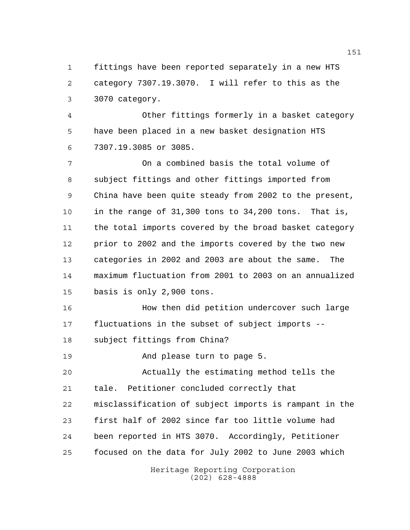fittings have been reported separately in a new HTS category 7307.19.3070. I will refer to this as the 3070 category.

 Other fittings formerly in a basket category have been placed in a new basket designation HTS 7307.19.3085 or 3085.

 On a combined basis the total volume of subject fittings and other fittings imported from China have been quite steady from 2002 to the present, in the range of 31,300 tons to 34,200 tons. That is, the total imports covered by the broad basket category 12 prior to 2002 and the imports covered by the two new categories in 2002 and 2003 are about the same. The maximum fluctuation from 2001 to 2003 on an annualized basis is only 2,900 tons.

 How then did petition undercover such large fluctuations in the subset of subject imports -- subject fittings from China?

And please turn to page 5.

 Actually the estimating method tells the tale. Petitioner concluded correctly that misclassification of subject imports is rampant in the

 first half of 2002 since far too little volume had been reported in HTS 3070. Accordingly, Petitioner

focused on the data for July 2002 to June 2003 which

Heritage Reporting Corporation (202) 628-4888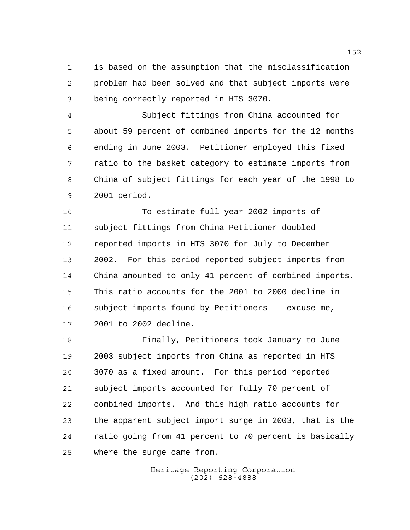is based on the assumption that the misclassification problem had been solved and that subject imports were being correctly reported in HTS 3070.

 Subject fittings from China accounted for about 59 percent of combined imports for the 12 months ending in June 2003. Petitioner employed this fixed ratio to the basket category to estimate imports from China of subject fittings for each year of the 1998 to 2001 period.

 To estimate full year 2002 imports of subject fittings from China Petitioner doubled reported imports in HTS 3070 for July to December 2002. For this period reported subject imports from China amounted to only 41 percent of combined imports. This ratio accounts for the 2001 to 2000 decline in subject imports found by Petitioners -- excuse me, 2001 to 2002 decline.

 Finally, Petitioners took January to June 2003 subject imports from China as reported in HTS 3070 as a fixed amount. For this period reported subject imports accounted for fully 70 percent of combined imports. And this high ratio accounts for the apparent subject import surge in 2003, that is the ratio going from 41 percent to 70 percent is basically where the surge came from.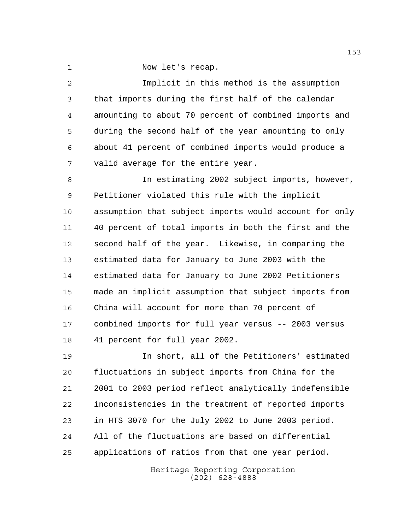Now let's recap.

 Implicit in this method is the assumption that imports during the first half of the calendar amounting to about 70 percent of combined imports and during the second half of the year amounting to only about 41 percent of combined imports would produce a valid average for the entire year. In estimating 2002 subject imports, however, Petitioner violated this rule with the implicit assumption that subject imports would account for only 40 percent of total imports in both the first and the second half of the year. Likewise, in comparing the estimated data for January to June 2003 with the estimated data for January to June 2002 Petitioners made an implicit assumption that subject imports from China will account for more than 70 percent of combined imports for full year versus -- 2003 versus 41 percent for full year 2002. In short, all of the Petitioners' estimated fluctuations in subject imports from China for the 2001 to 2003 period reflect analytically indefensible

 inconsistencies in the treatment of reported imports in HTS 3070 for the July 2002 to June 2003 period. All of the fluctuations are based on differential applications of ratios from that one year period.

> Heritage Reporting Corporation (202) 628-4888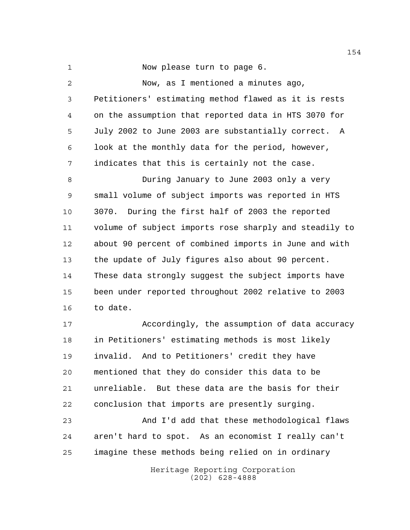Now please turn to page 6.

| $\overline{2}$ | Now, as I mentioned a minutes ago,                     |
|----------------|--------------------------------------------------------|
| 3              | Petitioners' estimating method flawed as it is rests   |
| $\overline{4}$ | on the assumption that reported data in HTS 3070 for   |
| 5              | July 2002 to June 2003 are substantially correct.<br>A |
| 6              | look at the monthly data for the period, however,      |
| 7              | indicates that this is certainly not the case.         |
| 8              | During January to June 2003 only a very                |
| $\mathsf 9$    | small volume of subject imports was reported in HTS    |
| 10             | 3070. During the first half of 2003 the reported       |
| 11             | volume of subject imports rose sharply and steadily to |
| 12             | about 90 percent of combined imports in June and with  |
| 13             | the update of July figures also about 90 percent.      |
| 14             | These data strongly suggest the subject imports have   |
| 15             | been under reported throughout 2002 relative to 2003   |
| 16             | to date.                                               |
| 17             | Accordingly, the assumption of data accuracy           |
| 18             | in Petitioners' estimating methods is most likely      |
| 19             | invalid. And to Petitioners' credit they have          |
|                |                                                        |

 unreliable. But these data are the basis for their conclusion that imports are presently surging.

mentioned that they do consider this data to be

 And I'd add that these methodological flaws aren't hard to spot. As an economist I really can't imagine these methods being relied on in ordinary

> Heritage Reporting Corporation (202) 628-4888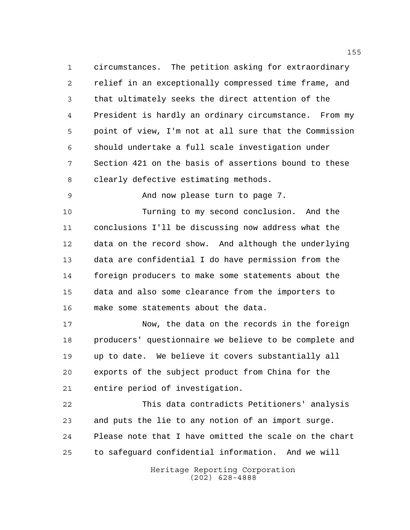circumstances. The petition asking for extraordinary relief in an exceptionally compressed time frame, and that ultimately seeks the direct attention of the President is hardly an ordinary circumstance. From my point of view, I'm not at all sure that the Commission should undertake a full scale investigation under Section 421 on the basis of assertions bound to these clearly defective estimating methods.

And now please turn to page 7.

 Turning to my second conclusion. And the conclusions I'll be discussing now address what the data on the record show. And although the underlying data are confidential I do have permission from the foreign producers to make some statements about the data and also some clearance from the importers to make some statements about the data.

 Now, the data on the records in the foreign producers' questionnaire we believe to be complete and up to date. We believe it covers substantially all exports of the subject product from China for the entire period of investigation.

 This data contradicts Petitioners' analysis and puts the lie to any notion of an import surge. Please note that I have omitted the scale on the chart to safeguard confidential information. And we will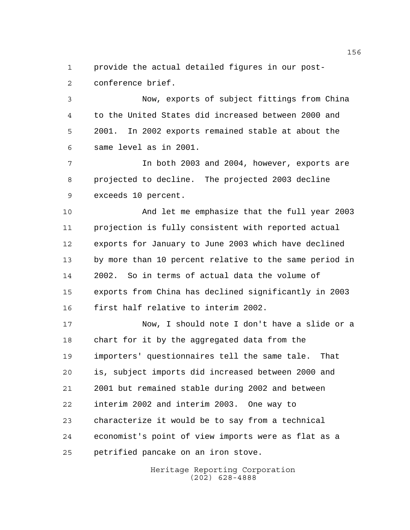provide the actual detailed figures in our post-conference brief.

 Now, exports of subject fittings from China to the United States did increased between 2000 and 2001. In 2002 exports remained stable at about the same level as in 2001.

 In both 2003 and 2004, however, exports are projected to decline. The projected 2003 decline exceeds 10 percent.

 And let me emphasize that the full year 2003 projection is fully consistent with reported actual exports for January to June 2003 which have declined by more than 10 percent relative to the same period in 2002. So in terms of actual data the volume of exports from China has declined significantly in 2003 first half relative to interim 2002.

 Now, I should note I don't have a slide or a chart for it by the aggregated data from the importers' questionnaires tell the same tale. That is, subject imports did increased between 2000 and 2001 but remained stable during 2002 and between interim 2002 and interim 2003. One way to characterize it would be to say from a technical economist's point of view imports were as flat as a petrified pancake on an iron stove.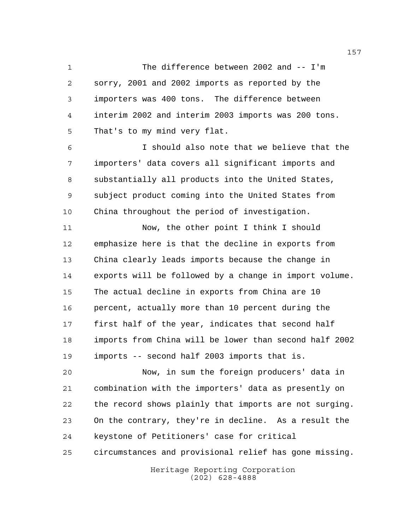The difference between 2002 and -- I'm sorry, 2001 and 2002 imports as reported by the importers was 400 tons. The difference between interim 2002 and interim 2003 imports was 200 tons. That's to my mind very flat.

 I should also note that we believe that the importers' data covers all significant imports and substantially all products into the United States, subject product coming into the United States from China throughout the period of investigation.

 Now, the other point I think I should emphasize here is that the decline in exports from China clearly leads imports because the change in exports will be followed by a change in import volume. The actual decline in exports from China are 10 percent, actually more than 10 percent during the first half of the year, indicates that second half imports from China will be lower than second half 2002 imports -- second half 2003 imports that is.

 Now, in sum the foreign producers' data in combination with the importers' data as presently on the record shows plainly that imports are not surging. On the contrary, they're in decline. As a result the keystone of Petitioners' case for critical

circumstances and provisional relief has gone missing.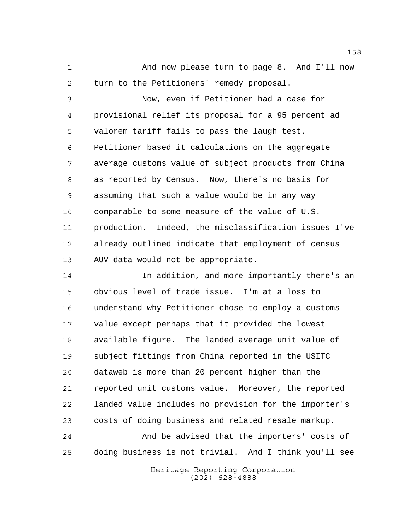And now please turn to page 8. And I'll now turn to the Petitioners' remedy proposal.

 Now, even if Petitioner had a case for provisional relief its proposal for a 95 percent ad valorem tariff fails to pass the laugh test. Petitioner based it calculations on the aggregate average customs value of subject products from China as reported by Census. Now, there's no basis for assuming that such a value would be in any way comparable to some measure of the value of U.S. production. Indeed, the misclassification issues I've already outlined indicate that employment of census AUV data would not be appropriate.

 In addition, and more importantly there's an obvious level of trade issue. I'm at a loss to understand why Petitioner chose to employ a customs value except perhaps that it provided the lowest available figure. The landed average unit value of subject fittings from China reported in the USITC dataweb is more than 20 percent higher than the reported unit customs value. Moreover, the reported landed value includes no provision for the importer's costs of doing business and related resale markup. And be advised that the importers' costs of

doing business is not trivial. And I think you'll see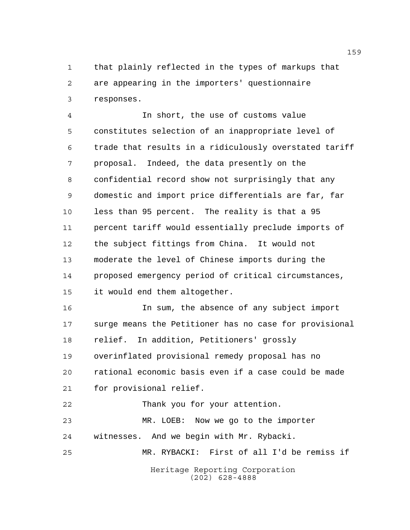that plainly reflected in the types of markups that are appearing in the importers' questionnaire responses.

 In short, the use of customs value constitutes selection of an inappropriate level of trade that results in a ridiculously overstated tariff proposal. Indeed, the data presently on the confidential record show not surprisingly that any domestic and import price differentials are far, far less than 95 percent. The reality is that a 95 percent tariff would essentially preclude imports of the subject fittings from China. It would not moderate the level of Chinese imports during the proposed emergency period of critical circumstances, it would end them altogether.

 In sum, the absence of any subject import surge means the Petitioner has no case for provisional relief. In addition, Petitioners' grossly overinflated provisional remedy proposal has no rational economic basis even if a case could be made for provisional relief.

 Thank you for your attention. MR. LOEB: Now we go to the importer witnesses. And we begin with Mr. Rybacki. MR. RYBACKI: First of all I'd be remiss if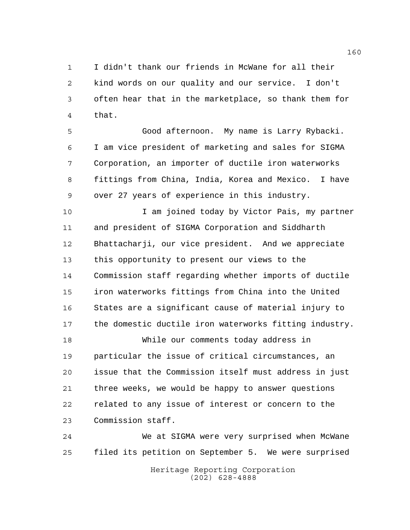I didn't thank our friends in McWane for all their kind words on our quality and our service. I don't often hear that in the marketplace, so thank them for that.

 Good afternoon. My name is Larry Rybacki. I am vice president of marketing and sales for SIGMA Corporation, an importer of ductile iron waterworks fittings from China, India, Korea and Mexico. I have over 27 years of experience in this industry.

 I am joined today by Victor Pais, my partner and president of SIGMA Corporation and Siddharth Bhattacharji, our vice president. And we appreciate this opportunity to present our views to the Commission staff regarding whether imports of ductile iron waterworks fittings from China into the United States are a significant cause of material injury to the domestic ductile iron waterworks fitting industry.

 While our comments today address in particular the issue of critical circumstances, an issue that the Commission itself must address in just three weeks, we would be happy to answer questions related to any issue of interest or concern to the Commission staff.

 We at SIGMA were very surprised when McWane filed its petition on September 5. We were surprised

Heritage Reporting Corporation (202) 628-4888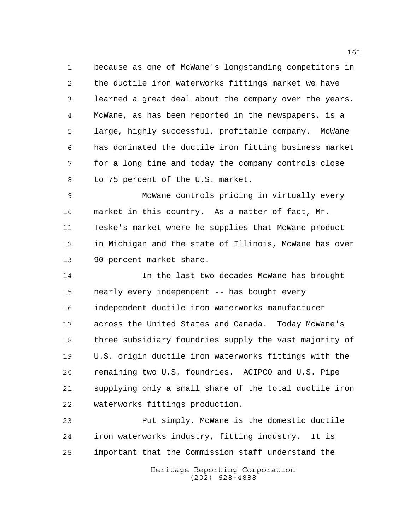because as one of McWane's longstanding competitors in the ductile iron waterworks fittings market we have learned a great deal about the company over the years. McWane, as has been reported in the newspapers, is a large, highly successful, profitable company. McWane has dominated the ductile iron fitting business market for a long time and today the company controls close to 75 percent of the U.S. market.

 McWane controls pricing in virtually every market in this country. As a matter of fact, Mr. Teske's market where he supplies that McWane product in Michigan and the state of Illinois, McWane has over 90 percent market share.

 In the last two decades McWane has brought nearly every independent -- has bought every independent ductile iron waterworks manufacturer across the United States and Canada. Today McWane's three subsidiary foundries supply the vast majority of U.S. origin ductile iron waterworks fittings with the remaining two U.S. foundries. ACIPCO and U.S. Pipe supplying only a small share of the total ductile iron waterworks fittings production.

 Put simply, McWane is the domestic ductile iron waterworks industry, fitting industry. It is important that the Commission staff understand the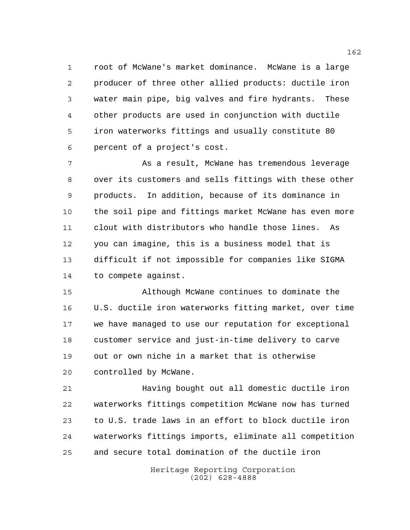root of McWane's market dominance. McWane is a large producer of three other allied products: ductile iron water main pipe, big valves and fire hydrants. These other products are used in conjunction with ductile iron waterworks fittings and usually constitute 80 percent of a project's cost.

 As a result, McWane has tremendous leverage over its customers and sells fittings with these other products. In addition, because of its dominance in the soil pipe and fittings market McWane has even more clout with distributors who handle those lines. As you can imagine, this is a business model that is difficult if not impossible for companies like SIGMA to compete against.

 Although McWane continues to dominate the U.S. ductile iron waterworks fitting market, over time we have managed to use our reputation for exceptional customer service and just-in-time delivery to carve out or own niche in a market that is otherwise controlled by McWane.

 Having bought out all domestic ductile iron waterworks fittings competition McWane now has turned to U.S. trade laws in an effort to block ductile iron waterworks fittings imports, eliminate all competition and secure total domination of the ductile iron

> Heritage Reporting Corporation (202) 628-4888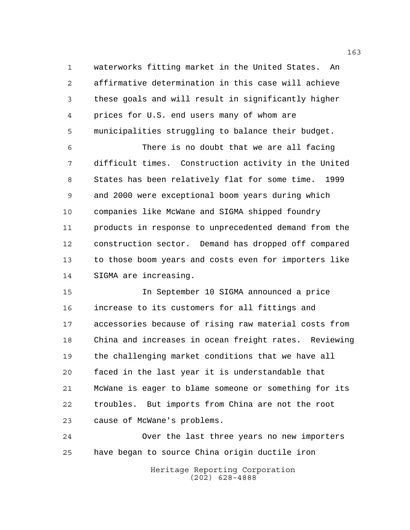waterworks fitting market in the United States. An affirmative determination in this case will achieve these goals and will result in significantly higher prices for U.S. end users many of whom are municipalities struggling to balance their budget.

 There is no doubt that we are all facing difficult times. Construction activity in the United States has been relatively flat for some time. 1999 and 2000 were exceptional boom years during which companies like McWane and SIGMA shipped foundry products in response to unprecedented demand from the construction sector. Demand has dropped off compared to those boom years and costs even for importers like SIGMA are increasing.

 In September 10 SIGMA announced a price increase to its customers for all fittings and accessories because of rising raw material costs from China and increases in ocean freight rates. Reviewing the challenging market conditions that we have all faced in the last year it is understandable that McWane is eager to blame someone or something for its troubles. But imports from China are not the root cause of McWane's problems.

 Over the last three years no new importers have began to source China origin ductile iron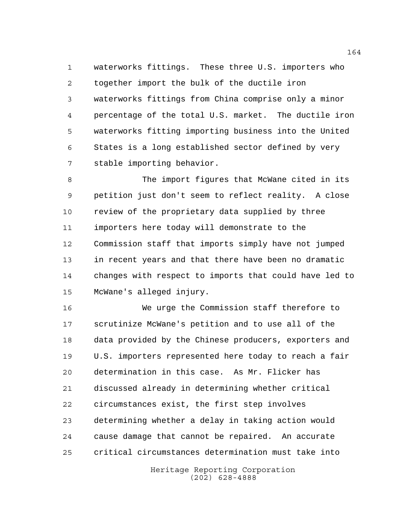waterworks fittings. These three U.S. importers who together import the bulk of the ductile iron waterworks fittings from China comprise only a minor percentage of the total U.S. market. The ductile iron waterworks fitting importing business into the United States is a long established sector defined by very stable importing behavior.

 The import figures that McWane cited in its petition just don't seem to reflect reality. A close review of the proprietary data supplied by three importers here today will demonstrate to the Commission staff that imports simply have not jumped in recent years and that there have been no dramatic changes with respect to imports that could have led to McWane's alleged injury.

 We urge the Commission staff therefore to scrutinize McWane's petition and to use all of the data provided by the Chinese producers, exporters and U.S. importers represented here today to reach a fair determination in this case. As Mr. Flicker has discussed already in determining whether critical circumstances exist, the first step involves determining whether a delay in taking action would cause damage that cannot be repaired. An accurate critical circumstances determination must take into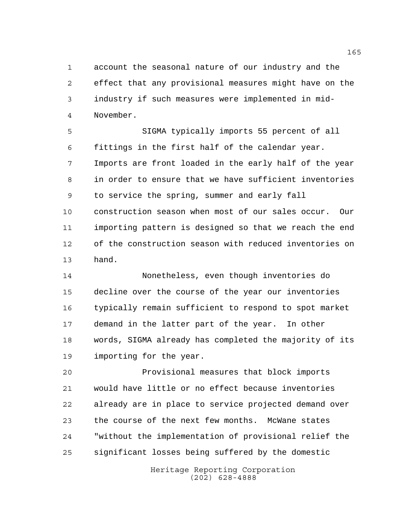account the seasonal nature of our industry and the effect that any provisional measures might have on the industry if such measures were implemented in mid-November.

 SIGMA typically imports 55 percent of all fittings in the first half of the calendar year. Imports are front loaded in the early half of the year in order to ensure that we have sufficient inventories to service the spring, summer and early fall construction season when most of our sales occur. Our importing pattern is designed so that we reach the end of the construction season with reduced inventories on hand.

 Nonetheless, even though inventories do decline over the course of the year our inventories typically remain sufficient to respond to spot market demand in the latter part of the year. In other words, SIGMA already has completed the majority of its importing for the year.

 Provisional measures that block imports would have little or no effect because inventories already are in place to service projected demand over the course of the next few months. McWane states "without the implementation of provisional relief the significant losses being suffered by the domestic

> Heritage Reporting Corporation (202) 628-4888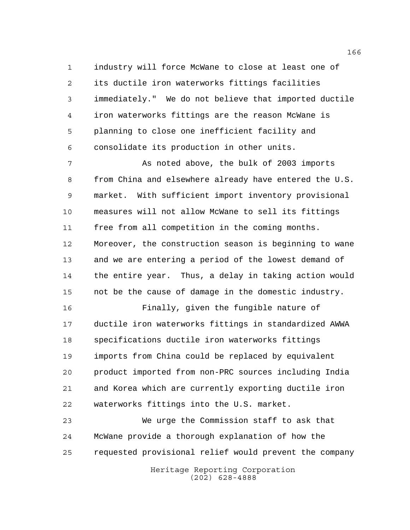industry will force McWane to close at least one of its ductile iron waterworks fittings facilities immediately." We do not believe that imported ductile iron waterworks fittings are the reason McWane is planning to close one inefficient facility and consolidate its production in other units.

 As noted above, the bulk of 2003 imports from China and elsewhere already have entered the U.S. market. With sufficient import inventory provisional measures will not allow McWane to sell its fittings free from all competition in the coming months. Moreover, the construction season is beginning to wane and we are entering a period of the lowest demand of the entire year. Thus, a delay in taking action would not be the cause of damage in the domestic industry.

 Finally, given the fungible nature of ductile iron waterworks fittings in standardized AWWA specifications ductile iron waterworks fittings imports from China could be replaced by equivalent product imported from non-PRC sources including India and Korea which are currently exporting ductile iron waterworks fittings into the U.S. market.

 We urge the Commission staff to ask that McWane provide a thorough explanation of how the requested provisional relief would prevent the company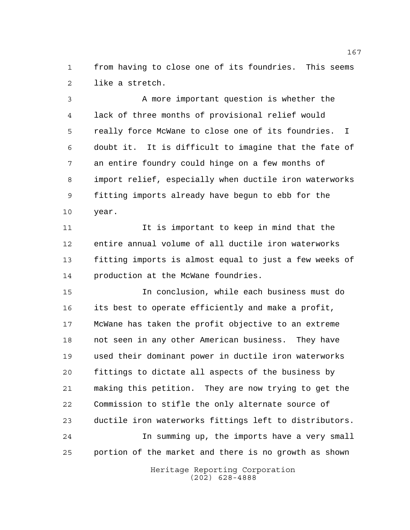from having to close one of its foundries. This seems like a stretch.

 A more important question is whether the lack of three months of provisional relief would really force McWane to close one of its foundries. I doubt it. It is difficult to imagine that the fate of an entire foundry could hinge on a few months of import relief, especially when ductile iron waterworks fitting imports already have begun to ebb for the year.

 It is important to keep in mind that the entire annual volume of all ductile iron waterworks fitting imports is almost equal to just a few weeks of production at the McWane foundries.

 In conclusion, while each business must do its best to operate efficiently and make a profit, McWane has taken the profit objective to an extreme not seen in any other American business. They have used their dominant power in ductile iron waterworks fittings to dictate all aspects of the business by making this petition. They are now trying to get the Commission to stifle the only alternate source of ductile iron waterworks fittings left to distributors. In summing up, the imports have a very small portion of the market and there is no growth as shown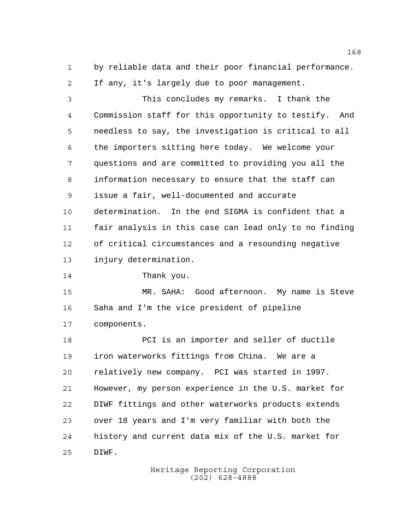by reliable data and their poor financial performance. If any, it's largely due to poor management.

 This concludes my remarks. I thank the Commission staff for this opportunity to testify. And needless to say, the investigation is critical to all the importers sitting here today. We welcome your questions and are committed to providing you all the information necessary to ensure that the staff can issue a fair, well-documented and accurate determination. In the end SIGMA is confident that a fair analysis in this case can lead only to no finding of critical circumstances and a resounding negative injury determination.

Thank you.

 MR. SAHA: Good afternoon. My name is Steve Saha and I'm the vice president of pipeline components.

 PCI is an importer and seller of ductile iron waterworks fittings from China. We are a relatively new company. PCI was started in 1997. However, my person experience in the U.S. market for DIWF fittings and other waterworks products extends over 18 years and I'm very familiar with both the history and current data mix of the U.S. market for DIWF.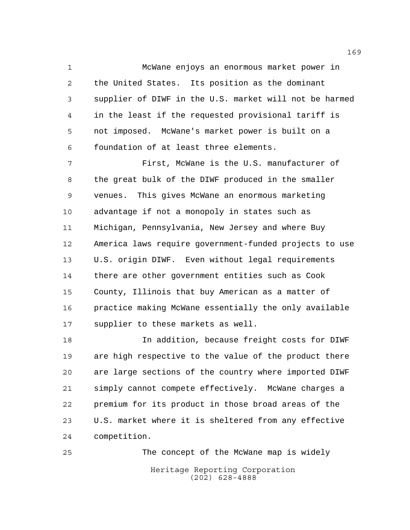McWane enjoys an enormous market power in the United States. Its position as the dominant supplier of DIWF in the U.S. market will not be harmed in the least if the requested provisional tariff is not imposed. McWane's market power is built on a foundation of at least three elements.

 First, McWane is the U.S. manufacturer of the great bulk of the DIWF produced in the smaller venues. This gives McWane an enormous marketing advantage if not a monopoly in states such as Michigan, Pennsylvania, New Jersey and where Buy America laws require government-funded projects to use U.S. origin DIWF. Even without legal requirements there are other government entities such as Cook County, Illinois that buy American as a matter of practice making McWane essentially the only available supplier to these markets as well.

 In addition, because freight costs for DIWF are high respective to the value of the product there are large sections of the country where imported DIWF simply cannot compete effectively. McWane charges a premium for its product in those broad areas of the U.S. market where it is sheltered from any effective competition.

Heritage Reporting Corporation (202) 628-4888 The concept of the McWane map is widely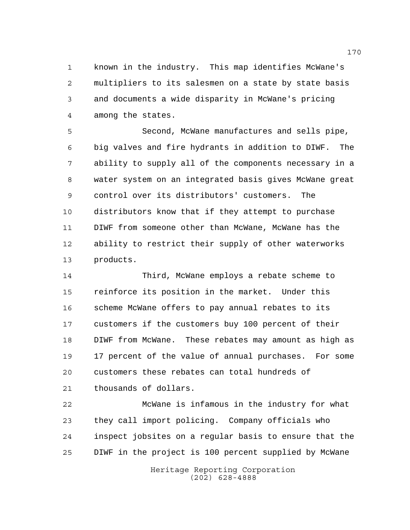known in the industry. This map identifies McWane's multipliers to its salesmen on a state by state basis and documents a wide disparity in McWane's pricing among the states.

 Second, McWane manufactures and sells pipe, big valves and fire hydrants in addition to DIWF. The ability to supply all of the components necessary in a water system on an integrated basis gives McWane great control over its distributors' customers. The distributors know that if they attempt to purchase DIWF from someone other than McWane, McWane has the ability to restrict their supply of other waterworks products.

 Third, McWane employs a rebate scheme to reinforce its position in the market. Under this 16 scheme McWane offers to pay annual rebates to its customers if the customers buy 100 percent of their DIWF from McWane. These rebates may amount as high as 17 percent of the value of annual purchases. For some customers these rebates can total hundreds of thousands of dollars.

 McWane is infamous in the industry for what they call import policing. Company officials who inspect jobsites on a regular basis to ensure that the DIWF in the project is 100 percent supplied by McWane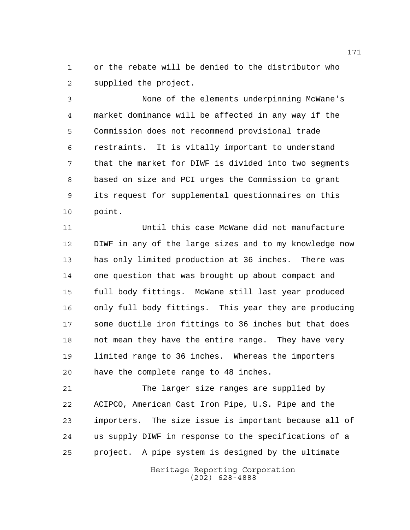or the rebate will be denied to the distributor who supplied the project.

 None of the elements underpinning McWane's market dominance will be affected in any way if the Commission does not recommend provisional trade restraints. It is vitally important to understand that the market for DIWF is divided into two segments based on size and PCI urges the Commission to grant its request for supplemental questionnaires on this point.

 Until this case McWane did not manufacture DIWF in any of the large sizes and to my knowledge now has only limited production at 36 inches. There was one question that was brought up about compact and full body fittings. McWane still last year produced only full body fittings. This year they are producing some ductile iron fittings to 36 inches but that does not mean they have the entire range. They have very limited range to 36 inches. Whereas the importers have the complete range to 48 inches.

 The larger size ranges are supplied by ACIPCO, American Cast Iron Pipe, U.S. Pipe and the importers. The size issue is important because all of us supply DIWF in response to the specifications of a project. A pipe system is designed by the ultimate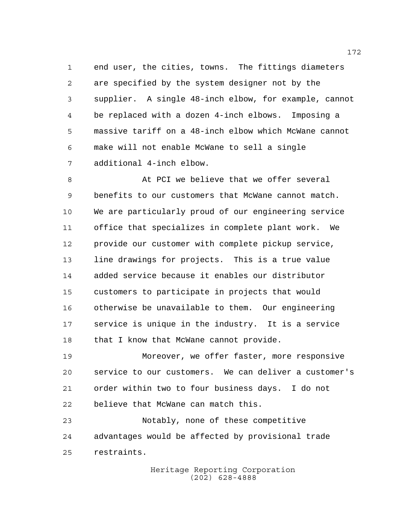end user, the cities, towns. The fittings diameters are specified by the system designer not by the supplier. A single 48-inch elbow, for example, cannot be replaced with a dozen 4-inch elbows. Imposing a massive tariff on a 48-inch elbow which McWane cannot make will not enable McWane to sell a single additional 4-inch elbow.

8 At PCI we believe that we offer several benefits to our customers that McWane cannot match. We are particularly proud of our engineering service office that specializes in complete plant work. We provide our customer with complete pickup service, line drawings for projects. This is a true value added service because it enables our distributor customers to participate in projects that would otherwise be unavailable to them. Our engineering service is unique in the industry. It is a service 18 that I know that McWane cannot provide.

 Moreover, we offer faster, more responsive service to our customers. We can deliver a customer's order within two to four business days. I do not believe that McWane can match this.

 Notably, none of these competitive advantages would be affected by provisional trade restraints.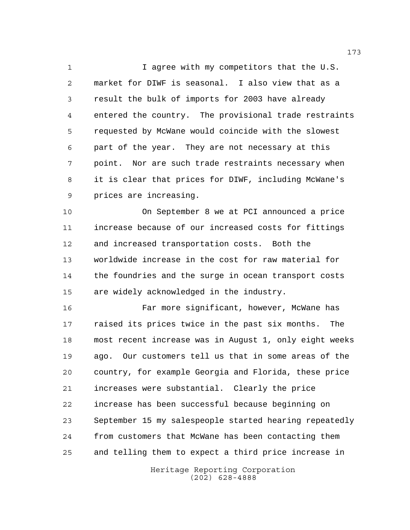1 I agree with my competitors that the U.S. market for DIWF is seasonal. I also view that as a result the bulk of imports for 2003 have already entered the country. The provisional trade restraints requested by McWane would coincide with the slowest part of the year. They are not necessary at this point. Nor are such trade restraints necessary when it is clear that prices for DIWF, including McWane's prices are increasing.

 On September 8 we at PCI announced a price increase because of our increased costs for fittings and increased transportation costs. Both the worldwide increase in the cost for raw material for the foundries and the surge in ocean transport costs are widely acknowledged in the industry.

 Far more significant, however, McWane has raised its prices twice in the past six months. The most recent increase was in August 1, only eight weeks ago. Our customers tell us that in some areas of the country, for example Georgia and Florida, these price increases were substantial. Clearly the price increase has been successful because beginning on September 15 my salespeople started hearing repeatedly from customers that McWane has been contacting them and telling them to expect a third price increase in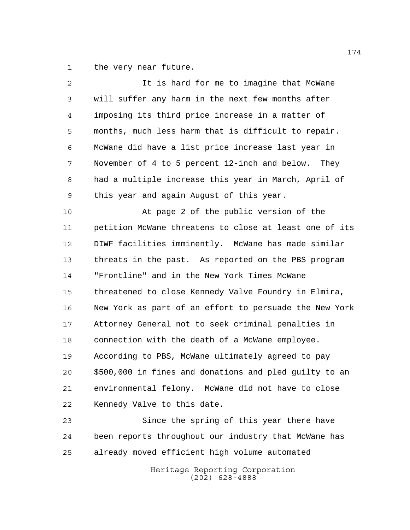the very near future.

| $\overline{a}$ | It is hard for me to imagine that McWane               |
|----------------|--------------------------------------------------------|
| 3              | will suffer any harm in the next few months after      |
| 4              | imposing its third price increase in a matter of       |
| 5              | months, much less harm that is difficult to repair.    |
| 6              | McWane did have a list price increase last year in     |
| 7              | November of 4 to 5 percent 12-inch and below. They     |
| 8              | had a multiple increase this year in March, April of   |
| 9              | this year and again August of this year.               |
| 10             | At page 2 of the public version of the                 |
| 11             | petition McWane threatens to close at least one of its |
| 12             | DIWF facilities imminently. McWane has made similar    |
| 13             | threats in the past. As reported on the PBS program    |
| 14             | "Frontline" and in the New York Times McWane           |
| 15             | threatened to close Kennedy Valve Foundry in Elmira,   |
| 16             | New York as part of an effort to persuade the New York |
| 17             | Attorney General not to seek criminal penalties in     |
| 18             | connection with the death of a McWane employee.        |
| 19             | According to PBS, McWane ultimately agreed to pay      |
| 20             | \$500,000 in fines and donations and pled guilty to an |
| 21             | environmental felony. McWane did not have to close     |
| 22             | Kennedy Valve to this date.                            |
| 23             | Since the spring of this year there have               |
| 24             | been reports throughout our industry that McWane has   |

already moved efficient high volume automated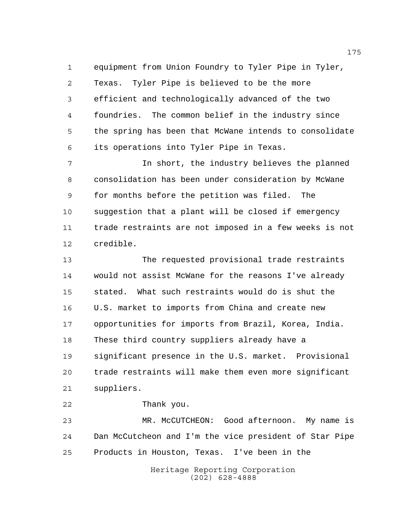equipment from Union Foundry to Tyler Pipe in Tyler, Texas. Tyler Pipe is believed to be the more efficient and technologically advanced of the two foundries. The common belief in the industry since the spring has been that McWane intends to consolidate its operations into Tyler Pipe in Texas.

 In short, the industry believes the planned consolidation has been under consideration by McWane for months before the petition was filed. The suggestion that a plant will be closed if emergency trade restraints are not imposed in a few weeks is not credible.

 The requested provisional trade restraints would not assist McWane for the reasons I've already stated. What such restraints would do is shut the U.S. market to imports from China and create new opportunities for imports from Brazil, Korea, India. These third country suppliers already have a significant presence in the U.S. market. Provisional trade restraints will make them even more significant suppliers.

Thank you.

 MR. McCUTCHEON: Good afternoon. My name is Dan McCutcheon and I'm the vice president of Star Pipe Products in Houston, Texas. I've been in the

> Heritage Reporting Corporation (202) 628-4888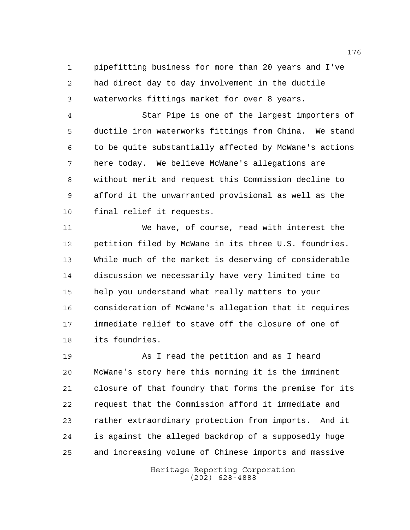pipefitting business for more than 20 years and I've had direct day to day involvement in the ductile waterworks fittings market for over 8 years.

 Star Pipe is one of the largest importers of ductile iron waterworks fittings from China. We stand to be quite substantially affected by McWane's actions here today. We believe McWane's allegations are without merit and request this Commission decline to afford it the unwarranted provisional as well as the final relief it requests.

 We have, of course, read with interest the petition filed by McWane in its three U.S. foundries. While much of the market is deserving of considerable discussion we necessarily have very limited time to help you understand what really matters to your consideration of McWane's allegation that it requires immediate relief to stave off the closure of one of its foundries.

 As I read the petition and as I heard McWane's story here this morning it is the imminent closure of that foundry that forms the premise for its request that the Commission afford it immediate and rather extraordinary protection from imports. And it is against the alleged backdrop of a supposedly huge and increasing volume of Chinese imports and massive

> Heritage Reporting Corporation (202) 628-4888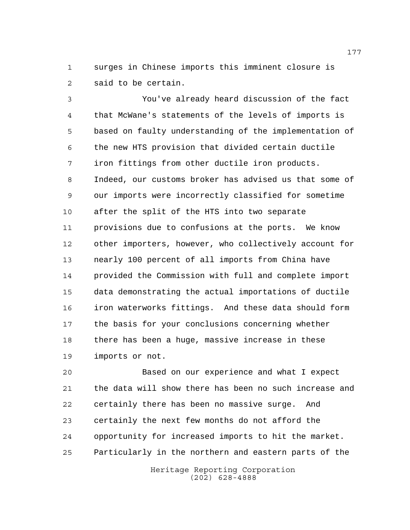surges in Chinese imports this imminent closure is said to be certain.

 You've already heard discussion of the fact that McWane's statements of the levels of imports is based on faulty understanding of the implementation of the new HTS provision that divided certain ductile iron fittings from other ductile iron products. Indeed, our customs broker has advised us that some of our imports were incorrectly classified for sometime after the split of the HTS into two separate provisions due to confusions at the ports. We know other importers, however, who collectively account for nearly 100 percent of all imports from China have provided the Commission with full and complete import data demonstrating the actual importations of ductile iron waterworks fittings. And these data should form the basis for your conclusions concerning whether there has been a huge, massive increase in these imports or not.

 Based on our experience and what I expect the data will show there has been no such increase and certainly there has been no massive surge. And certainly the next few months do not afford the opportunity for increased imports to hit the market. Particularly in the northern and eastern parts of the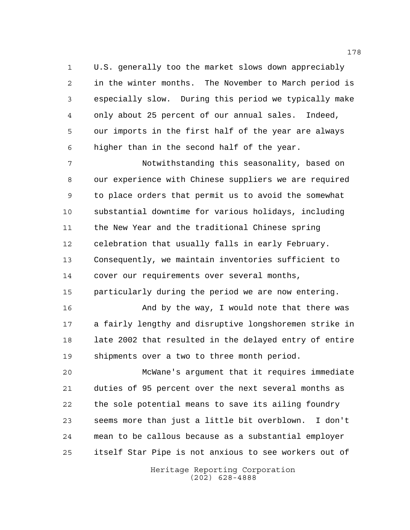U.S. generally too the market slows down appreciably in the winter months. The November to March period is especially slow. During this period we typically make only about 25 percent of our annual sales. Indeed, our imports in the first half of the year are always higher than in the second half of the year.

 Notwithstanding this seasonality, based on our experience with Chinese suppliers we are required to place orders that permit us to avoid the somewhat substantial downtime for various holidays, including the New Year and the traditional Chinese spring celebration that usually falls in early February. Consequently, we maintain inventories sufficient to cover our requirements over several months,

particularly during the period we are now entering.

 And by the way, I would note that there was a fairly lengthy and disruptive longshoremen strike in 18 late 2002 that resulted in the delayed entry of entire shipments over a two to three month period.

 McWane's argument that it requires immediate duties of 95 percent over the next several months as the sole potential means to save its ailing foundry seems more than just a little bit overblown. I don't mean to be callous because as a substantial employer itself Star Pipe is not anxious to see workers out of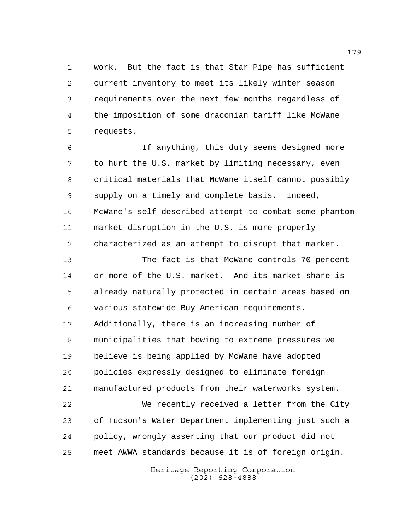work. But the fact is that Star Pipe has sufficient current inventory to meet its likely winter season requirements over the next few months regardless of the imposition of some draconian tariff like McWane requests.

 If anything, this duty seems designed more to hurt the U.S. market by limiting necessary, even critical materials that McWane itself cannot possibly supply on a timely and complete basis. Indeed, McWane's self-described attempt to combat some phantom market disruption in the U.S. is more properly characterized as an attempt to disrupt that market.

 The fact is that McWane controls 70 percent or more of the U.S. market. And its market share is already naturally protected in certain areas based on various statewide Buy American requirements. Additionally, there is an increasing number of municipalities that bowing to extreme pressures we believe is being applied by McWane have adopted policies expressly designed to eliminate foreign manufactured products from their waterworks system. We recently received a letter from the City of Tucson's Water Department implementing just such a policy, wrongly asserting that our product did not meet AWWA standards because it is of foreign origin.

> Heritage Reporting Corporation (202) 628-4888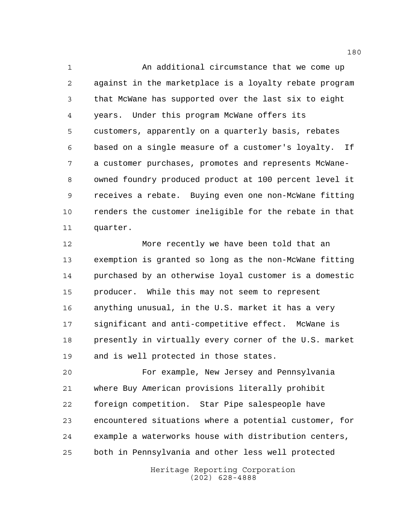An additional circumstance that we come up against in the marketplace is a loyalty rebate program that McWane has supported over the last six to eight years. Under this program McWane offers its customers, apparently on a quarterly basis, rebates based on a single measure of a customer's loyalty. If a customer purchases, promotes and represents McWane- owned foundry produced product at 100 percent level it receives a rebate. Buying even one non-McWane fitting renders the customer ineligible for the rebate in that quarter.

 More recently we have been told that an exemption is granted so long as the non-McWane fitting purchased by an otherwise loyal customer is a domestic producer. While this may not seem to represent anything unusual, in the U.S. market it has a very significant and anti-competitive effect. McWane is presently in virtually every corner of the U.S. market and is well protected in those states.

 For example, New Jersey and Pennsylvania where Buy American provisions literally prohibit foreign competition. Star Pipe salespeople have encountered situations where a potential customer, for example a waterworks house with distribution centers, both in Pennsylvania and other less well protected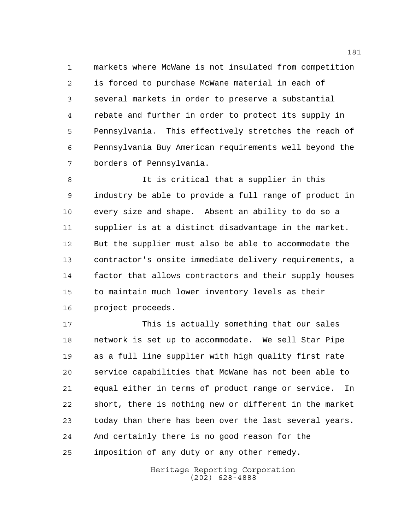markets where McWane is not insulated from competition is forced to purchase McWane material in each of several markets in order to preserve a substantial rebate and further in order to protect its supply in Pennsylvania. This effectively stretches the reach of Pennsylvania Buy American requirements well beyond the borders of Pennsylvania.

 It is critical that a supplier in this industry be able to provide a full range of product in every size and shape. Absent an ability to do so a supplier is at a distinct disadvantage in the market. But the supplier must also be able to accommodate the contractor's onsite immediate delivery requirements, a factor that allows contractors and their supply houses to maintain much lower inventory levels as their project proceeds.

 This is actually something that our sales network is set up to accommodate. We sell Star Pipe as a full line supplier with high quality first rate service capabilities that McWane has not been able to equal either in terms of product range or service. In short, there is nothing new or different in the market today than there has been over the last several years. And certainly there is no good reason for the imposition of any duty or any other remedy.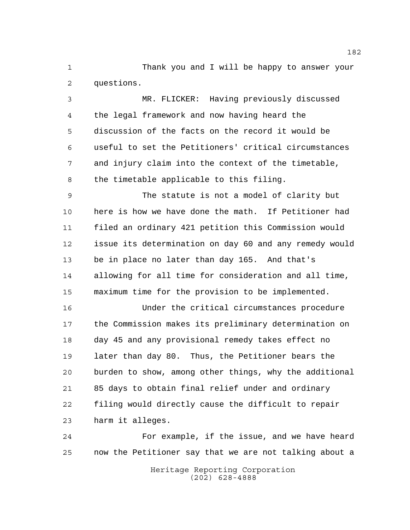Thank you and I will be happy to answer your questions.

 MR. FLICKER: Having previously discussed the legal framework and now having heard the discussion of the facts on the record it would be useful to set the Petitioners' critical circumstances and injury claim into the context of the timetable, the timetable applicable to this filing.

 The statute is not a model of clarity but here is how we have done the math. If Petitioner had filed an ordinary 421 petition this Commission would issue its determination on day 60 and any remedy would be in place no later than day 165. And that's allowing for all time for consideration and all time, maximum time for the provision to be implemented.

 Under the critical circumstances procedure the Commission makes its preliminary determination on day 45 and any provisional remedy takes effect no later than day 80. Thus, the Petitioner bears the burden to show, among other things, why the additional 85 days to obtain final relief under and ordinary filing would directly cause the difficult to repair harm it alleges.

 For example, if the issue, and we have heard now the Petitioner say that we are not talking about a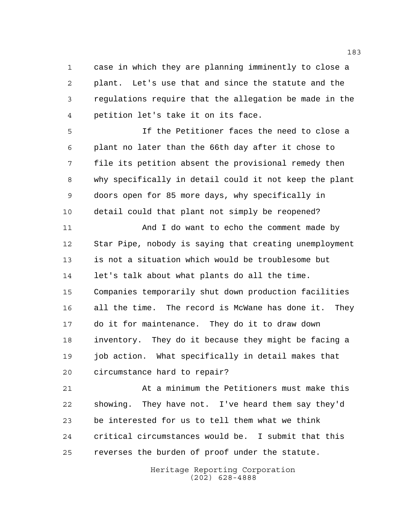case in which they are planning imminently to close a plant. Let's use that and since the statute and the regulations require that the allegation be made in the petition let's take it on its face.

 If the Petitioner faces the need to close a plant no later than the 66th day after it chose to file its petition absent the provisional remedy then why specifically in detail could it not keep the plant doors open for 85 more days, why specifically in detail could that plant not simply be reopened?

11 And I do want to echo the comment made by Star Pipe, nobody is saying that creating unemployment is not a situation which would be troublesome but let's talk about what plants do all the time. Companies temporarily shut down production facilities all the time. The record is McWane has done it. They do it for maintenance. They do it to draw down inventory. They do it because they might be facing a job action. What specifically in detail makes that circumstance hard to repair?

 At a minimum the Petitioners must make this showing. They have not. I've heard them say they'd be interested for us to tell them what we think critical circumstances would be. I submit that this reverses the burden of proof under the statute.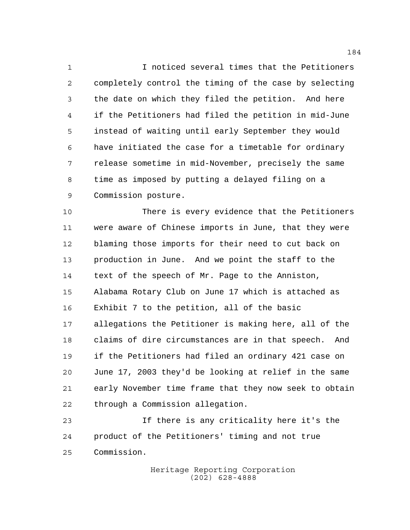I noticed several times that the Petitioners completely control the timing of the case by selecting the date on which they filed the petition. And here if the Petitioners had filed the petition in mid-June instead of waiting until early September they would have initiated the case for a timetable for ordinary release sometime in mid-November, precisely the same time as imposed by putting a delayed filing on a Commission posture.

 There is every evidence that the Petitioners were aware of Chinese imports in June, that they were blaming those imports for their need to cut back on production in June. And we point the staff to the text of the speech of Mr. Page to the Anniston, Alabama Rotary Club on June 17 which is attached as Exhibit 7 to the petition, all of the basic allegations the Petitioner is making here, all of the claims of dire circumstances are in that speech. And if the Petitioners had filed an ordinary 421 case on June 17, 2003 they'd be looking at relief in the same early November time frame that they now seek to obtain through a Commission allegation.

 If there is any criticality here it's the product of the Petitioners' timing and not true Commission.

> Heritage Reporting Corporation (202) 628-4888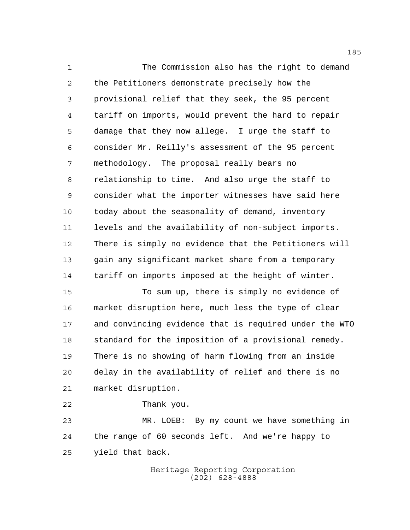The Commission also has the right to demand the Petitioners demonstrate precisely how the provisional relief that they seek, the 95 percent tariff on imports, would prevent the hard to repair damage that they now allege. I urge the staff to consider Mr. Reilly's assessment of the 95 percent methodology. The proposal really bears no relationship to time. And also urge the staff to consider what the importer witnesses have said here today about the seasonality of demand, inventory levels and the availability of non-subject imports. There is simply no evidence that the Petitioners will gain any significant market share from a temporary tariff on imports imposed at the height of winter. To sum up, there is simply no evidence of

 market disruption here, much less the type of clear and convincing evidence that is required under the WTO standard for the imposition of a provisional remedy. There is no showing of harm flowing from an inside delay in the availability of relief and there is no market disruption.

 Thank you. MR. LOEB: By my count we have something in the range of 60 seconds left. And we're happy to yield that back.

> Heritage Reporting Corporation (202) 628-4888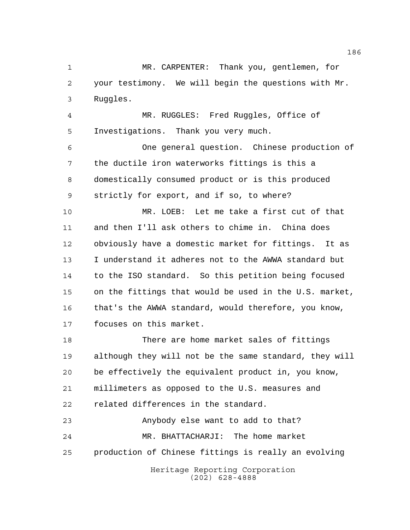MR. CARPENTER: Thank you, gentlemen, for your testimony. We will begin the questions with Mr. Ruggles.

 MR. RUGGLES: Fred Ruggles, Office of Investigations. Thank you very much.

 One general question. Chinese production of the ductile iron waterworks fittings is this a domestically consumed product or is this produced strictly for export, and if so, to where?

 MR. LOEB: Let me take a first cut of that and then I'll ask others to chime in. China does obviously have a domestic market for fittings. It as I understand it adheres not to the AWWA standard but to the ISO standard. So this petition being focused on the fittings that would be used in the U.S. market, that's the AWWA standard, would therefore, you know, focuses on this market.

 There are home market sales of fittings although they will not be the same standard, they will be effectively the equivalent product in, you know, millimeters as opposed to the U.S. measures and related differences in the standard.

 Anybody else want to add to that? MR. BHATTACHARJI: The home market production of Chinese fittings is really an evolving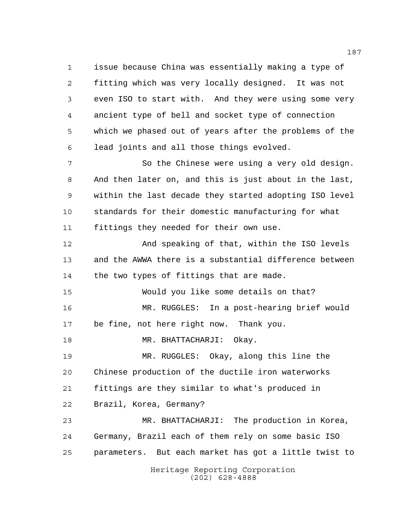issue because China was essentially making a type of fitting which was very locally designed. It was not even ISO to start with. And they were using some very ancient type of bell and socket type of connection which we phased out of years after the problems of the lead joints and all those things evolved.

7 So the Chinese were using a very old design. And then later on, and this is just about in the last, within the last decade they started adopting ISO level standards for their domestic manufacturing for what fittings they needed for their own use.

 And speaking of that, within the ISO levels and the AWWA there is a substantial difference between 14 the two types of fittings that are made.

 Would you like some details on that? MR. RUGGLES: In a post-hearing brief would be fine, not here right now. Thank you.

18 MR. BHATTACHARJI: Okay.

 MR. RUGGLES: Okay, along this line the Chinese production of the ductile iron waterworks fittings are they similar to what's produced in Brazil, Korea, Germany?

 MR. BHATTACHARJI: The production in Korea, Germany, Brazil each of them rely on some basic ISO parameters. But each market has got a little twist to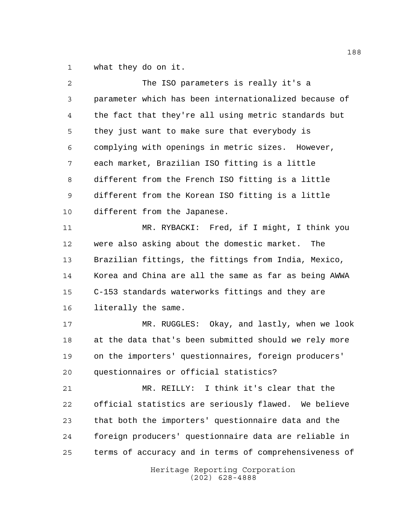what they do on it.

| 2  | The ISO parameters is really it's a                    |
|----|--------------------------------------------------------|
| 3  | parameter which has been internationalized because of  |
| 4  | the fact that they're all using metric standards but   |
| 5  | they just want to make sure that everybody is          |
| 6  | complying with openings in metric sizes. However,      |
| 7  | each market, Brazilian ISO fitting is a little         |
| 8  | different from the French ISO fitting is a little      |
| 9  | different from the Korean ISO fitting is a little      |
| 10 | different from the Japanese.                           |
| 11 | MR. RYBACKI: Fred, if I might, I think you             |
| 12 | were also asking about the domestic market. The        |
| 13 | Brazilian fittings, the fittings from India, Mexico,   |
| 14 | Korea and China are all the same as far as being AWWA  |
| 15 | C-153 standards waterworks fittings and they are       |
| 16 | literally the same.                                    |
| 17 | MR. RUGGLES: Okay, and lastly, when we look            |
| 18 | at the data that's been submitted should we rely more  |
| 19 | on the importers' questionnaires, foreign producers'   |
| 20 | questionnaires or official statistics?                 |
| 21 | MR. REILLY: I think it's clear that the                |
| 22 | official statistics are seriously flawed. We believe   |
| 23 | that both the importers' questionnaire data and the    |
| 24 | foreign producers' questionnaire data are reliable in  |
| 25 | terms of accuracy and in terms of comprehensiveness of |
|    | Heritage Reporting Corporation<br>$(202)$ 628-4888     |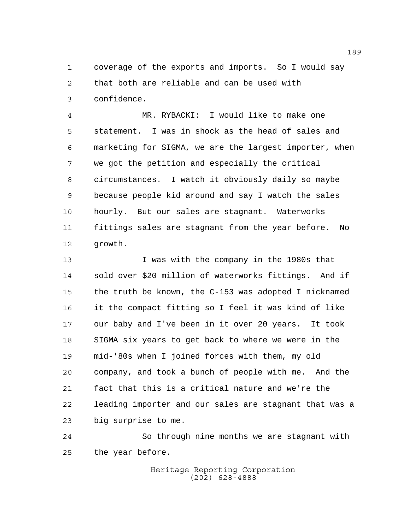coverage of the exports and imports. So I would say that both are reliable and can be used with confidence.

 MR. RYBACKI: I would like to make one statement. I was in shock as the head of sales and marketing for SIGMA, we are the largest importer, when we got the petition and especially the critical circumstances. I watch it obviously daily so maybe because people kid around and say I watch the sales hourly. But our sales are stagnant. Waterworks fittings sales are stagnant from the year before. No growth.

 I was with the company in the 1980s that sold over \$20 million of waterworks fittings. And if the truth be known, the C-153 was adopted I nicknamed it the compact fitting so I feel it was kind of like our baby and I've been in it over 20 years. It took SIGMA six years to get back to where we were in the mid-'80s when I joined forces with them, my old company, and took a bunch of people with me. And the fact that this is a critical nature and we're the leading importer and our sales are stagnant that was a big surprise to me.

 So through nine months we are stagnant with the year before.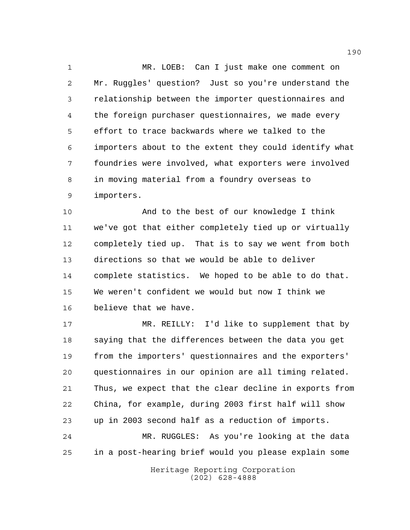MR. LOEB: Can I just make one comment on Mr. Ruggles' question? Just so you're understand the relationship between the importer questionnaires and the foreign purchaser questionnaires, we made every effort to trace backwards where we talked to the importers about to the extent they could identify what foundries were involved, what exporters were involved in moving material from a foundry overseas to importers.

 And to the best of our knowledge I think we've got that either completely tied up or virtually completely tied up. That is to say we went from both directions so that we would be able to deliver complete statistics. We hoped to be able to do that. We weren't confident we would but now I think we believe that we have.

 MR. REILLY: I'd like to supplement that by saying that the differences between the data you get from the importers' questionnaires and the exporters' questionnaires in our opinion are all timing related. Thus, we expect that the clear decline in exports from China, for example, during 2003 first half will show up in 2003 second half as a reduction of imports.

 MR. RUGGLES: As you're looking at the data in a post-hearing brief would you please explain some

> Heritage Reporting Corporation (202) 628-4888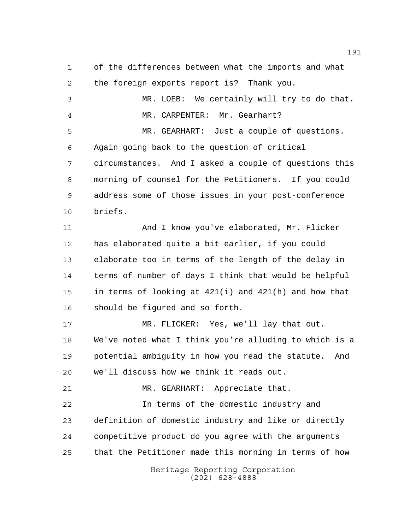Heritage Reporting Corporation (202) 628-4888 the foreign exports report is? Thank you. MR. LOEB: We certainly will try to do that. MR. CARPENTER: Mr. Gearhart? MR. GEARHART: Just a couple of questions. Again going back to the question of critical circumstances. And I asked a couple of questions this morning of counsel for the Petitioners. If you could address some of those issues in your post-conference briefs. And I know you've elaborated, Mr. Flicker has elaborated quite a bit earlier, if you could elaborate too in terms of the length of the delay in terms of number of days I think that would be helpful in terms of looking at 421(i) and 421(h) and how that should be figured and so forth. MR. FLICKER: Yes, we'll lay that out. We've noted what I think you're alluding to which is a potential ambiguity in how you read the statute. And we'll discuss how we think it reads out. MR. GEARHART: Appreciate that. In terms of the domestic industry and definition of domestic industry and like or directly competitive product do you agree with the arguments that the Petitioner made this morning in terms of how

of the differences between what the imports and what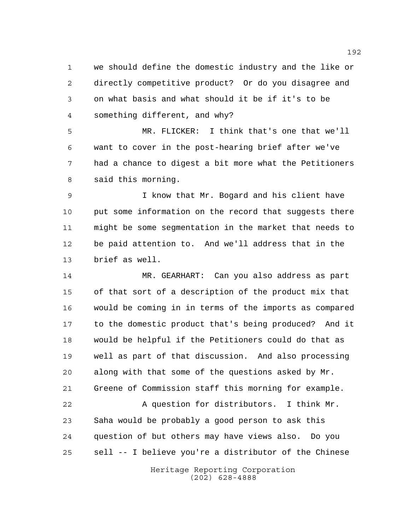we should define the domestic industry and the like or directly competitive product? Or do you disagree and on what basis and what should it be if it's to be something different, and why?

 MR. FLICKER: I think that's one that we'll want to cover in the post-hearing brief after we've had a chance to digest a bit more what the Petitioners said this morning.

 I know that Mr. Bogard and his client have 10 put some information on the record that suggests there might be some segmentation in the market that needs to be paid attention to. And we'll address that in the brief as well.

 MR. GEARHART: Can you also address as part of that sort of a description of the product mix that would be coming in in terms of the imports as compared to the domestic product that's being produced? And it would be helpful if the Petitioners could do that as well as part of that discussion. And also processing along with that some of the questions asked by Mr. Greene of Commission staff this morning for example.

 A question for distributors. I think Mr. Saha would be probably a good person to ask this question of but others may have views also. Do you sell -- I believe you're a distributor of the Chinese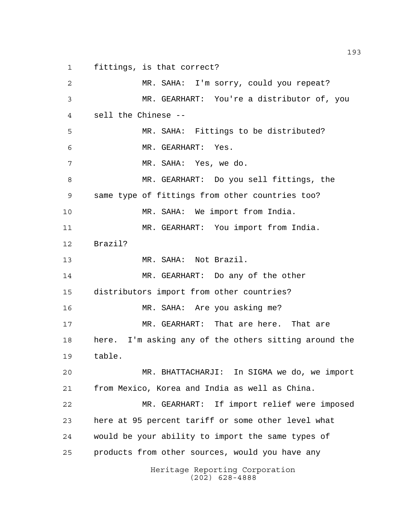fittings, is that correct?

Heritage Reporting Corporation (202) 628-4888 MR. SAHA: I'm sorry, could you repeat? MR. GEARHART: You're a distributor of, you sell the Chinese -- MR. SAHA: Fittings to be distributed? MR. GEARHART: Yes. MR. SAHA: Yes, we do. MR. GEARHART: Do you sell fittings, the same type of fittings from other countries too? MR. SAHA: We import from India. MR. GEARHART: You import from India. Brazil? MR. SAHA: Not Brazil. MR. GEARHART: Do any of the other distributors import from other countries? MR. SAHA: Are you asking me? MR. GEARHART: That are here. That are here. I'm asking any of the others sitting around the table. MR. BHATTACHARJI: In SIGMA we do, we import from Mexico, Korea and India as well as China. MR. GEARHART: If import relief were imposed here at 95 percent tariff or some other level what would be your ability to import the same types of products from other sources, would you have any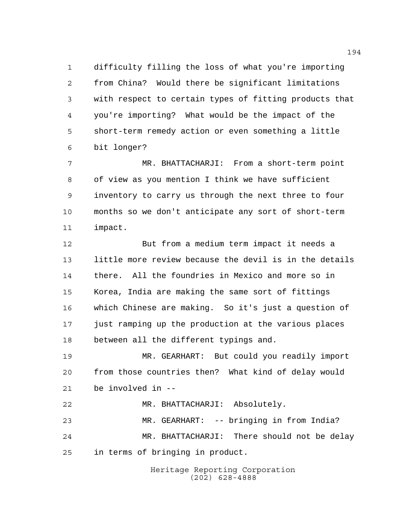difficulty filling the loss of what you're importing from China? Would there be significant limitations with respect to certain types of fitting products that you're importing? What would be the impact of the short-term remedy action or even something a little bit longer?

 MR. BHATTACHARJI: From a short-term point of view as you mention I think we have sufficient inventory to carry us through the next three to four months so we don't anticipate any sort of short-term impact.

 But from a medium term impact it needs a little more review because the devil is in the details there. All the foundries in Mexico and more so in Korea, India are making the same sort of fittings which Chinese are making. So it's just a question of just ramping up the production at the various places between all the different typings and.

 MR. GEARHART: But could you readily import from those countries then? What kind of delay would be involved in --

 MR. BHATTACHARJI: Absolutely. MR. GEARHART: -- bringing in from India? MR. BHATTACHARJI: There should not be delay in terms of bringing in product.

> Heritage Reporting Corporation (202) 628-4888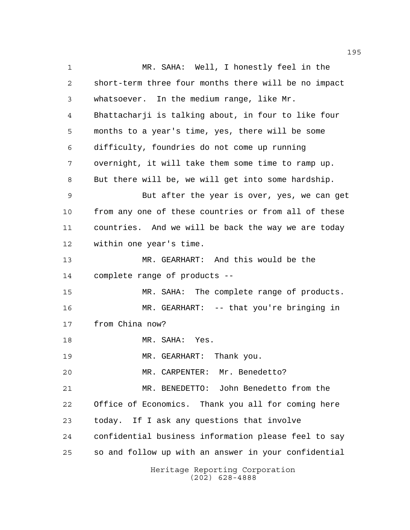Heritage Reporting Corporation MR. SAHA: Well, I honestly feel in the short-term three four months there will be no impact whatsoever. In the medium range, like Mr. Bhattacharji is talking about, in four to like four months to a year's time, yes, there will be some difficulty, foundries do not come up running overnight, it will take them some time to ramp up. But there will be, we will get into some hardship. But after the year is over, yes, we can get from any one of these countries or from all of these countries. And we will be back the way we are today within one year's time. MR. GEARHART: And this would be the complete range of products -- MR. SAHA: The complete range of products. MR. GEARHART: -- that you're bringing in from China now? 18 MR. SAHA: Yes. MR. GEARHART: Thank you. MR. CARPENTER: Mr. Benedetto? MR. BENEDETTO: John Benedetto from the Office of Economics. Thank you all for coming here today. If I ask any questions that involve confidential business information please feel to say so and follow up with an answer in your confidential

(202) 628-4888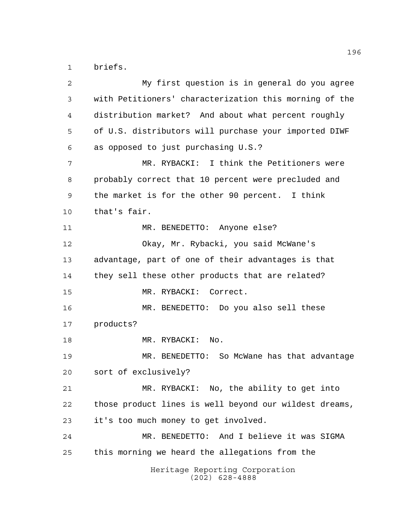briefs.

Heritage Reporting Corporation (202) 628-4888 My first question is in general do you agree with Petitioners' characterization this morning of the distribution market? And about what percent roughly of U.S. distributors will purchase your imported DIWF as opposed to just purchasing U.S.? MR. RYBACKI: I think the Petitioners were probably correct that 10 percent were precluded and the market is for the other 90 percent. I think that's fair. 11 MR. BENEDETTO: Anyone else? Okay, Mr. Rybacki, you said McWane's advantage, part of one of their advantages is that they sell these other products that are related? MR. RYBACKI: Correct. MR. BENEDETTO: Do you also sell these products? 18 MR. RYBACKI: No. MR. BENEDETTO: So McWane has that advantage sort of exclusively? MR. RYBACKI: No, the ability to get into those product lines is well beyond our wildest dreams, it's too much money to get involved. MR. BENEDETTO: And I believe it was SIGMA this morning we heard the allegations from the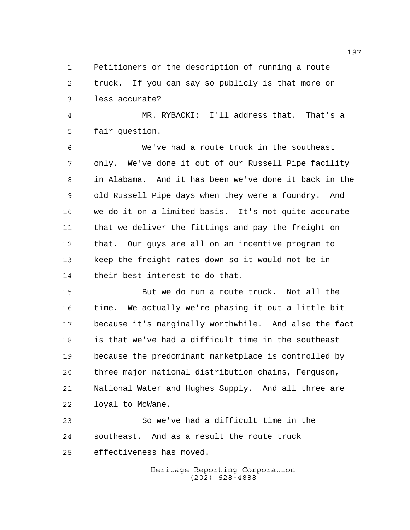Petitioners or the description of running a route truck. If you can say so publicly is that more or less accurate?

 MR. RYBACKI: I'll address that. That's a fair question.

 We've had a route truck in the southeast only. We've done it out of our Russell Pipe facility in Alabama. And it has been we've done it back in the old Russell Pipe days when they were a foundry. And we do it on a limited basis. It's not quite accurate that we deliver the fittings and pay the freight on that. Our guys are all on an incentive program to keep the freight rates down so it would not be in their best interest to do that.

 But we do run a route truck. Not all the time. We actually we're phasing it out a little bit because it's marginally worthwhile. And also the fact is that we've had a difficult time in the southeast because the predominant marketplace is controlled by three major national distribution chains, Ferguson, National Water and Hughes Supply. And all three are loyal to McWane.

 So we've had a difficult time in the southeast. And as a result the route truck effectiveness has moved.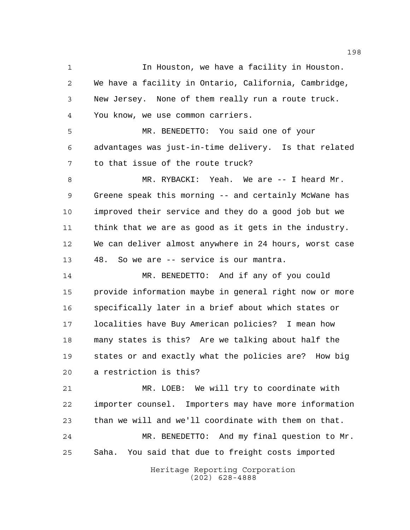**In Houston, we have a facility in Houston.**  We have a facility in Ontario, California, Cambridge, New Jersey. None of them really run a route truck. You know, we use common carriers.

 MR. BENEDETTO: You said one of your advantages was just-in-time delivery. Is that related to that issue of the route truck?

 MR. RYBACKI: Yeah. We are -- I heard Mr. Greene speak this morning -- and certainly McWane has improved their service and they do a good job but we think that we are as good as it gets in the industry. We can deliver almost anywhere in 24 hours, worst case 48. So we are -- service is our mantra.

 MR. BENEDETTO: And if any of you could provide information maybe in general right now or more specifically later in a brief about which states or localities have Buy American policies? I mean how many states is this? Are we talking about half the states or and exactly what the policies are? How big a restriction is this?

 MR. LOEB: We will try to coordinate with importer counsel. Importers may have more information than we will and we'll coordinate with them on that. MR. BENEDETTO: And my final question to Mr. Saha. You said that due to freight costs imported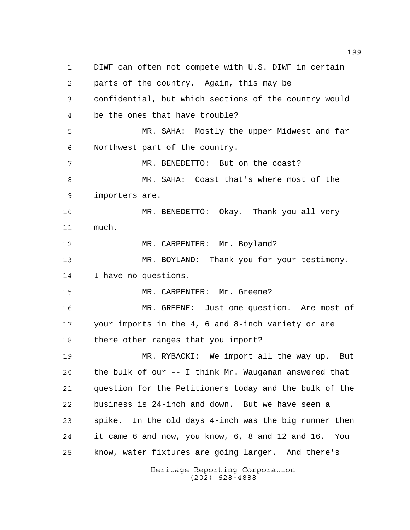Heritage Reporting Corporation (202) 628-4888 DIWF can often not compete with U.S. DIWF in certain parts of the country. Again, this may be confidential, but which sections of the country would be the ones that have trouble? MR. SAHA: Mostly the upper Midwest and far Northwest part of the country. 7 MR. BENEDETTO: But on the coast? MR. SAHA: Coast that's where most of the importers are. MR. BENEDETTO: Okay. Thank you all very much. 12 MR. CARPENTER: Mr. Boyland? MR. BOYLAND: Thank you for your testimony. I have no questions. MR. CARPENTER: Mr. Greene? MR. GREENE: Just one question. Are most of your imports in the 4, 6 and 8-inch variety or are there other ranges that you import? MR. RYBACKI: We import all the way up. But the bulk of our -- I think Mr. Waugaman answered that question for the Petitioners today and the bulk of the business is 24-inch and down. But we have seen a spike. In the old days 4-inch was the big runner then it came 6 and now, you know, 6, 8 and 12 and 16. You know, water fixtures are going larger. And there's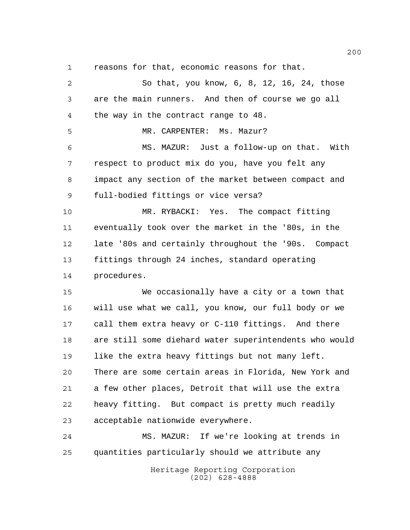reasons for that, economic reasons for that.

 So that, you know, 6, 8, 12, 16, 24, those are the main runners. And then of course we go all the way in the contract range to 48. MR. CARPENTER: Ms. Mazur? MS. MAZUR: Just a follow-up on that. With respect to product mix do you, have you felt any impact any section of the market between compact and full-bodied fittings or vice versa? MR. RYBACKI: Yes. The compact fitting eventually took over the market in the '80s, in the late '80s and certainly throughout the '90s. Compact fittings through 24 inches, standard operating procedures. We occasionally have a city or a town that will use what we call, you know, our full body or we call them extra heavy or C-110 fittings. And there are still some diehard water superintendents who would like the extra heavy fittings but not many left. There are some certain areas in Florida, New York and a few other places, Detroit that will use the extra heavy fitting. But compact is pretty much readily acceptable nationwide everywhere. MS. MAZUR: If we're looking at trends in quantities particularly should we attribute any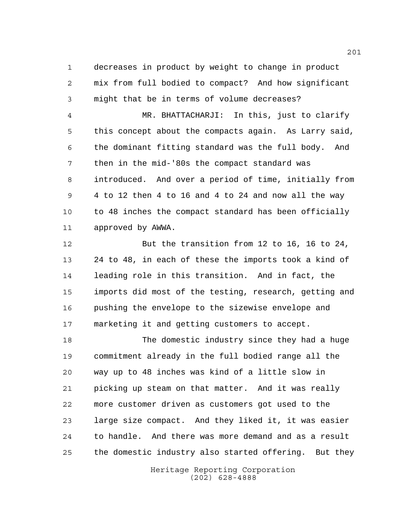decreases in product by weight to change in product mix from full bodied to compact? And how significant might that be in terms of volume decreases?

 MR. BHATTACHARJI: In this, just to clarify this concept about the compacts again. As Larry said, the dominant fitting standard was the full body. And then in the mid-'80s the compact standard was introduced. And over a period of time, initially from 4 to 12 then 4 to 16 and 4 to 24 and now all the way 10 to 48 inches the compact standard has been officially approved by AWWA.

 But the transition from 12 to 16, 16 to 24, 24 to 48, in each of these the imports took a kind of leading role in this transition. And in fact, the imports did most of the testing, research, getting and pushing the envelope to the sizewise envelope and marketing it and getting customers to accept.

 The domestic industry since they had a huge commitment already in the full bodied range all the way up to 48 inches was kind of a little slow in picking up steam on that matter. And it was really more customer driven as customers got used to the large size compact. And they liked it, it was easier to handle. And there was more demand and as a result the domestic industry also started offering. But they

> Heritage Reporting Corporation (202) 628-4888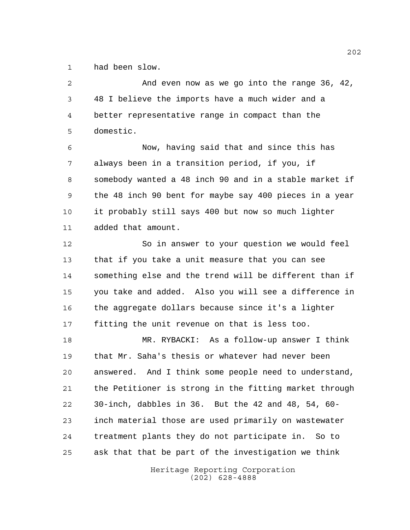had been slow.

 And even now as we go into the range 36, 42, 48 I believe the imports have a much wider and a better representative range in compact than the domestic. Now, having said that and since this has always been in a transition period, if you, if somebody wanted a 48 inch 90 and in a stable market if the 48 inch 90 bent for maybe say 400 pieces in a year it probably still says 400 but now so much lighter added that amount. So in answer to your question we would feel that if you take a unit measure that you can see something else and the trend will be different than if you take and added. Also you will see a difference in the aggregate dollars because since it's a lighter fitting the unit revenue on that is less too. MR. RYBACKI: As a follow-up answer I think that Mr. Saha's thesis or whatever had never been answered. And I think some people need to understand, the Petitioner is strong in the fitting market through 30-inch, dabbles in 36. But the 42 and 48, 54, 60- inch material those are used primarily on wastewater treatment plants they do not participate in. So to ask that that be part of the investigation we think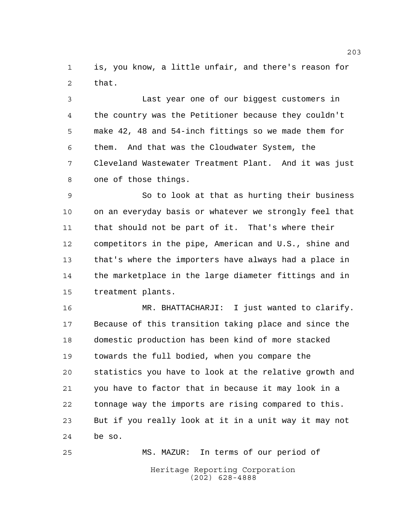is, you know, a little unfair, and there's reason for that.

 Last year one of our biggest customers in the country was the Petitioner because they couldn't make 42, 48 and 54-inch fittings so we made them for them. And that was the Cloudwater System, the Cleveland Wastewater Treatment Plant. And it was just one of those things.

 So to look at that as hurting their business on an everyday basis or whatever we strongly feel that that should not be part of it. That's where their competitors in the pipe, American and U.S., shine and that's where the importers have always had a place in the marketplace in the large diameter fittings and in treatment plants.

 MR. BHATTACHARJI: I just wanted to clarify. Because of this transition taking place and since the domestic production has been kind of more stacked towards the full bodied, when you compare the statistics you have to look at the relative growth and you have to factor that in because it may look in a tonnage way the imports are rising compared to this. But if you really look at it in a unit way it may not be so.

Heritage Reporting Corporation (202) 628-4888 MS. MAZUR: In terms of our period of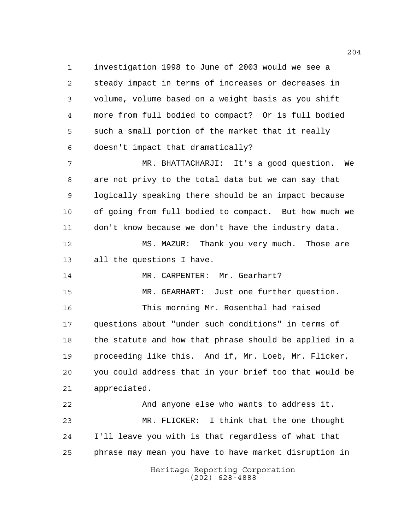investigation 1998 to June of 2003 would we see a steady impact in terms of increases or decreases in volume, volume based on a weight basis as you shift more from full bodied to compact? Or is full bodied such a small portion of the market that it really doesn't impact that dramatically? MR. BHATTACHARJI: It's a good question. We are not privy to the total data but we can say that logically speaking there should be an impact because of going from full bodied to compact. But how much we

 MS. MAZUR: Thank you very much. Those are all the questions I have.

don't know because we don't have the industry data.

14 MR. CARPENTER: Mr. Gearhart?

MR. GEARHART: Just one further question.

 This morning Mr. Rosenthal had raised questions about "under such conditions" in terms of the statute and how that phrase should be applied in a proceeding like this. And if, Mr. Loeb, Mr. Flicker, you could address that in your brief too that would be appreciated.

 And anyone else who wants to address it. MR. FLICKER: I think that the one thought I'll leave you with is that regardless of what that phrase may mean you have to have market disruption in

> Heritage Reporting Corporation (202) 628-4888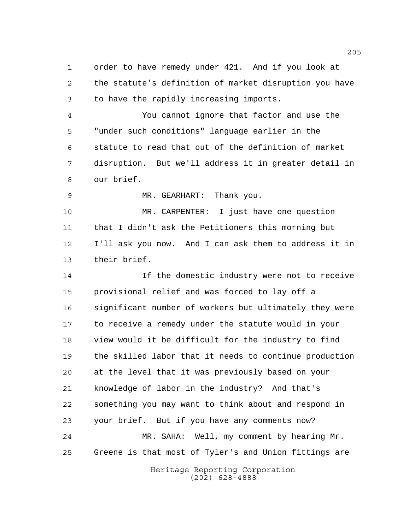order to have remedy under 421. And if you look at the statute's definition of market disruption you have to have the rapidly increasing imports.

 You cannot ignore that factor and use the "under such conditions" language earlier in the statute to read that out of the definition of market disruption. But we'll address it in greater detail in our brief.

MR. GEARHART: Thank you.

 MR. CARPENTER: I just have one question that I didn't ask the Petitioners this morning but I'll ask you now. And I can ask them to address it in their brief.

 If the domestic industry were not to receive provisional relief and was forced to lay off a significant number of workers but ultimately they were to receive a remedy under the statute would in your view would it be difficult for the industry to find the skilled labor that it needs to continue production at the level that it was previously based on your knowledge of labor in the industry? And that's something you may want to think about and respond in your brief. But if you have any comments now? MR. SAHA: Well, my comment by hearing Mr. Greene is that most of Tyler's and Union fittings are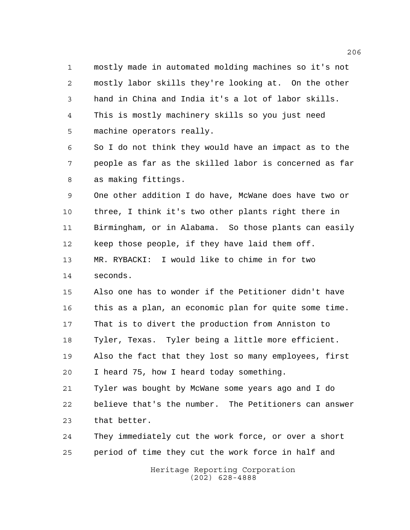mostly made in automated molding machines so it's not mostly labor skills they're looking at. On the other hand in China and India it's a lot of labor skills. This is mostly machinery skills so you just need machine operators really.

 So I do not think they would have an impact as to the people as far as the skilled labor is concerned as far as making fittings.

 One other addition I do have, McWane does have two or three, I think it's two other plants right there in Birmingham, or in Alabama. So those plants can easily keep those people, if they have laid them off. MR. RYBACKI: I would like to chime in for two

seconds.

 Also one has to wonder if the Petitioner didn't have this as a plan, an economic plan for quite some time. That is to divert the production from Anniston to Tyler, Texas. Tyler being a little more efficient. Also the fact that they lost so many employees, first I heard 75, how I heard today something.

 Tyler was bought by McWane some years ago and I do believe that's the number. The Petitioners can answer that better.

 They immediately cut the work force, or over a short period of time they cut the work force in half and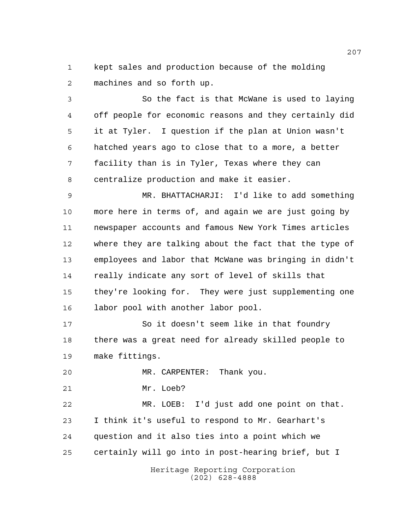kept sales and production because of the molding machines and so forth up.

 So the fact is that McWane is used to laying off people for economic reasons and they certainly did it at Tyler. I question if the plan at Union wasn't hatched years ago to close that to a more, a better facility than is in Tyler, Texas where they can centralize production and make it easier.

 MR. BHATTACHARJI: I'd like to add something more here in terms of, and again we are just going by newspaper accounts and famous New York Times articles where they are talking about the fact that the type of employees and labor that McWane was bringing in didn't really indicate any sort of level of skills that they're looking for. They were just supplementing one labor pool with another labor pool.

 So it doesn't seem like in that foundry there was a great need for already skilled people to make fittings.

MR. CARPENTER: Thank you.

Mr. Loeb?

 MR. LOEB: I'd just add one point on that. I think it's useful to respond to Mr. Gearhart's question and it also ties into a point which we certainly will go into in post-hearing brief, but I

> Heritage Reporting Corporation (202) 628-4888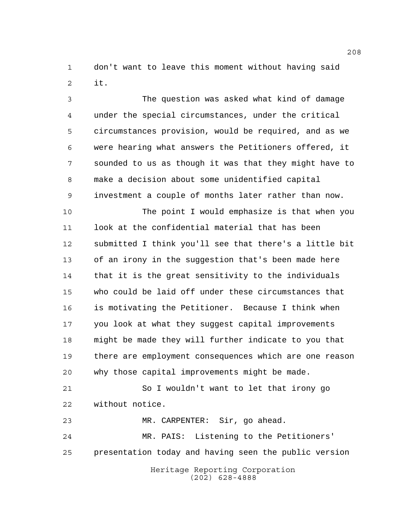don't want to leave this moment without having said it.

 The question was asked what kind of damage under the special circumstances, under the critical circumstances provision, would be required, and as we were hearing what answers the Petitioners offered, it sounded to us as though it was that they might have to make a decision about some unidentified capital investment a couple of months later rather than now.

 The point I would emphasize is that when you look at the confidential material that has been submitted I think you'll see that there's a little bit of an irony in the suggestion that's been made here that it is the great sensitivity to the individuals who could be laid off under these circumstances that is motivating the Petitioner. Because I think when you look at what they suggest capital improvements might be made they will further indicate to you that there are employment consequences which are one reason why those capital improvements might be made.

 So I wouldn't want to let that irony go without notice.

MR. CARPENTER: Sir, go ahead.

 MR. PAIS: Listening to the Petitioners' presentation today and having seen the public version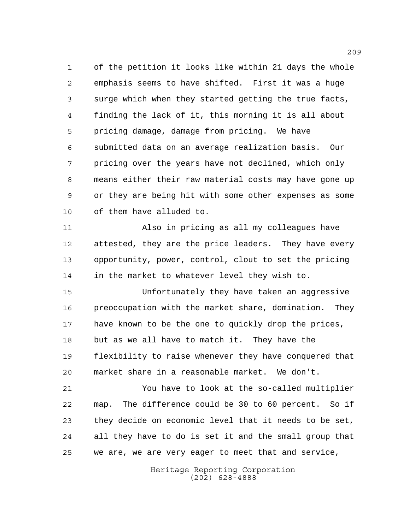of the petition it looks like within 21 days the whole emphasis seems to have shifted. First it was a huge surge which when they started getting the true facts, finding the lack of it, this morning it is all about pricing damage, damage from pricing. We have submitted data on an average realization basis. Our pricing over the years have not declined, which only means either their raw material costs may have gone up or they are being hit with some other expenses as some of them have alluded to.

 Also in pricing as all my colleagues have attested, they are the price leaders. They have every opportunity, power, control, clout to set the pricing in the market to whatever level they wish to.

 Unfortunately they have taken an aggressive 16 preoccupation with the market share, domination. They have known to be the one to quickly drop the prices, but as we all have to match it. They have the flexibility to raise whenever they have conquered that market share in a reasonable market. We don't.

 You have to look at the so-called multiplier map. The difference could be 30 to 60 percent. So if they decide on economic level that it needs to be set, all they have to do is set it and the small group that we are, we are very eager to meet that and service,

> Heritage Reporting Corporation (202) 628-4888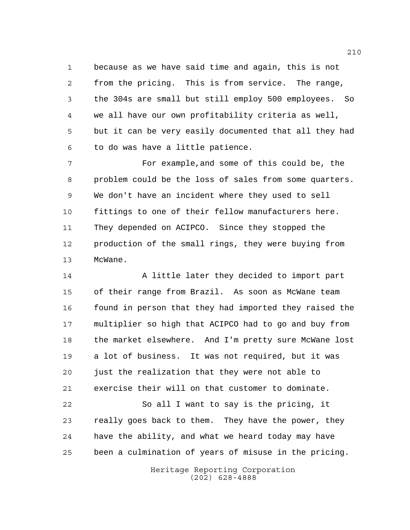because as we have said time and again, this is not from the pricing. This is from service. The range, the 304s are small but still employ 500 employees. So we all have our own profitability criteria as well, but it can be very easily documented that all they had to do was have a little patience.

 For example,and some of this could be, the problem could be the loss of sales from some quarters. We don't have an incident where they used to sell fittings to one of their fellow manufacturers here. They depended on ACIPCO. Since they stopped the production of the small rings, they were buying from McWane.

14 A little later they decided to import part of their range from Brazil. As soon as McWane team 16 found in person that they had imported they raised the multiplier so high that ACIPCO had to go and buy from the market elsewhere. And I'm pretty sure McWane lost a lot of business. It was not required, but it was just the realization that they were not able to exercise their will on that customer to dominate.

 So all I want to say is the pricing, it really goes back to them. They have the power, they have the ability, and what we heard today may have been a culmination of years of misuse in the pricing.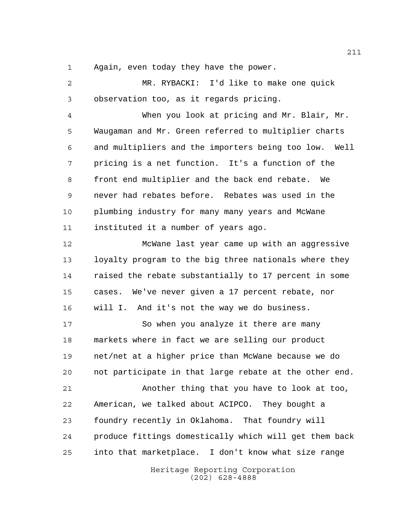Again, even today they have the power.

Heritage Reporting Corporation MR. RYBACKI: I'd like to make one quick observation too, as it regards pricing. When you look at pricing and Mr. Blair, Mr. Waugaman and Mr. Green referred to multiplier charts and multipliers and the importers being too low. Well pricing is a net function. It's a function of the front end multiplier and the back end rebate. We never had rebates before. Rebates was used in the plumbing industry for many many years and McWane instituted it a number of years ago. McWane last year came up with an aggressive loyalty program to the big three nationals where they raised the rebate substantially to 17 percent in some cases. We've never given a 17 percent rebate, nor will I. And it's not the way we do business. So when you analyze it there are many markets where in fact we are selling our product net/net at a higher price than McWane because we do not participate in that large rebate at the other end. Another thing that you have to look at too, American, we talked about ACIPCO. They bought a foundry recently in Oklahoma. That foundry will produce fittings domestically which will get them back into that marketplace. I don't know what size range

(202) 628-4888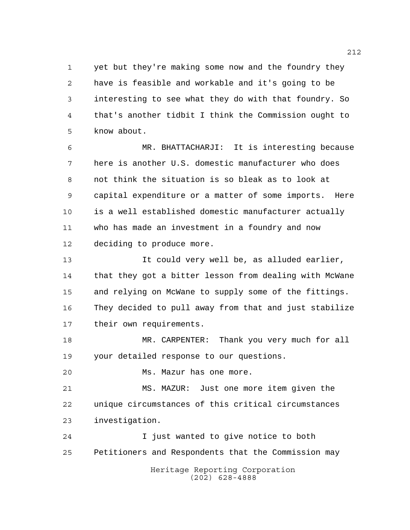yet but they're making some now and the foundry they have is feasible and workable and it's going to be interesting to see what they do with that foundry. So that's another tidbit I think the Commission ought to know about.

 MR. BHATTACHARJI: It is interesting because here is another U.S. domestic manufacturer who does not think the situation is so bleak as to look at capital expenditure or a matter of some imports. Here is a well established domestic manufacturer actually who has made an investment in a foundry and now deciding to produce more.

 It could very well be, as alluded earlier, that they got a bitter lesson from dealing with McWane and relying on McWane to supply some of the fittings. They decided to pull away from that and just stabilize their own requirements.

 MR. CARPENTER: Thank you very much for all your detailed response to our questions.

Ms. Mazur has one more.

 MS. MAZUR: Just one more item given the unique circumstances of this critical circumstances investigation.

Heritage Reporting Corporation (202) 628-4888 I just wanted to give notice to both Petitioners and Respondents that the Commission may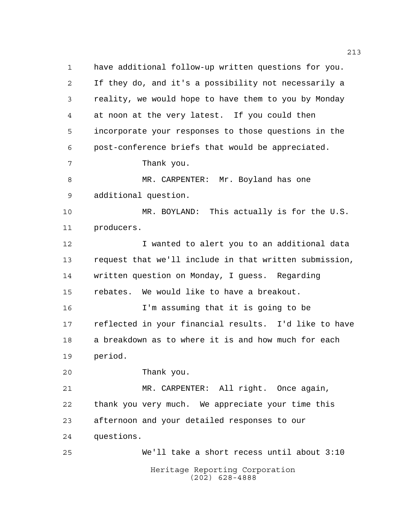Heritage Reporting Corporation have additional follow-up written questions for you. If they do, and it's a possibility not necessarily a reality, we would hope to have them to you by Monday at noon at the very latest. If you could then incorporate your responses to those questions in the post-conference briefs that would be appreciated. Thank you. 8 MR. CARPENTER: Mr. Boyland has one additional question. MR. BOYLAND: This actually is for the U.S. producers. I wanted to alert you to an additional data request that we'll include in that written submission, written question on Monday, I guess. Regarding rebates. We would like to have a breakout. I'm assuming that it is going to be reflected in your financial results. I'd like to have a breakdown as to where it is and how much for each period. Thank you. MR. CARPENTER: All right. Once again, thank you very much. We appreciate your time this afternoon and your detailed responses to our questions. We'll take a short recess until about 3:10

(202) 628-4888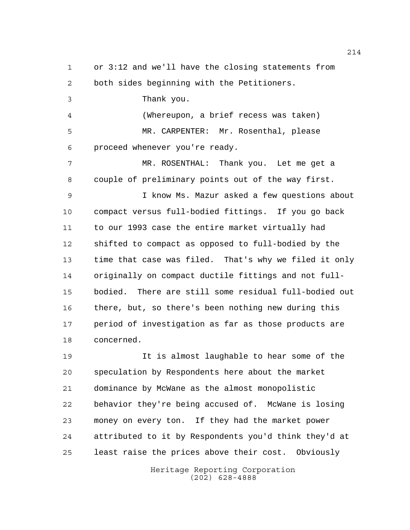or 3:12 and we'll have the closing statements from both sides beginning with the Petitioners.

Thank you.

 (Whereupon, a brief recess was taken) MR. CARPENTER: Mr. Rosenthal, please proceed whenever you're ready.

 MR. ROSENTHAL: Thank you. Let me get a couple of preliminary points out of the way first.

 I know Ms. Mazur asked a few questions about compact versus full-bodied fittings. If you go back to our 1993 case the entire market virtually had shifted to compact as opposed to full-bodied by the time that case was filed. That's why we filed it only originally on compact ductile fittings and not full- bodied. There are still some residual full-bodied out there, but, so there's been nothing new during this period of investigation as far as those products are concerned.

 It is almost laughable to hear some of the speculation by Respondents here about the market dominance by McWane as the almost monopolistic behavior they're being accused of. McWane is losing money on every ton. If they had the market power attributed to it by Respondents you'd think they'd at least raise the prices above their cost. Obviously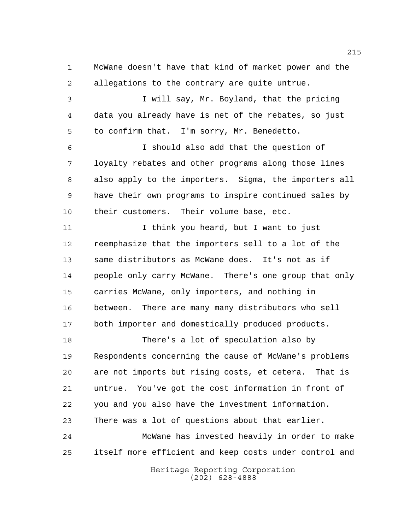McWane doesn't have that kind of market power and the allegations to the contrary are quite untrue.

 I will say, Mr. Boyland, that the pricing data you already have is net of the rebates, so just to confirm that. I'm sorry, Mr. Benedetto.

 I should also add that the question of loyalty rebates and other programs along those lines also apply to the importers. Sigma, the importers all have their own programs to inspire continued sales by their customers. Their volume base, etc.

11 11 I think you heard, but I want to just reemphasize that the importers sell to a lot of the same distributors as McWane does. It's not as if people only carry McWane. There's one group that only carries McWane, only importers, and nothing in between. There are many many distributors who sell both importer and domestically produced products.

 There's a lot of speculation also by Respondents concerning the cause of McWane's problems are not imports but rising costs, et cetera. That is untrue. You've got the cost information in front of you and you also have the investment information. There was a lot of questions about that earlier. McWane has invested heavily in order to make itself more efficient and keep costs under control and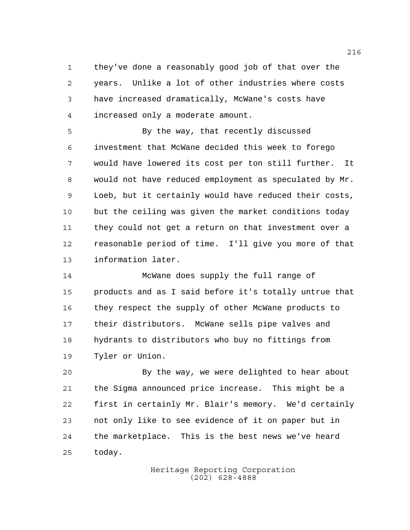they've done a reasonably good job of that over the years. Unlike a lot of other industries where costs have increased dramatically, McWane's costs have increased only a moderate amount.

 By the way, that recently discussed investment that McWane decided this week to forego would have lowered its cost per ton still further. It would not have reduced employment as speculated by Mr. Loeb, but it certainly would have reduced their costs, but the ceiling was given the market conditions today they could not get a return on that investment over a reasonable period of time. I'll give you more of that information later.

 McWane does supply the full range of products and as I said before it's totally untrue that they respect the supply of other McWane products to their distributors. McWane sells pipe valves and hydrants to distributors who buy no fittings from Tyler or Union.

 By the way, we were delighted to hear about the Sigma announced price increase. This might be a first in certainly Mr. Blair's memory. We'd certainly not only like to see evidence of it on paper but in the marketplace. This is the best news we've heard today.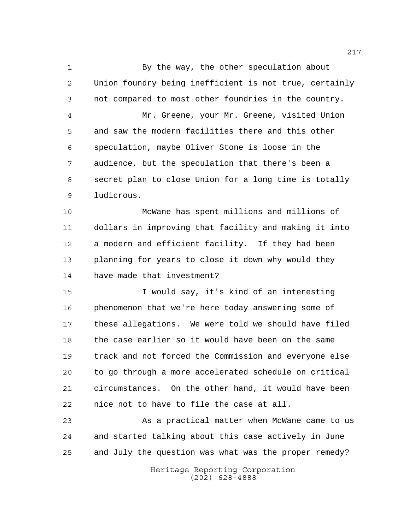By the way, the other speculation about Union foundry being inefficient is not true, certainly not compared to most other foundries in the country. Mr. Greene, your Mr. Greene, visited Union and saw the modern facilities there and this other speculation, maybe Oliver Stone is loose in the audience, but the speculation that there's been a secret plan to close Union for a long time is totally ludicrous.

 McWane has spent millions and millions of dollars in improving that facility and making it into a modern and efficient facility. If they had been planning for years to close it down why would they have made that investment?

 I would say, it's kind of an interesting phenomenon that we're here today answering some of these allegations. We were told we should have filed the case earlier so it would have been on the same track and not forced the Commission and everyone else to go through a more accelerated schedule on critical circumstances. On the other hand, it would have been nice not to have to file the case at all.

 As a practical matter when McWane came to us and started talking about this case actively in June and July the question was what was the proper remedy?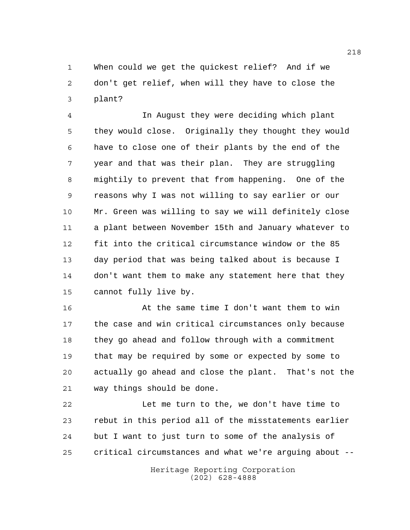When could we get the quickest relief? And if we don't get relief, when will they have to close the plant?

 In August they were deciding which plant they would close. Originally they thought they would have to close one of their plants by the end of the year and that was their plan. They are struggling mightily to prevent that from happening. One of the reasons why I was not willing to say earlier or our Mr. Green was willing to say we will definitely close a plant between November 15th and January whatever to fit into the critical circumstance window or the 85 day period that was being talked about is because I don't want them to make any statement here that they cannot fully live by.

 At the same time I don't want them to win the case and win critical circumstances only because they go ahead and follow through with a commitment that may be required by some or expected by some to actually go ahead and close the plant. That's not the way things should be done.

 Let me turn to the, we don't have time to rebut in this period all of the misstatements earlier but I want to just turn to some of the analysis of critical circumstances and what we're arguing about --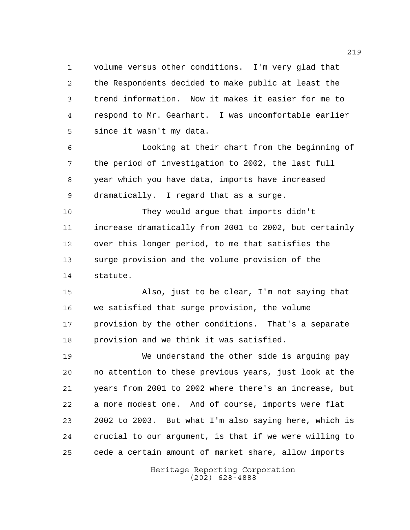volume versus other conditions. I'm very glad that the Respondents decided to make public at least the trend information. Now it makes it easier for me to respond to Mr. Gearhart. I was uncomfortable earlier since it wasn't my data.

 Looking at their chart from the beginning of the period of investigation to 2002, the last full year which you have data, imports have increased dramatically. I regard that as a surge.

 They would argue that imports didn't increase dramatically from 2001 to 2002, but certainly over this longer period, to me that satisfies the surge provision and the volume provision of the statute.

 Also, just to be clear, I'm not saying that we satisfied that surge provision, the volume provision by the other conditions. That's a separate provision and we think it was satisfied.

 We understand the other side is arguing pay no attention to these previous years, just look at the years from 2001 to 2002 where there's an increase, but a more modest one. And of course, imports were flat 2002 to 2003. But what I'm also saying here, which is crucial to our argument, is that if we were willing to cede a certain amount of market share, allow imports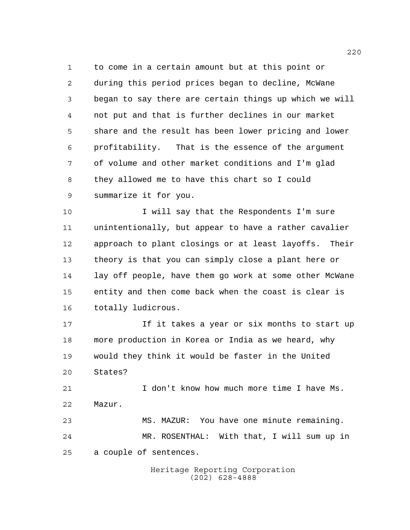to come in a certain amount but at this point or during this period prices began to decline, McWane began to say there are certain things up which we will not put and that is further declines in our market share and the result has been lower pricing and lower profitability. That is the essence of the argument of volume and other market conditions and I'm glad they allowed me to have this chart so I could summarize it for you.

 I will say that the Respondents I'm sure unintentionally, but appear to have a rather cavalier approach to plant closings or at least layoffs. Their theory is that you can simply close a plant here or lay off people, have them go work at some other McWane entity and then come back when the coast is clear is totally ludicrous.

 If it takes a year or six months to start up more production in Korea or India as we heard, why would they think it would be faster in the United States?

 I don't know how much more time I have Ms. Mazur.

 MS. MAZUR: You have one minute remaining. MR. ROSENTHAL: With that, I will sum up in a couple of sentences.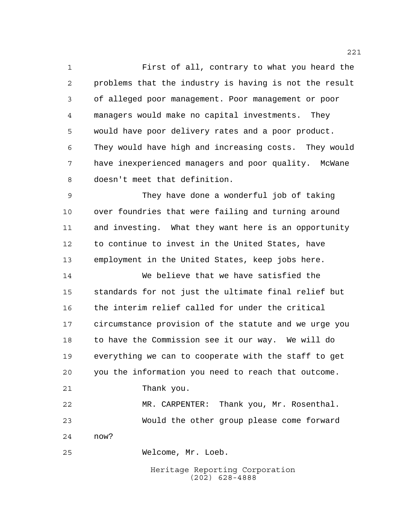First of all, contrary to what you heard the problems that the industry is having is not the result of alleged poor management. Poor management or poor managers would make no capital investments. They would have poor delivery rates and a poor product. They would have high and increasing costs. They would have inexperienced managers and poor quality. McWane doesn't meet that definition.

 They have done a wonderful job of taking over foundries that were failing and turning around and investing. What they want here is an opportunity to continue to invest in the United States, have employment in the United States, keep jobs here.

 We believe that we have satisfied the standards for not just the ultimate final relief but the interim relief called for under the critical circumstance provision of the statute and we urge you to have the Commission see it our way. We will do everything we can to cooperate with the staff to get you the information you need to reach that outcome. Thank you.

 MR. CARPENTER: Thank you, Mr. Rosenthal. Would the other group please come forward now?

Welcome, Mr. Loeb.

Heritage Reporting Corporation (202) 628-4888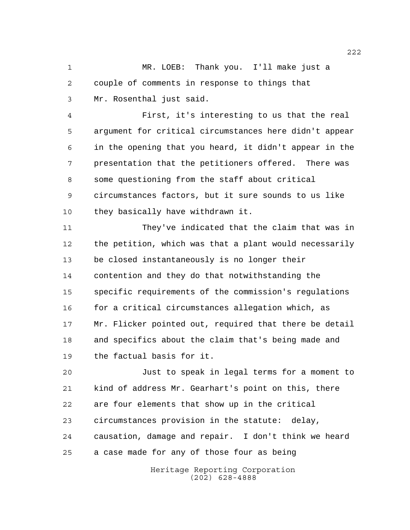MR. LOEB: Thank you. I'll make just a couple of comments in response to things that Mr. Rosenthal just said.

 First, it's interesting to us that the real argument for critical circumstances here didn't appear in the opening that you heard, it didn't appear in the presentation that the petitioners offered. There was some questioning from the staff about critical circumstances factors, but it sure sounds to us like they basically have withdrawn it.

 They've indicated that the claim that was in the petition, which was that a plant would necessarily be closed instantaneously is no longer their contention and they do that notwithstanding the specific requirements of the commission's regulations 16 for a critical circumstances allegation which, as Mr. Flicker pointed out, required that there be detail and specifics about the claim that's being made and the factual basis for it.

 Just to speak in legal terms for a moment to kind of address Mr. Gearhart's point on this, there are four elements that show up in the critical circumstances provision in the statute: delay, causation, damage and repair. I don't think we heard a case made for any of those four as being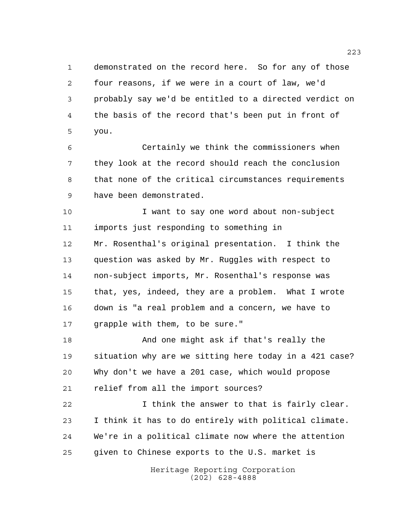demonstrated on the record here. So for any of those four reasons, if we were in a court of law, we'd probably say we'd be entitled to a directed verdict on the basis of the record that's been put in front of you.

 Certainly we think the commissioners when they look at the record should reach the conclusion that none of the critical circumstances requirements have been demonstrated.

 I want to say one word about non-subject imports just responding to something in Mr. Rosenthal's original presentation. I think the question was asked by Mr. Ruggles with respect to non-subject imports, Mr. Rosenthal's response was that, yes, indeed, they are a problem. What I wrote down is "a real problem and a concern, we have to grapple with them, to be sure."

 And one might ask if that's really the situation why are we sitting here today in a 421 case? Why don't we have a 201 case, which would propose relief from all the import sources?

 I think the answer to that is fairly clear. I think it has to do entirely with political climate. We're in a political climate now where the attention given to Chinese exports to the U.S. market is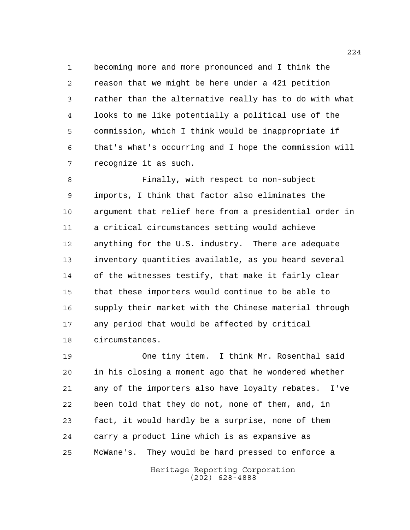becoming more and more pronounced and I think the reason that we might be here under a 421 petition rather than the alternative really has to do with what looks to me like potentially a political use of the commission, which I think would be inappropriate if that's what's occurring and I hope the commission will recognize it as such.

 Finally, with respect to non-subject imports, I think that factor also eliminates the argument that relief here from a presidential order in a critical circumstances setting would achieve anything for the U.S. industry. There are adequate inventory quantities available, as you heard several of the witnesses testify, that make it fairly clear that these importers would continue to be able to supply their market with the Chinese material through any period that would be affected by critical circumstances.

 One tiny item. I think Mr. Rosenthal said in his closing a moment ago that he wondered whether any of the importers also have loyalty rebates. I've been told that they do not, none of them, and, in fact, it would hardly be a surprise, none of them carry a product line which is as expansive as McWane's. They would be hard pressed to enforce a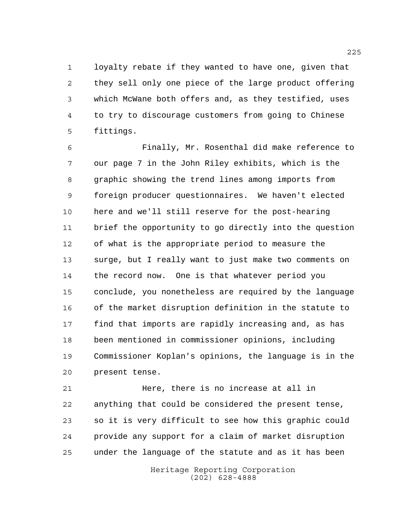loyalty rebate if they wanted to have one, given that they sell only one piece of the large product offering which McWane both offers and, as they testified, uses to try to discourage customers from going to Chinese fittings.

 Finally, Mr. Rosenthal did make reference to our page 7 in the John Riley exhibits, which is the graphic showing the trend lines among imports from foreign producer questionnaires. We haven't elected here and we'll still reserve for the post-hearing brief the opportunity to go directly into the question of what is the appropriate period to measure the surge, but I really want to just make two comments on the record now. One is that whatever period you conclude, you nonetheless are required by the language of the market disruption definition in the statute to find that imports are rapidly increasing and, as has been mentioned in commissioner opinions, including Commissioner Koplan's opinions, the language is in the present tense.

 Here, there is no increase at all in anything that could be considered the present tense, so it is very difficult to see how this graphic could provide any support for a claim of market disruption under the language of the statute and as it has been

> Heritage Reporting Corporation (202) 628-4888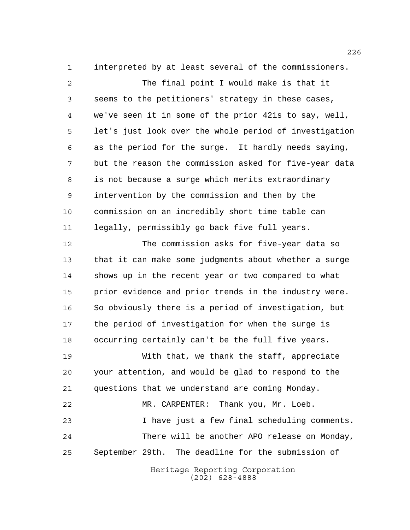interpreted by at least several of the commissioners.

 The final point I would make is that it seems to the petitioners' strategy in these cases, we've seen it in some of the prior 421s to say, well, let's just look over the whole period of investigation as the period for the surge. It hardly needs saying, but the reason the commission asked for five-year data is not because a surge which merits extraordinary intervention by the commission and then by the commission on an incredibly short time table can legally, permissibly go back five full years.

 The commission asks for five-year data so that it can make some judgments about whether a surge shows up in the recent year or two compared to what prior evidence and prior trends in the industry were. So obviously there is a period of investigation, but the period of investigation for when the surge is occurring certainly can't be the full five years.

 With that, we thank the staff, appreciate your attention, and would be glad to respond to the questions that we understand are coming Monday.

 MR. CARPENTER: Thank you, Mr. Loeb. I have just a few final scheduling comments. There will be another APO release on Monday, September 29th. The deadline for the submission of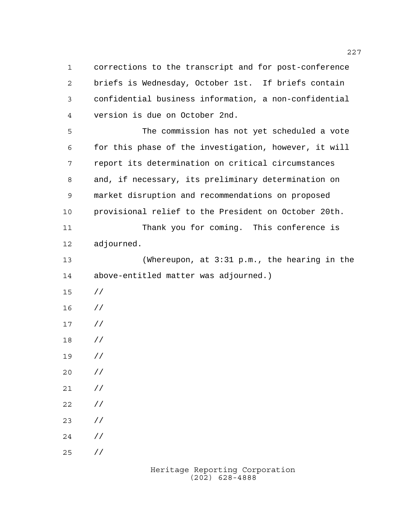corrections to the transcript and for post-conference briefs is Wednesday, October 1st. If briefs contain confidential business information, a non-confidential version is due on October 2nd.

 The commission has not yet scheduled a vote for this phase of the investigation, however, it will report its determination on critical circumstances and, if necessary, its preliminary determination on market disruption and recommendations on proposed provisional relief to the President on October 20th.

 Thank you for coming. This conference is adjourned.

 (Whereupon, at 3:31 p.m., the hearing in the above-entitled matter was adjourned.)

- //
- //
- //
- //

//

 // //

- //
- //

//

//